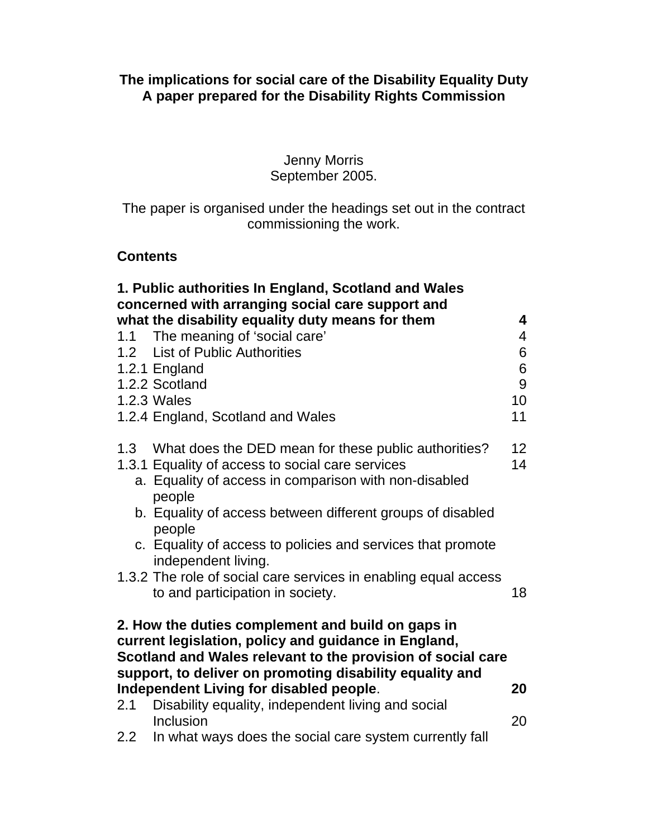### Jenny Morris September 2005.

The paper is organised under the headings set out in the contract commissioning the work.

### **Contents**

| 1. Public authorities In England, Scotland and Wales                                                                                                                                                                                 |                                                                                                                                                                                                                                                                                                                                               |                              |  |  |  |
|--------------------------------------------------------------------------------------------------------------------------------------------------------------------------------------------------------------------------------------|-----------------------------------------------------------------------------------------------------------------------------------------------------------------------------------------------------------------------------------------------------------------------------------------------------------------------------------------------|------------------------------|--|--|--|
|                                                                                                                                                                                                                                      | concerned with arranging social care support and<br>what the disability equality duty means for them                                                                                                                                                                                                                                          | 4                            |  |  |  |
|                                                                                                                                                                                                                                      | 1.1 The meaning of 'social care'<br>1.2 List of Public Authorities<br>1.2.1 England<br>1.2.2 Scotland<br>1.2.3 Wales<br>1.2.4 England, Scotland and Wales                                                                                                                                                                                     | 4<br>6<br>6<br>9<br>10<br>11 |  |  |  |
|                                                                                                                                                                                                                                      | 1.3 What does the DED mean for these public authorities?<br>1.3.1 Equality of access to social care services<br>a. Equality of access in comparison with non-disabled<br>people<br>b. Equality of access between different groups of disabled<br>people<br>c. Equality of access to policies and services that promote<br>independent living. | 12<br>14                     |  |  |  |
|                                                                                                                                                                                                                                      | 1.3.2 The role of social care services in enabling equal access<br>to and participation in society.                                                                                                                                                                                                                                           | 18                           |  |  |  |
| 2. How the duties complement and build on gaps in<br>current legislation, policy and guidance in England,<br>Scotland and Wales relevant to the provision of social care<br>support, to deliver on promoting disability equality and |                                                                                                                                                                                                                                                                                                                                               |                              |  |  |  |
|                                                                                                                                                                                                                                      | Independent Living for disabled people.                                                                                                                                                                                                                                                                                                       | 20                           |  |  |  |
| 2.1                                                                                                                                                                                                                                  | Disability equality, independent living and social<br>Inclusion                                                                                                                                                                                                                                                                               | 20                           |  |  |  |
|                                                                                                                                                                                                                                      | 2.2 In what ways does the social care system currently fall                                                                                                                                                                                                                                                                                   |                              |  |  |  |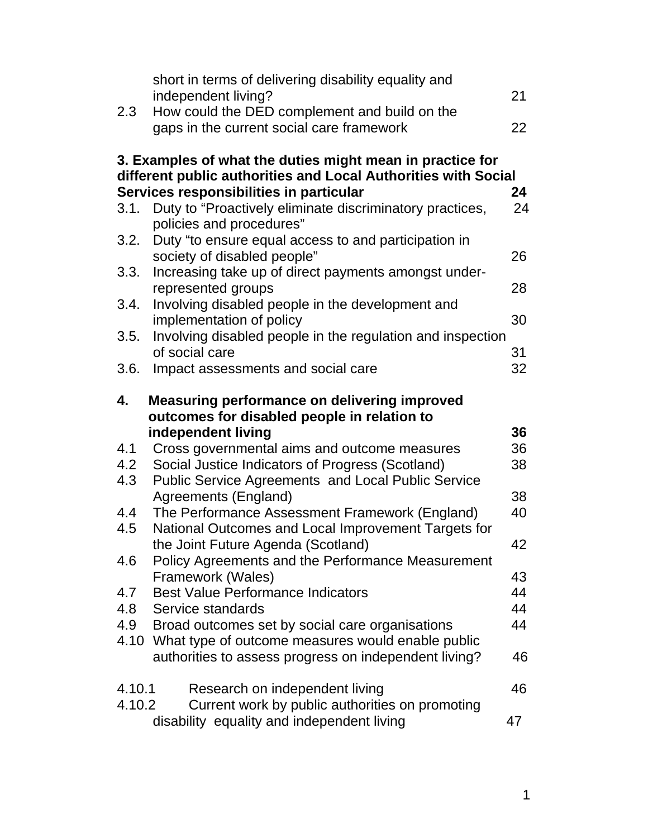| 2.3                                                                                                                         | short in terms of delivering disability equality and<br>independent living?<br>How could the DED complement and build on the    | 21       |  |  |
|-----------------------------------------------------------------------------------------------------------------------------|---------------------------------------------------------------------------------------------------------------------------------|----------|--|--|
|                                                                                                                             | gaps in the current social care framework                                                                                       | 22       |  |  |
| 3. Examples of what the duties might mean in practice for<br>different public authorities and Local Authorities with Social |                                                                                                                                 |          |  |  |
| 3.1.                                                                                                                        | Services responsibilities in particular<br>Duty to "Proactively eliminate discriminatory practices,<br>policies and procedures" | 24<br>24 |  |  |
| 3.2.                                                                                                                        | Duty "to ensure equal access to and participation in<br>society of disabled people"                                             | 26       |  |  |
| 3.3.                                                                                                                        | Increasing take up of direct payments amongst under-<br>represented groups                                                      | 28       |  |  |
| 3.4.                                                                                                                        | Involving disabled people in the development and<br>implementation of policy                                                    | 30       |  |  |
| 3.5.                                                                                                                        | Involving disabled people in the regulation and inspection<br>of social care                                                    | 31       |  |  |
| 3.6.                                                                                                                        | Impact assessments and social care                                                                                              | 32       |  |  |
| 4.                                                                                                                          | <b>Measuring performance on delivering improved</b><br>outcomes for disabled people in relation to                              |          |  |  |
|                                                                                                                             |                                                                                                                                 |          |  |  |
|                                                                                                                             |                                                                                                                                 |          |  |  |
|                                                                                                                             | independent living                                                                                                              | 36       |  |  |
| 4.1                                                                                                                         | Cross governmental aims and outcome measures                                                                                    | 36       |  |  |
| 4.2                                                                                                                         | Social Justice Indicators of Progress (Scotland)                                                                                | 38       |  |  |
| 4.3                                                                                                                         | <b>Public Service Agreements and Local Public Service</b>                                                                       | 38       |  |  |
| 4.4                                                                                                                         | Agreements (England)<br>The Performance Assessment Framework (England)                                                          | 40       |  |  |
| 4.5                                                                                                                         | National Outcomes and Local Improvement Targets for                                                                             |          |  |  |
|                                                                                                                             | the Joint Future Agenda (Scotland)                                                                                              | 42       |  |  |
| 4.6                                                                                                                         | Policy Agreements and the Performance Measurement                                                                               |          |  |  |
|                                                                                                                             | Framework (Wales)                                                                                                               | 43       |  |  |
| 4.7                                                                                                                         | <b>Best Value Performance Indicators</b>                                                                                        | 44       |  |  |
| 4.8                                                                                                                         | Service standards                                                                                                               | 44       |  |  |
| 4.9                                                                                                                         | Broad outcomes set by social care organisations                                                                                 | 44       |  |  |
| 4.10                                                                                                                        | What type of outcome measures would enable public<br>authorities to assess progress on independent living?                      | 46       |  |  |
| 4.10.1<br>4.10.2                                                                                                            | Research on independent living<br>Current work by public authorities on promoting                                               | 46       |  |  |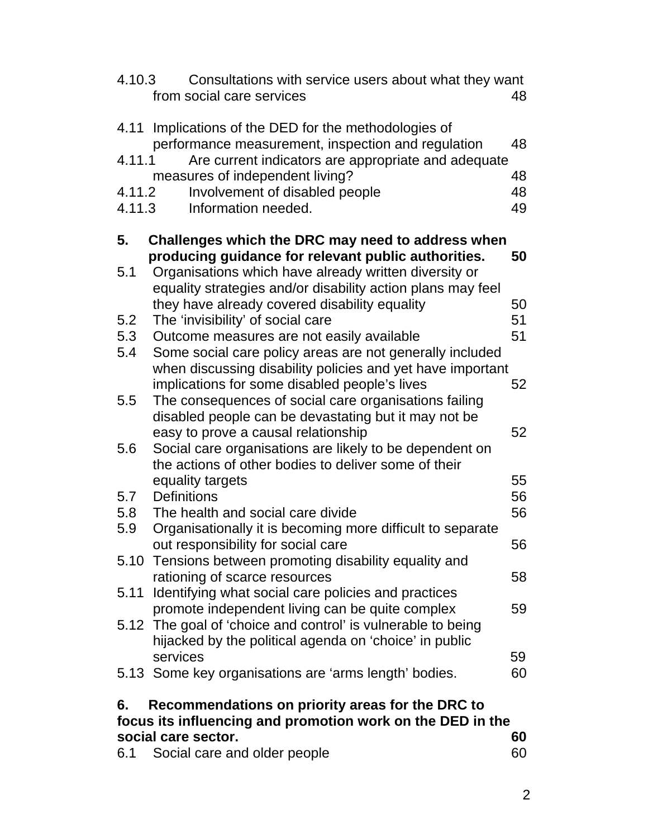| 4.10.3                                                     | Consultations with service users about what they want<br>from social care services                                                                                          | 48 |  |  |
|------------------------------------------------------------|-----------------------------------------------------------------------------------------------------------------------------------------------------------------------------|----|--|--|
| 4.11                                                       | Implications of the DED for the methodologies of<br>performance measurement, inspection and regulation                                                                      | 48 |  |  |
| 4.11.1                                                     | Are current indicators are appropriate and adequate<br>measures of independent living?                                                                                      | 48 |  |  |
| 4.11.2                                                     | Involvement of disabled people                                                                                                                                              | 48 |  |  |
| 4.11.3                                                     | Information needed.                                                                                                                                                         | 49 |  |  |
| 5.                                                         | Challenges which the DRC may need to address when                                                                                                                           |    |  |  |
| 5.1                                                        | producing guidance for relevant public authorities.<br>Organisations which have already written diversity or<br>equality strategies and/or disability action plans may feel | 50 |  |  |
|                                                            | they have already covered disability equality                                                                                                                               | 50 |  |  |
| 5.2                                                        | The 'invisibility' of social care                                                                                                                                           | 51 |  |  |
| 5.3                                                        | Outcome measures are not easily available                                                                                                                                   | 51 |  |  |
| 5.4                                                        | Some social care policy areas are not generally included                                                                                                                    |    |  |  |
|                                                            | when discussing disability policies and yet have important                                                                                                                  |    |  |  |
| 5.5                                                        | implications for some disabled people's lives                                                                                                                               | 52 |  |  |
|                                                            | The consequences of social care organisations failing<br>disabled people can be devastating but it may not be                                                               |    |  |  |
|                                                            | easy to prove a causal relationship                                                                                                                                         | 52 |  |  |
| 5.6                                                        | Social care organisations are likely to be dependent on                                                                                                                     |    |  |  |
|                                                            | the actions of other bodies to deliver some of their                                                                                                                        |    |  |  |
|                                                            | equality targets                                                                                                                                                            | 55 |  |  |
| 5.7                                                        | <b>Definitions</b>                                                                                                                                                          | 56 |  |  |
| 5.8                                                        | The health and social care divide                                                                                                                                           | 56 |  |  |
| 5.9                                                        | Organisationally it is becoming more difficult to separate                                                                                                                  |    |  |  |
|                                                            | out responsibility for social care                                                                                                                                          | 56 |  |  |
|                                                            | 5.10 Tensions between promoting disability equality and<br>rationing of scarce resources                                                                                    | 58 |  |  |
|                                                            | 5.11 Identifying what social care policies and practices                                                                                                                    |    |  |  |
|                                                            | promote independent living can be quite complex                                                                                                                             | 59 |  |  |
|                                                            | 5.12 The goal of 'choice and control' is vulnerable to being                                                                                                                |    |  |  |
|                                                            | hijacked by the political agenda on 'choice' in public                                                                                                                      |    |  |  |
|                                                            | services                                                                                                                                                                    | 59 |  |  |
|                                                            | 5.13 Some key organisations are 'arms length' bodies.                                                                                                                       | 60 |  |  |
| 6.                                                         | Recommendations on priority areas for the DRC to                                                                                                                            |    |  |  |
| focus its influencing and promotion work on the DED in the |                                                                                                                                                                             |    |  |  |
|                                                            | social care sector.                                                                                                                                                         | 60 |  |  |
| 6.1                                                        | Social care and older people                                                                                                                                                | 60 |  |  |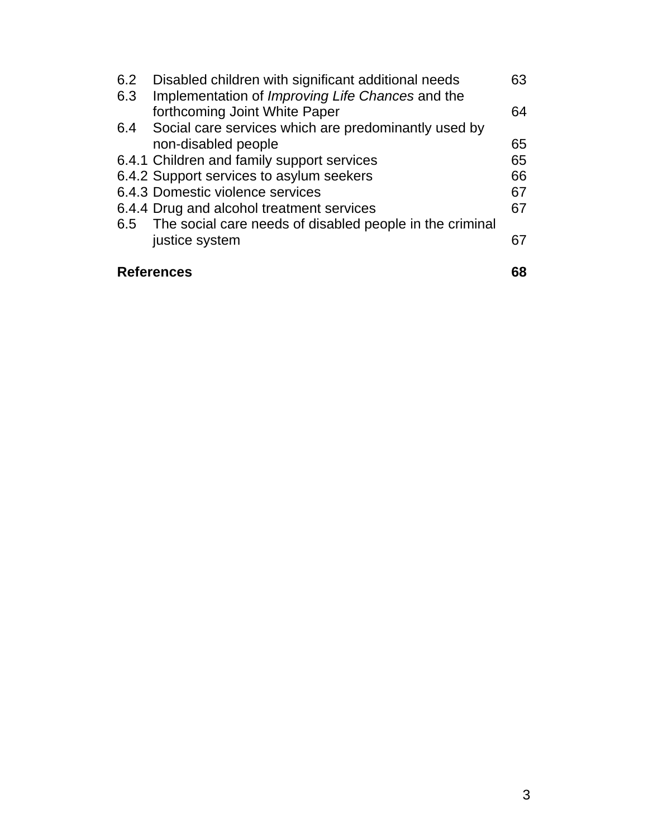| 6.2 | Disabled children with significant additional needs          | 63 |
|-----|--------------------------------------------------------------|----|
| 6.3 | Implementation of Improving Life Chances and the             |    |
|     | forthcoming Joint White Paper                                | 64 |
| 6.4 | Social care services which are predominantly used by         |    |
|     | non-disabled people                                          | 65 |
|     | 6.4.1 Children and family support services                   | 65 |
|     | 6.4.2 Support services to asylum seekers                     | 66 |
|     | 6.4.3 Domestic violence services                             | 67 |
|     | 6.4.4 Drug and alcohol treatment services                    | 67 |
|     | 6.5 The social care needs of disabled people in the criminal |    |
|     | justice system                                               | 67 |
|     | <b>References</b>                                            |    |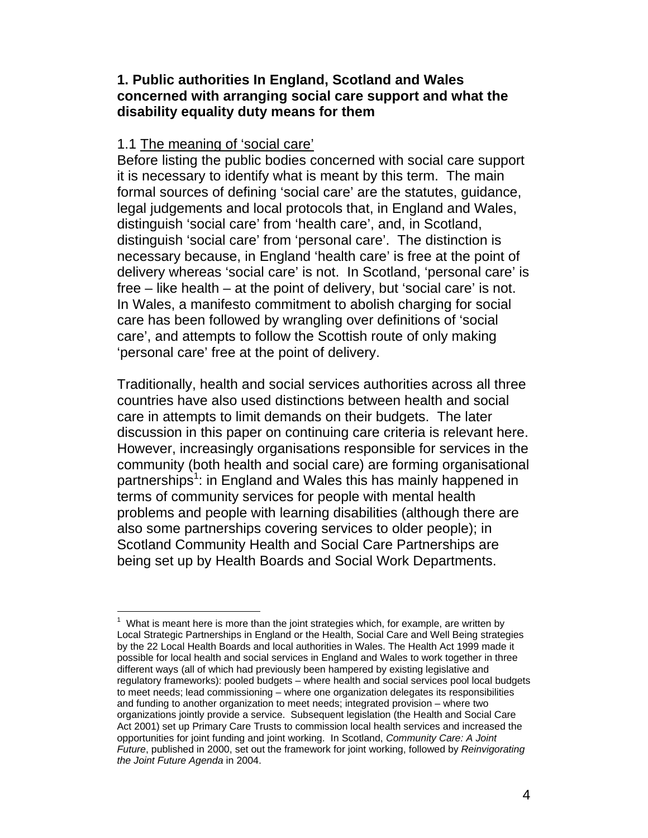### **1. Public authorities In England, Scotland and Wales concerned with arranging social care support and what the disability equality duty means for them**

### 1.1 The meaning of 'social care'

Before listing the public bodies concerned with social care support it is necessary to identify what is meant by this term. The main formal sources of defining 'social care' are the statutes, guidance, legal judgements and local protocols that, in England and Wales, distinguish 'social care' from 'health care', and, in Scotland, distinguish 'social care' from 'personal care'. The distinction is necessary because, in England 'health care' is free at the point of delivery whereas 'social care' is not. In Scotland, 'personal care' is free – like health – at the point of delivery, but 'social care' is not. In Wales, a manifesto commitment to abolish charging for social care has been followed by wrangling over definitions of 'social care', and attempts to follow the Scottish route of only making 'personal care' free at the point of delivery.

Traditionally, health and social services authorities across all three countries have also used distinctions between health and social care in attempts to limit demands on their budgets. The later discussion in this paper on continuing care criteria is relevant here. However, increasingly organisations responsible for services in the community (both health and social care) are forming organisational partnerships<sup>1</sup>: in England and Wales this has mainly happened in terms of community services for people with mental health problems and people with learning disabilities (although there are also some partnerships covering services to older people); in Scotland Community Health and Social Care Partnerships are being set up by Health Boards and Social Work Departments.

  $1$  What is meant here is more than the joint strategies which, for example, are written by Local Strategic Partnerships in England or the Health, Social Care and Well Being strategies by the 22 Local Health Boards and local authorities in Wales. The Health Act 1999 made it possible for local health and social services in England and Wales to work together in three different ways (all of which had previously been hampered by existing legislative and regulatory frameworks): pooled budgets – where health and social services pool local budgets to meet needs; lead commissioning – where one organization delegates its responsibilities and funding to another organization to meet needs; integrated provision – where two organizations jointly provide a service. Subsequent legislation (the Health and Social Care Act 2001) set up Primary Care Trusts to commission local health services and increased the opportunities for joint funding and joint working. In Scotland, *Community Care: A Joint Future*, published in 2000, set out the framework for joint working, followed by *Reinvigorating the Joint Future Agenda* in 2004.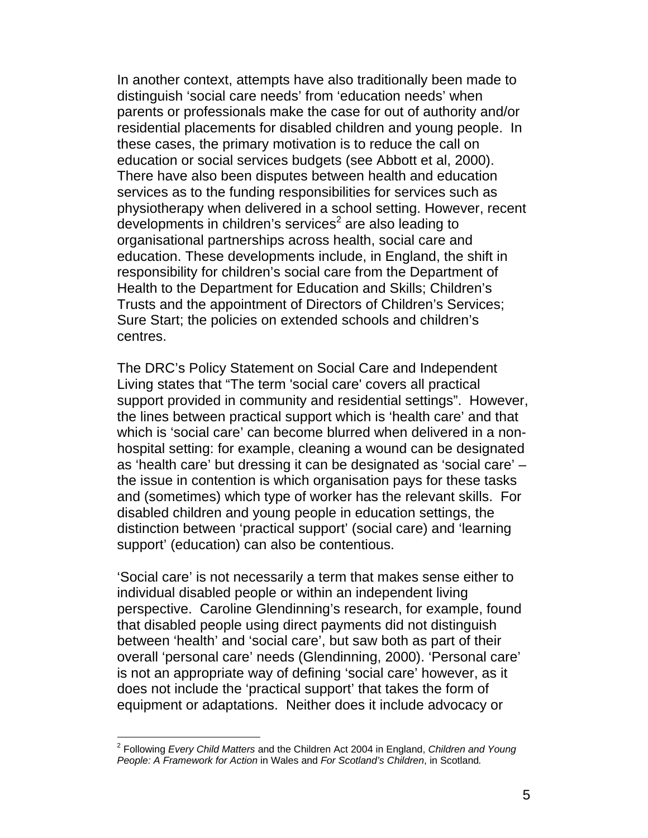In another context, attempts have also traditionally been made to distinguish 'social care needs' from 'education needs' when parents or professionals make the case for out of authority and/or residential placements for disabled children and young people. In these cases, the primary motivation is to reduce the call on education or social services budgets (see Abbott et al, 2000). There have also been disputes between health and education services as to the funding responsibilities for services such as physiotherapy when delivered in a school setting. However, recent developments in children's services<sup>2</sup> are also leading to organisational partnerships across health, social care and education. These developments include, in England, the shift in responsibility for children's social care from the Department of Health to the Department for Education and Skills; Children's Trusts and the appointment of Directors of Children's Services; Sure Start; the policies on extended schools and children's centres.

The DRC's Policy Statement on Social Care and Independent Living states that "The term 'social care' covers all practical support provided in community and residential settings". However, the lines between practical support which is 'health care' and that which is 'social care' can become blurred when delivered in a nonhospital setting: for example, cleaning a wound can be designated as 'health care' but dressing it can be designated as 'social care' – the issue in contention is which organisation pays for these tasks and (sometimes) which type of worker has the relevant skills. For disabled children and young people in education settings, the distinction between 'practical support' (social care) and 'learning support' (education) can also be contentious.

'Social care' is not necessarily a term that makes sense either to individual disabled people or within an independent living perspective. Caroline Glendinning's research, for example, found that disabled people using direct payments did not distinguish between 'health' and 'social care', but saw both as part of their overall 'personal care' needs (Glendinning, 2000). 'Personal care' is not an appropriate way of defining 'social care' however, as it does not include the 'practical support' that takes the form of equipment or adaptations. Neither does it include advocacy or

 $\overline{a}$ 

<sup>2</sup> Following *Every Child Matters* and the Children Act 2004 in England, *Children and Young People: A Framework for Action* in Wales and *For Scotland's Children*, in Scotland*.*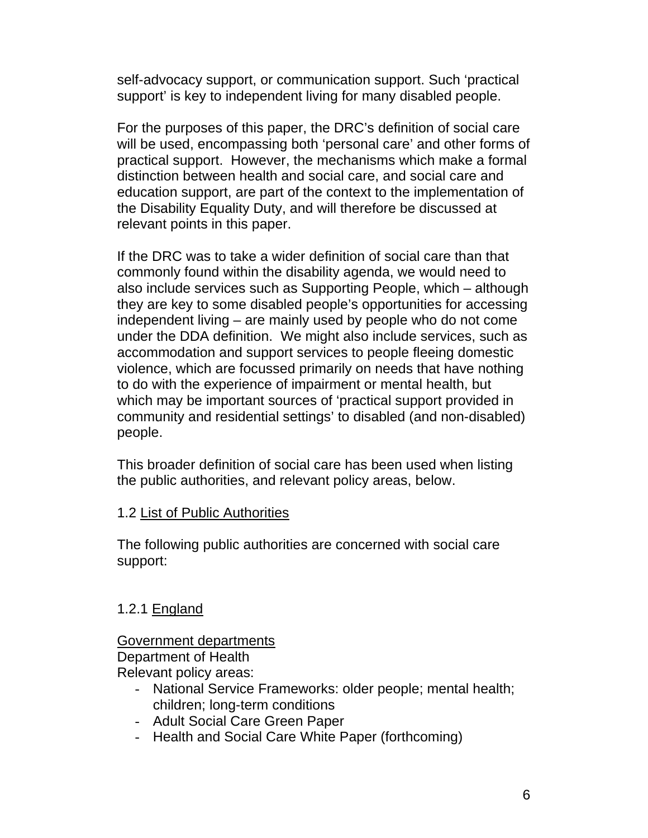self-advocacy support, or communication support. Such 'practical support' is key to independent living for many disabled people.

For the purposes of this paper, the DRC's definition of social care will be used, encompassing both 'personal care' and other forms of practical support. However, the mechanisms which make a formal distinction between health and social care, and social care and education support, are part of the context to the implementation of the Disability Equality Duty, and will therefore be discussed at relevant points in this paper.

If the DRC was to take a wider definition of social care than that commonly found within the disability agenda, we would need to also include services such as Supporting People, which – although they are key to some disabled people's opportunities for accessing independent living – are mainly used by people who do not come under the DDA definition. We might also include services, such as accommodation and support services to people fleeing domestic violence, which are focussed primarily on needs that have nothing to do with the experience of impairment or mental health, but which may be important sources of 'practical support provided in community and residential settings' to disabled (and non-disabled) people.

This broader definition of social care has been used when listing the public authorities, and relevant policy areas, below.

### 1.2 List of Public Authorities

The following public authorities are concerned with social care support:

### 1.2.1 England

# Government departments

Department of Health Relevant policy areas:

- National Service Frameworks: older people; mental health; children; long-term conditions
- Adult Social Care Green Paper
- Health and Social Care White Paper (forthcoming)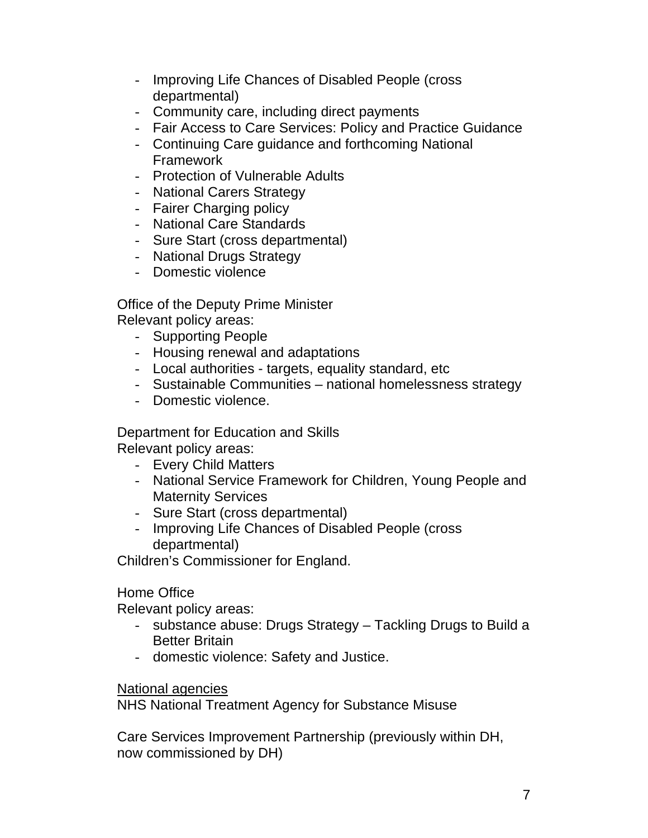- Improving Life Chances of Disabled People (cross departmental)
- Community care, including direct payments
- Fair Access to Care Services: Policy and Practice Guidance
- Continuing Care guidance and forthcoming National Framework
- Protection of Vulnerable Adults
- National Carers Strategy
- Fairer Charging policy
- National Care Standards
- Sure Start (cross departmental)
- National Drugs Strategy
- Domestic violence

Office of the Deputy Prime Minister Relevant policy areas:

- Supporting People
- Housing renewal and adaptations
- Local authorities targets, equality standard, etc
- Sustainable Communities national homelessness strategy
- Domestic violence.

Department for Education and Skills Relevant policy areas:

- Every Child Matters
- National Service Framework for Children, Young People and Maternity Services
- Sure Start (cross departmental)
- Improving Life Chances of Disabled People (cross departmental)

Children's Commissioner for England.

Home Office

Relevant policy areas:

- substance abuse: Drugs Strategy Tackling Drugs to Build a Better Britain
- domestic violence: Safety and Justice.

National agencies

NHS National Treatment Agency for Substance Misuse

Care Services Improvement Partnership (previously within DH, now commissioned by DH)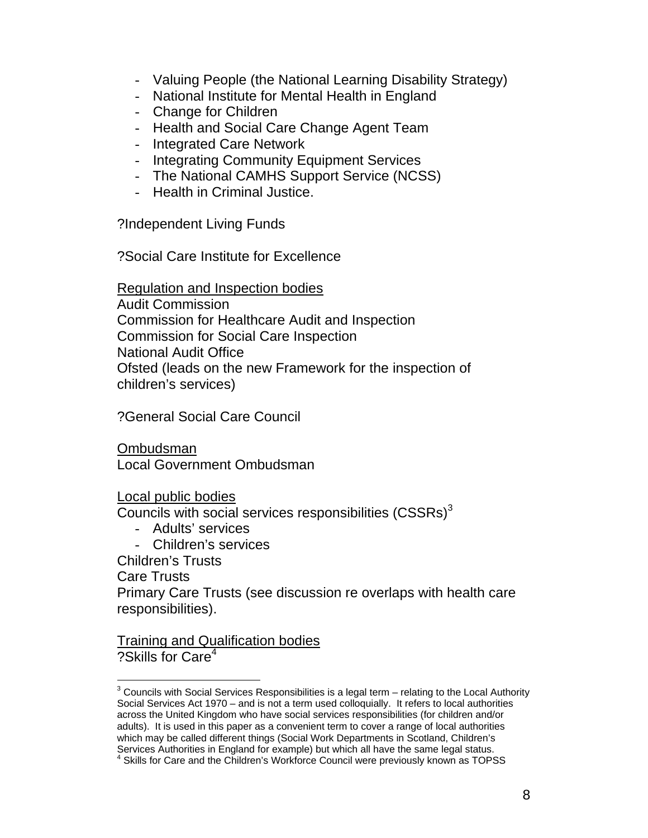- Valuing People (the National Learning Disability Strategy)
- National Institute for Mental Health in England
- Change for Children
- Health and Social Care Change Agent Team
- Integrated Care Network
- Integrating Community Equipment Services
- The National CAMHS Support Service (NCSS)
- Health in Criminal Justice.

?Independent Living Funds

?Social Care Institute for Excellence

Regulation and Inspection bodies Audit Commission Commission for Healthcare Audit and Inspection Commission for Social Care Inspection National Audit Office Ofsted (leads on the new Framework for the inspection of children's services)

?General Social Care Council

Ombudsman Local Government Ombudsman

Local public bodies

Councils with social services responsibilities  $(CSSRs)^3$ 

- Adults' services
- Children's services

Children's Trusts Care Trusts Primary Care Trusts (see discussion re overlaps with health care responsibilities).

Training and Qualification bodies ?Skills for Care<sup>4</sup>

  $3$  Councils with Social Services Responsibilities is a legal term – relating to the Local Authority Social Services Act 1970 – and is not a term used colloquially. It refers to local authorities across the United Kingdom who have social services responsibilities (for children and/or adults). It is used in this paper as a convenient term to cover a range of local authorities which may be called different things (Social Work Departments in Scotland, Children's Services Authorities in England for example) but which all have the same legal status.<br><sup>4</sup> Skills for Care and the Children's Workforce Council were previously known as TOPSS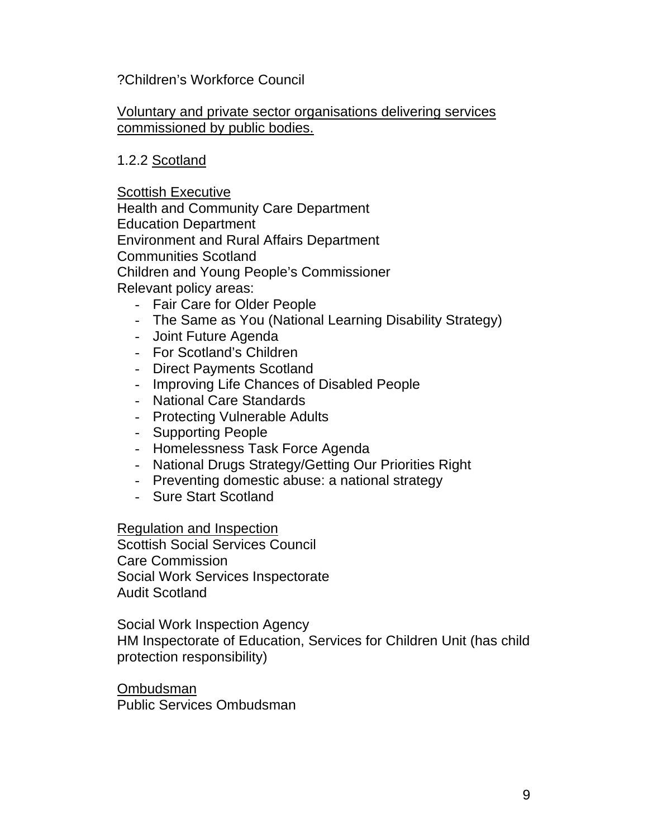### ?Children's Workforce Council

#### Voluntary and private sector organisations delivering services commissioned by public bodies.

### 1.2.2 Scotland

Scottish Executive Health and Community Care Department Education Department Environment and Rural Affairs Department Communities Scotland Children and Young People's Commissioner Relevant policy areas:

- Fair Care for Older People
- The Same as You (National Learning Disability Strategy)
- Joint Future Agenda
- For Scotland's Children
- Direct Payments Scotland
- Improving Life Chances of Disabled People
- National Care Standards
- Protecting Vulnerable Adults
- Supporting People
- Homelessness Task Force Agenda
- National Drugs Strategy/Getting Our Priorities Right
- Preventing domestic abuse: a national strategy
- Sure Start Scotland

Regulation and Inspection

Scottish Social Services Council Care Commission Social Work Services Inspectorate Audit Scotland

Social Work Inspection Agency HM Inspectorate of Education, Services for Children Unit (has child protection responsibility)

Ombudsman Public Services Ombudsman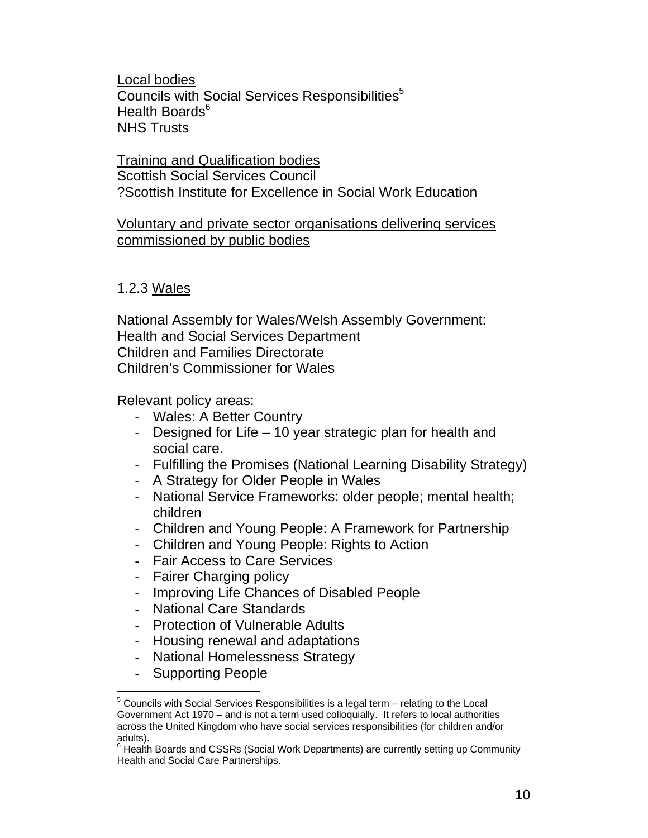Local bodies Councils with Social Services Responsibilities<sup>5</sup> Health Boards $6$ NHS Trusts

Training and Qualification bodies Scottish Social Services Council ?Scottish Institute for Excellence in Social Work Education

### Voluntary and private sector organisations delivering services commissioned by public bodies

1.2.3 Wales

National Assembly for Wales/Welsh Assembly Government: Health and Social Services Department Children and Families Directorate Children's Commissioner for Wales

Relevant policy areas:

- Wales: A Better Country
- Designed for Life 10 year strategic plan for health and social care.
- Fulfilling the Promises (National Learning Disability Strategy)
- A Strategy for Older People in Wales
- National Service Frameworks: older people; mental health; children
- Children and Young People: A Framework for Partnership
- Children and Young People: Rights to Action
- Fair Access to Care Services
- Fairer Charging policy
- Improving Life Chances of Disabled People
- National Care Standards
- Protection of Vulnerable Adults
- Housing renewal and adaptations
- National Homelessness Strategy
- Supporting People

  $5$  Councils with Social Services Responsibilities is a legal term – relating to the Local Government Act 1970 – and is not a term used colloquially. It refers to local authorities across the United Kingdom who have social services responsibilities (for children and/or adults).

<sup>&</sup>lt;sup>6</sup> Health Boards and CSSRs (Social Work Departments) are currently setting up Community Health and Social Care Partnerships.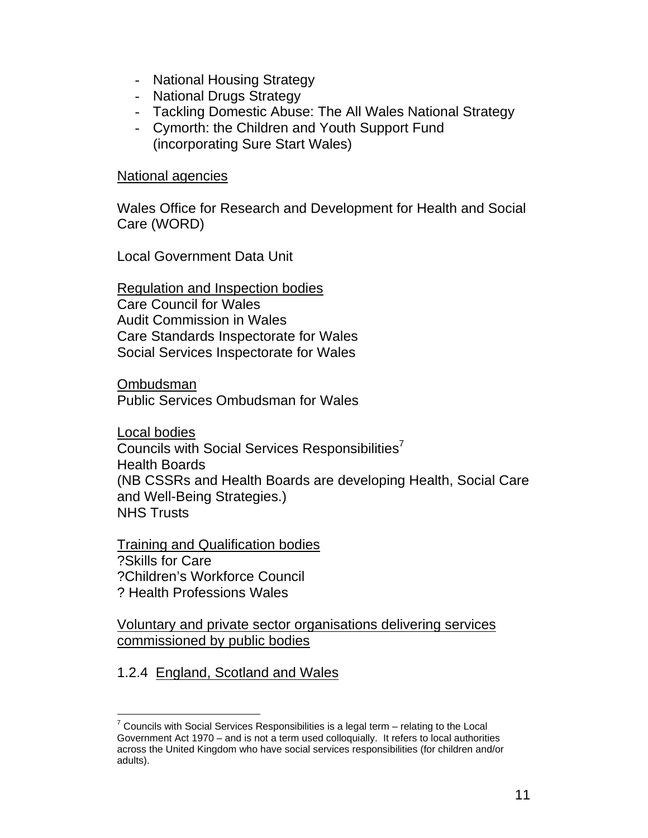- National Housing Strategy
- National Drugs Strategy
- Tackling Domestic Abuse: The All Wales National Strategy
- Cymorth: the Children and Youth Support Fund (incorporating Sure Start Wales)

#### National agencies

Wales Office for Research and Development for Health and Social Care (WORD)

Local Government Data Unit

Regulation and Inspection bodies Care Council for Wales Audit Commission in Wales Care Standards Inspectorate for Wales Social Services Inspectorate for Wales

Ombudsman Public Services Ombudsman for Wales

Local bodies Councils with Social Services Responsibilities<sup>7</sup> Health Boards (NB CSSRs and Health Boards are developing Health, Social Care and Well-Being Strategies.) NHS Trusts

Training and Qualification bodies ?Skills for Care ?Children's Workforce Council ? Health Professions Wales

Voluntary and private sector organisations delivering services commissioned by public bodies

### 1.2.4 England, Scotland and Wales

  $7$  Councils with Social Services Responsibilities is a legal term – relating to the Local Government Act 1970 – and is not a term used colloquially. It refers to local authorities across the United Kingdom who have social services responsibilities (for children and/or adults).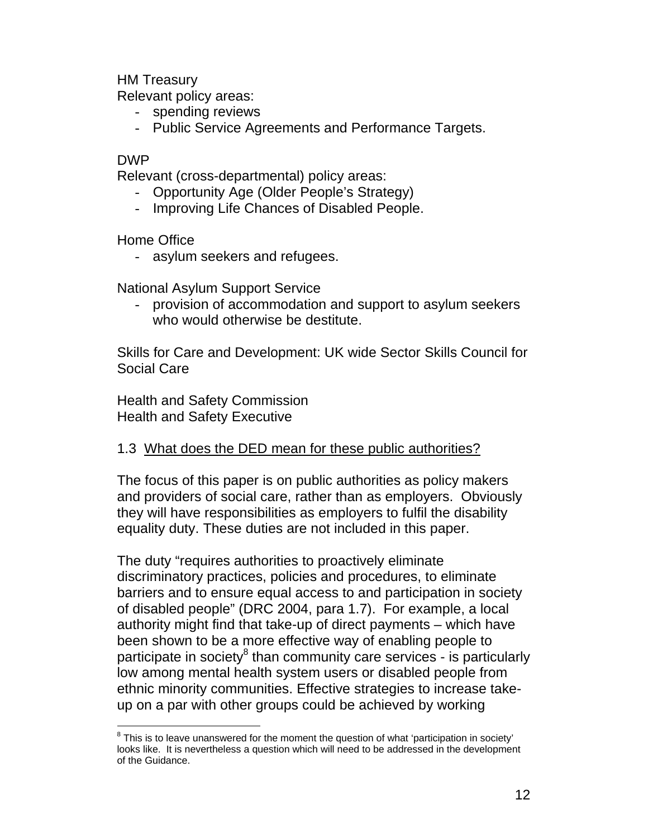HM Treasury

Relevant policy areas:

- spending reviews
- Public Service Agreements and Performance Targets.

#### DWP

 $\overline{a}$ 

Relevant (cross-departmental) policy areas:

- Opportunity Age (Older People's Strategy)
- Improving Life Chances of Disabled People.

Home Office

- asylum seekers and refugees.

National Asylum Support Service

- provision of accommodation and support to asylum seekers who would otherwise be destitute.

Skills for Care and Development: UK wide Sector Skills Council for Social Care

Health and Safety Commission Health and Safety Executive

### 1.3 What does the DED mean for these public authorities?

The focus of this paper is on public authorities as policy makers and providers of social care, rather than as employers. Obviously they will have responsibilities as employers to fulfil the disability equality duty. These duties are not included in this paper.

The duty "requires authorities to proactively eliminate discriminatory practices, policies and procedures, to eliminate barriers and to ensure equal access to and participation in society of disabled people" (DRC 2004, para 1.7). For example, a local authority might find that take-up of direct payments – which have been shown to be a more effective way of enabling people to participate in society<sup>8</sup> than community care services - is particularly low among mental health system users or disabled people from ethnic minority communities. Effective strategies to increase takeup on a par with other groups could be achieved by working

 $8$  This is to leave unanswered for the moment the question of what 'participation in society' looks like. It is nevertheless a question which will need to be addressed in the development of the Guidance.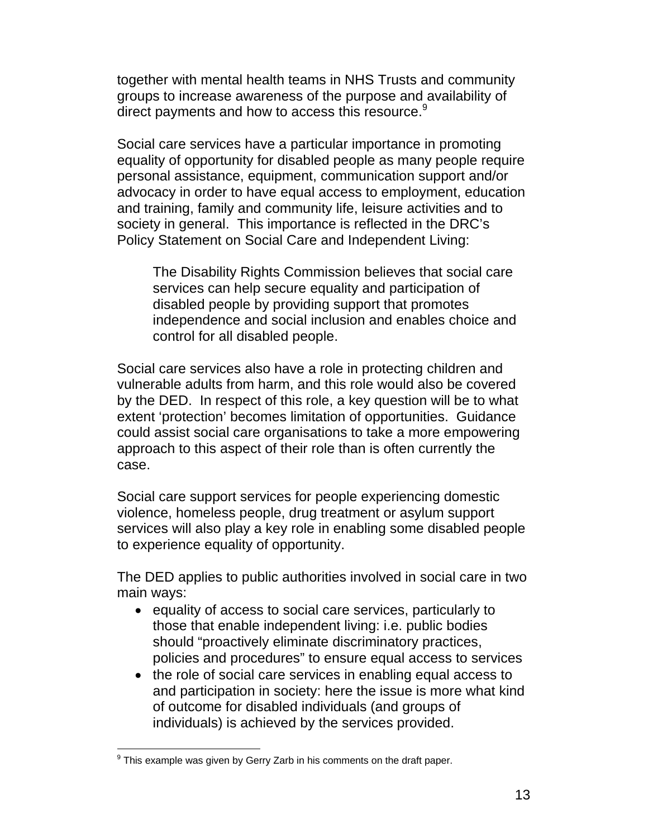together with mental health teams in NHS Trusts and community groups to increase awareness of the purpose and availability of direct payments and how to access this resource.<sup>9</sup>

Social care services have a particular importance in promoting equality of opportunity for disabled people as many people require personal assistance, equipment, communication support and/or advocacy in order to have equal access to employment, education and training, family and community life, leisure activities and to society in general. This importance is reflected in the DRC's Policy Statement on Social Care and Independent Living:

The Disability Rights Commission believes that social care services can help secure equality and participation of disabled people by providing support that promotes independence and social inclusion and enables choice and control for all disabled people.

Social care services also have a role in protecting children and vulnerable adults from harm, and this role would also be covered by the DED. In respect of this role, a key question will be to what extent 'protection' becomes limitation of opportunities. Guidance could assist social care organisations to take a more empowering approach to this aspect of their role than is often currently the case.

Social care support services for people experiencing domestic violence, homeless people, drug treatment or asylum support services will also play a key role in enabling some disabled people to experience equality of opportunity.

The DED applies to public authorities involved in social care in two main ways:

- equality of access to social care services, particularly to those that enable independent living: i.e. public bodies should "proactively eliminate discriminatory practices, policies and procedures" to ensure equal access to services
- the role of social care services in enabling equal access to and participation in society: here the issue is more what kind of outcome for disabled individuals (and groups of individuals) is achieved by the services provided.

 $\overline{a}$ <sup>9</sup> This example was given by Gerry Zarb in his comments on the draft paper.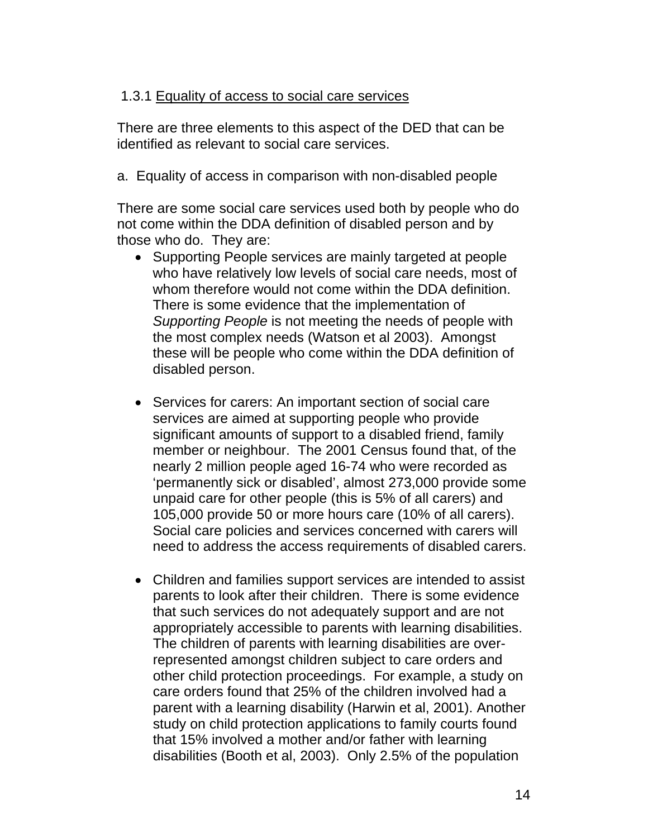### 1.3.1 Equality of access to social care services

There are three elements to this aspect of the DED that can be identified as relevant to social care services.

a. Equality of access in comparison with non-disabled people

There are some social care services used both by people who do not come within the DDA definition of disabled person and by those who do. They are:

- Supporting People services are mainly targeted at people who have relatively low levels of social care needs, most of whom therefore would not come within the DDA definition. There is some evidence that the implementation of *Supporting People* is not meeting the needs of people with the most complex needs (Watson et al 2003). Amongst these will be people who come within the DDA definition of disabled person.
- Services for carers: An important section of social care services are aimed at supporting people who provide significant amounts of support to a disabled friend, family member or neighbour. The 2001 Census found that, of the nearly 2 million people aged 16-74 who were recorded as 'permanently sick or disabled', almost 273,000 provide some unpaid care for other people (this is 5% of all carers) and 105,000 provide 50 or more hours care (10% of all carers). Social care policies and services concerned with carers will need to address the access requirements of disabled carers.
- Children and families support services are intended to assist parents to look after their children. There is some evidence that such services do not adequately support and are not appropriately accessible to parents with learning disabilities. The children of parents with learning disabilities are overrepresented amongst children subject to care orders and other child protection proceedings. For example, a study on care orders found that 25% of the children involved had a parent with a learning disability (Harwin et al, 2001). Another study on child protection applications to family courts found that 15% involved a mother and/or father with learning disabilities (Booth et al, 2003). Only 2.5% of the population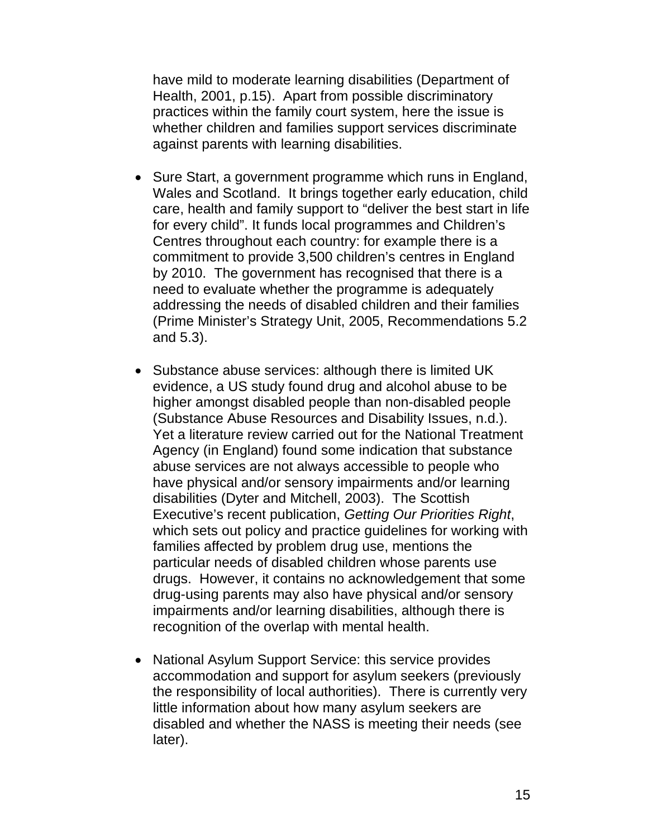have mild to moderate learning disabilities (Department of Health, 2001, p.15). Apart from possible discriminatory practices within the family court system, here the issue is whether children and families support services discriminate against parents with learning disabilities.

- Sure Start, a government programme which runs in England, Wales and Scotland. It brings together early education, child care, health and family support to "deliver the best start in life for every child". It funds local programmes and Children's Centres throughout each country: for example there is a commitment to provide 3,500 children's centres in England by 2010. The government has recognised that there is a need to evaluate whether the programme is adequately addressing the needs of disabled children and their families (Prime Minister's Strategy Unit, 2005, Recommendations 5.2 and 5.3).
- Substance abuse services: although there is limited UK evidence, a US study found drug and alcohol abuse to be higher amongst disabled people than non-disabled people (Substance Abuse Resources and Disability Issues, n.d.). Yet a literature review carried out for the National Treatment Agency (in England) found some indication that substance abuse services are not always accessible to people who have physical and/or sensory impairments and/or learning disabilities (Dyter and Mitchell, 2003). The Scottish Executive's recent publication, *Getting Our Priorities Right*, which sets out policy and practice guidelines for working with families affected by problem drug use, mentions the particular needs of disabled children whose parents use drugs. However, it contains no acknowledgement that some drug-using parents may also have physical and/or sensory impairments and/or learning disabilities, although there is recognition of the overlap with mental health.
- National Asylum Support Service: this service provides accommodation and support for asylum seekers (previously the responsibility of local authorities). There is currently very little information about how many asylum seekers are disabled and whether the NASS is meeting their needs (see later).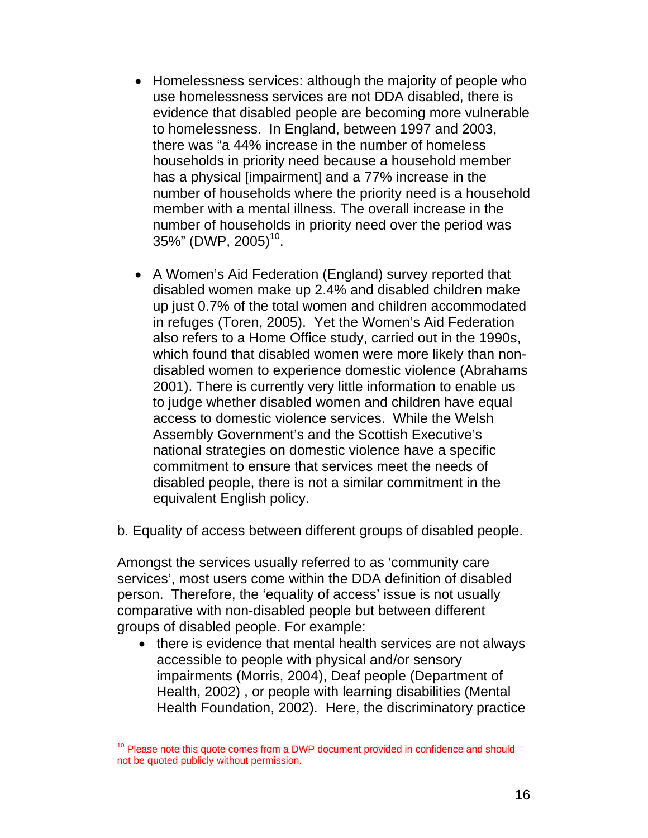- Homelessness services: although the majority of people who use homelessness services are not DDA disabled, there is evidence that disabled people are becoming more vulnerable to homelessness. In England, between 1997 and 2003, there was "a 44% increase in the number of homeless households in priority need because a household member has a physical [impairment] and a 77% increase in the number of households where the priority need is a household member with a mental illness. The overall increase in the number of households in priority need over the period was  $35\%$ " (DWP, 2005)<sup>10</sup>.
- A Women's Aid Federation (England) survey reported that disabled women make up 2.4% and disabled children make up just 0.7% of the total women and children accommodated in refuges (Toren, 2005). Yet the Women's Aid Federation also refers to a Home Office study, carried out in the 1990s, which found that disabled women were more likely than nondisabled women to experience domestic violence (Abrahams 2001). There is currently very little information to enable us to judge whether disabled women and children have equal access to domestic violence services. While the Welsh Assembly Government's and the Scottish Executive's national strategies on domestic violence have a specific commitment to ensure that services meet the needs of disabled people, there is not a similar commitment in the equivalent English policy.
- b. Equality of access between different groups of disabled people.

Amongst the services usually referred to as 'community care services', most users come within the DDA definition of disabled person. Therefore, the 'equality of access' issue is not usually comparative with non-disabled people but between different groups of disabled people. For example:

• there is evidence that mental health services are not always accessible to people with physical and/or sensory impairments (Morris, 2004), Deaf people (Department of Health, 2002) , or people with learning disabilities (Mental Health Foundation, 2002). Here, the discriminatory practice

 $\overline{a}$ 

<sup>&</sup>lt;sup>10</sup> Please note this quote comes from a DWP document provided in confidence and should not be quoted publicly without permission.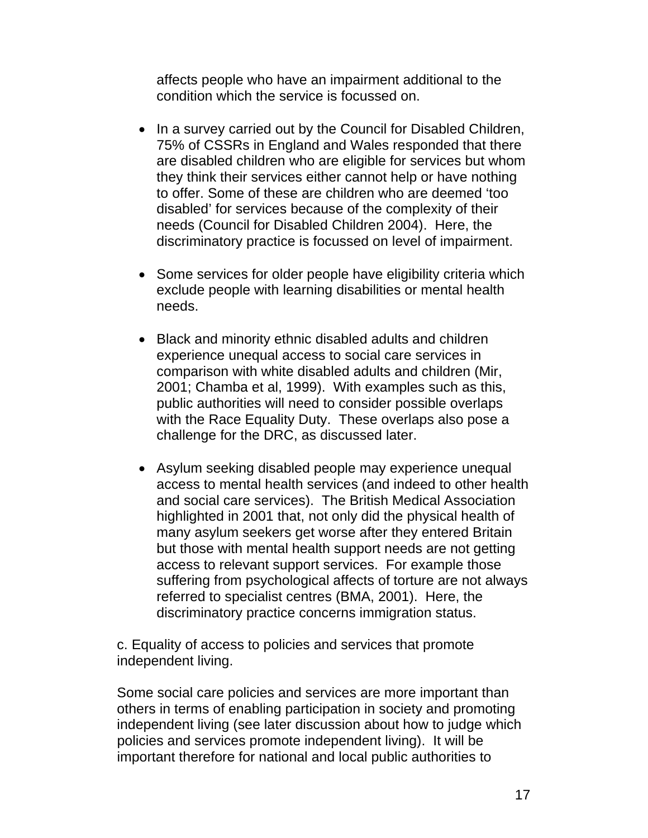affects people who have an impairment additional to the condition which the service is focussed on.

- In a survey carried out by the Council for Disabled Children, 75% of CSSRs in England and Wales responded that there are disabled children who are eligible for services but whom they think their services either cannot help or have nothing to offer. Some of these are children who are deemed 'too disabled' for services because of the complexity of their needs (Council for Disabled Children 2004). Here, the discriminatory practice is focussed on level of impairment.
- Some services for older people have eligibility criteria which exclude people with learning disabilities or mental health needs.
- Black and minority ethnic disabled adults and children experience unequal access to social care services in comparison with white disabled adults and children (Mir, 2001; Chamba et al, 1999). With examples such as this, public authorities will need to consider possible overlaps with the Race Equality Duty. These overlaps also pose a challenge for the DRC, as discussed later.
- Asylum seeking disabled people may experience unequal access to mental health services (and indeed to other health and social care services). The British Medical Association highlighted in 2001 that, not only did the physical health of many asylum seekers get worse after they entered Britain but those with mental health support needs are not getting access to relevant support services. For example those suffering from psychological affects of torture are not always referred to specialist centres (BMA, 2001). Here, the discriminatory practice concerns immigration status.

c. Equality of access to policies and services that promote independent living.

Some social care policies and services are more important than others in terms of enabling participation in society and promoting independent living (see later discussion about how to judge which policies and services promote independent living). It will be important therefore for national and local public authorities to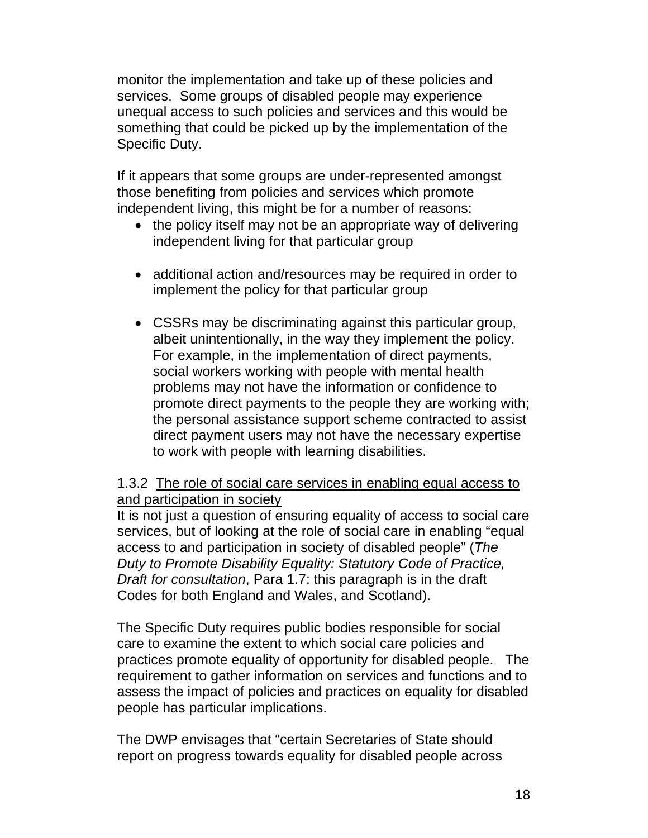monitor the implementation and take up of these policies and services. Some groups of disabled people may experience unequal access to such policies and services and this would be something that could be picked up by the implementation of the Specific Duty.

If it appears that some groups are under-represented amongst those benefiting from policies and services which promote independent living, this might be for a number of reasons:

- the policy itself may not be an appropriate way of delivering independent living for that particular group
- additional action and/resources may be required in order to implement the policy for that particular group
- CSSRs may be discriminating against this particular group, albeit unintentionally, in the way they implement the policy. For example, in the implementation of direct payments, social workers working with people with mental health problems may not have the information or confidence to promote direct payments to the people they are working with; the personal assistance support scheme contracted to assist direct payment users may not have the necessary expertise to work with people with learning disabilities.

### 1.3.2 The role of social care services in enabling equal access to and participation in society

It is not just a question of ensuring equality of access to social care services, but of looking at the role of social care in enabling "equal access to and participation in society of disabled people" (*The Duty to Promote Disability Equality: Statutory Code of Practice, Draft for consultation*, Para 1.7: this paragraph is in the draft Codes for both England and Wales, and Scotland).

The Specific Duty requires public bodies responsible for social care to examine the extent to which social care policies and practices promote equality of opportunity for disabled people. The requirement to gather information on services and functions and to assess the impact of policies and practices on equality for disabled people has particular implications.

The DWP envisages that "certain Secretaries of State should report on progress towards equality for disabled people across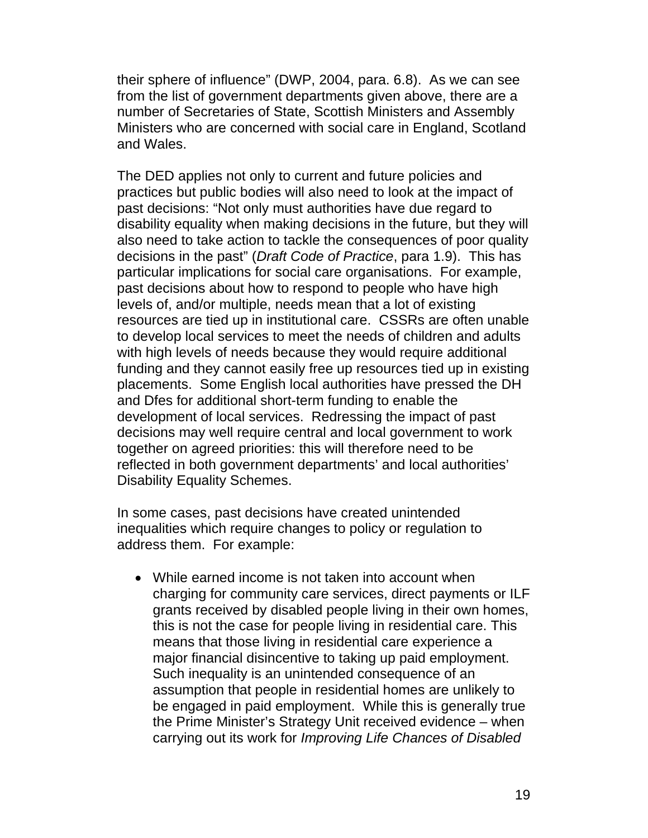their sphere of influence" (DWP, 2004, para. 6.8). As we can see from the list of government departments given above, there are a number of Secretaries of State, Scottish Ministers and Assembly Ministers who are concerned with social care in England, Scotland and Wales.

The DED applies not only to current and future policies and practices but public bodies will also need to look at the impact of past decisions: "Not only must authorities have due regard to disability equality when making decisions in the future, but they will also need to take action to tackle the consequences of poor quality decisions in the past" (*Draft Code of Practice*, para 1.9). This has particular implications for social care organisations. For example, past decisions about how to respond to people who have high levels of, and/or multiple, needs mean that a lot of existing resources are tied up in institutional care. CSSRs are often unable to develop local services to meet the needs of children and adults with high levels of needs because they would require additional funding and they cannot easily free up resources tied up in existing placements. Some English local authorities have pressed the DH and Dfes for additional short-term funding to enable the development of local services. Redressing the impact of past decisions may well require central and local government to work together on agreed priorities: this will therefore need to be reflected in both government departments' and local authorities' Disability Equality Schemes.

In some cases, past decisions have created unintended inequalities which require changes to policy or regulation to address them. For example:

• While earned income is not taken into account when charging for community care services, direct payments or ILF grants received by disabled people living in their own homes, this is not the case for people living in residential care. This means that those living in residential care experience a major financial disincentive to taking up paid employment. Such inequality is an unintended consequence of an assumption that people in residential homes are unlikely to be engaged in paid employment. While this is generally true the Prime Minister's Strategy Unit received evidence – when carrying out its work for *Improving Life Chances of Disabled*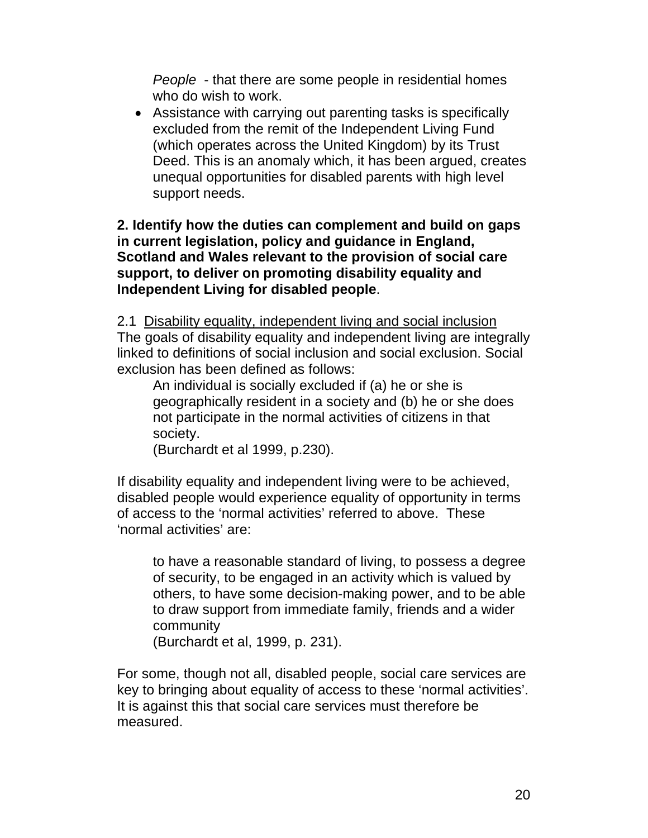*People* - that there are some people in residential homes who do wish to work.

• Assistance with carrying out parenting tasks is specifically excluded from the remit of the Independent Living Fund (which operates across the United Kingdom) by its Trust Deed. This is an anomaly which, it has been argued, creates unequal opportunities for disabled parents with high level support needs.

**2. Identify how the duties can complement and build on gaps in current legislation, policy and guidance in England, Scotland and Wales relevant to the provision of social care support, to deliver on promoting disability equality and Independent Living for disabled people**.

2.1 Disability equality, independent living and social inclusion The goals of disability equality and independent living are integrally linked to definitions of social inclusion and social exclusion. Social exclusion has been defined as follows:

An individual is socially excluded if (a) he or she is geographically resident in a society and (b) he or she does not participate in the normal activities of citizens in that society.

(Burchardt et al 1999, p.230).

If disability equality and independent living were to be achieved, disabled people would experience equality of opportunity in terms of access to the 'normal activities' referred to above. These 'normal activities' are:

to have a reasonable standard of living, to possess a degree of security, to be engaged in an activity which is valued by others, to have some decision-making power, and to be able to draw support from immediate family, friends and a wider community

(Burchardt et al, 1999, p. 231).

For some, though not all, disabled people, social care services are key to bringing about equality of access to these 'normal activities'. It is against this that social care services must therefore be measured.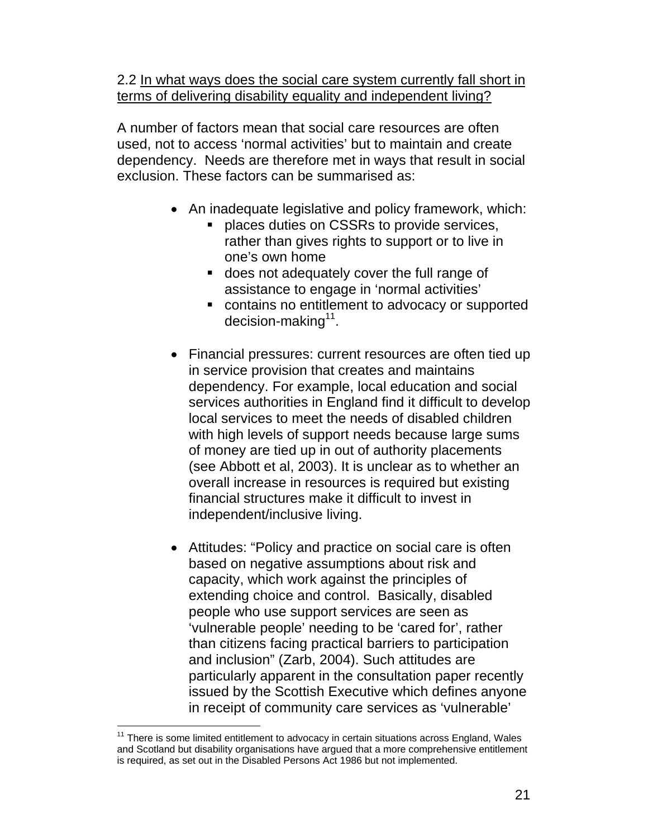2.2 In what ways does the social care system currently fall short in terms of delivering disability equality and independent living?

A number of factors mean that social care resources are often used, not to access 'normal activities' but to maintain and create dependency. Needs are therefore met in ways that result in social exclusion. These factors can be summarised as:

- An inadequate legislative and policy framework, which:
	- places duties on CSSRs to provide services, rather than gives rights to support or to live in one's own home
	- **does not adequately cover the full range of** assistance to engage in 'normal activities'
	- contains no entitlement to advocacy or supported decision-making $11$ .
- Financial pressures: current resources are often tied up in service provision that creates and maintains dependency. For example, local education and social services authorities in England find it difficult to develop local services to meet the needs of disabled children with high levels of support needs because large sums of money are tied up in out of authority placements (see Abbott et al, 2003). It is unclear as to whether an overall increase in resources is required but existing financial structures make it difficult to invest in independent/inclusive living.
- Attitudes: "Policy and practice on social care is often based on negative assumptions about risk and capacity, which work against the principles of extending choice and control. Basically, disabled people who use support services are seen as 'vulnerable people' needing to be 'cared for', rather than citizens facing practical barriers to participation and inclusion" (Zarb, 2004). Such attitudes are particularly apparent in the consultation paper recently issued by the Scottish Executive which defines anyone in receipt of community care services as 'vulnerable'

 $\overline{a}$  $11$  There is some limited entitlement to advocacy in certain situations across England, Wales and Scotland but disability organisations have argued that a more comprehensive entitlement is required, as set out in the Disabled Persons Act 1986 but not implemented.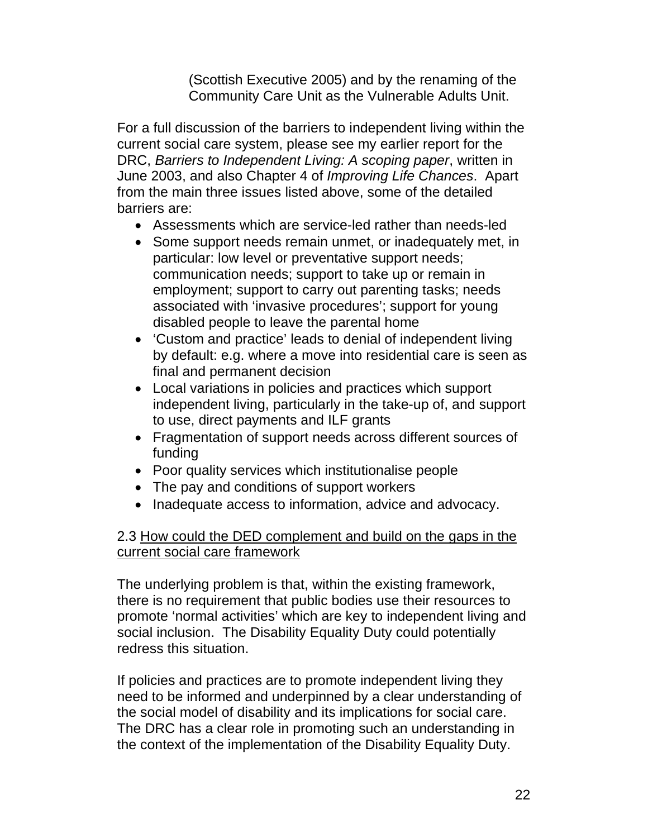(Scottish Executive 2005) and by the renaming of the Community Care Unit as the Vulnerable Adults Unit.

For a full discussion of the barriers to independent living within the current social care system, please see my earlier report for the DRC, *Barriers to Independent Living: A scoping paper*, written in June 2003, and also Chapter 4 of *Improving Life Chances*. Apart from the main three issues listed above, some of the detailed barriers are:

- Assessments which are service-led rather than needs-led
- Some support needs remain unmet, or inadequately met, in particular: low level or preventative support needs; communication needs; support to take up or remain in employment; support to carry out parenting tasks; needs associated with 'invasive procedures'; support for young disabled people to leave the parental home
- 'Custom and practice' leads to denial of independent living by default: e.g. where a move into residential care is seen as final and permanent decision
- Local variations in policies and practices which support independent living, particularly in the take-up of, and support to use, direct payments and ILF grants
- Fragmentation of support needs across different sources of funding
- Poor quality services which institutionalise people
- The pay and conditions of support workers
- Inadequate access to information, advice and advocacy.

### 2.3 How could the DED complement and build on the gaps in the current social care framework

The underlying problem is that, within the existing framework, there is no requirement that public bodies use their resources to promote 'normal activities' which are key to independent living and social inclusion. The Disability Equality Duty could potentially redress this situation.

If policies and practices are to promote independent living they need to be informed and underpinned by a clear understanding of the social model of disability and its implications for social care. The DRC has a clear role in promoting such an understanding in the context of the implementation of the Disability Equality Duty.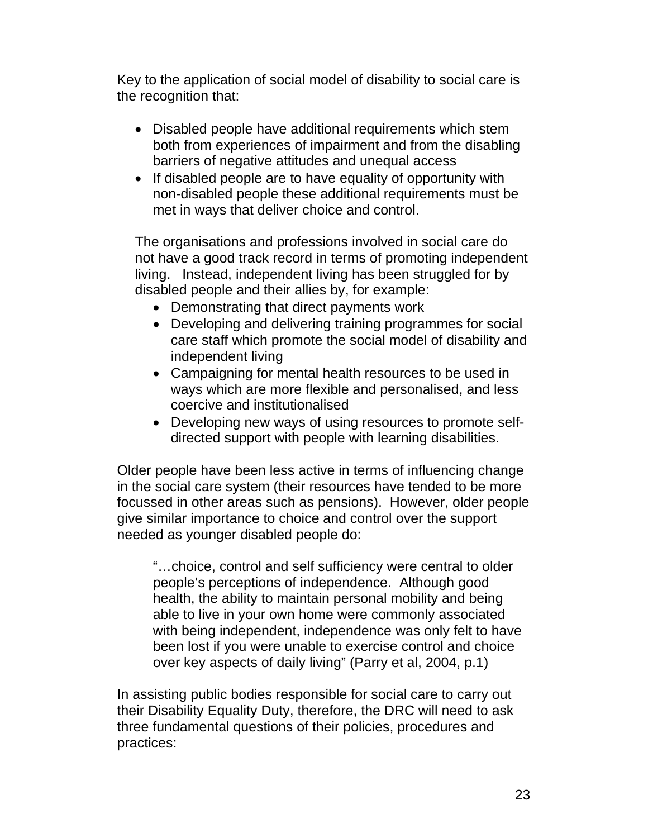Key to the application of social model of disability to social care is the recognition that:

- Disabled people have additional requirements which stem both from experiences of impairment and from the disabling barriers of negative attitudes and unequal access
- If disabled people are to have equality of opportunity with non-disabled people these additional requirements must be met in ways that deliver choice and control.

The organisations and professions involved in social care do not have a good track record in terms of promoting independent living. Instead, independent living has been struggled for by disabled people and their allies by, for example:

- Demonstrating that direct payments work
- Developing and delivering training programmes for social care staff which promote the social model of disability and independent living
- Campaigning for mental health resources to be used in ways which are more flexible and personalised, and less coercive and institutionalised
- Developing new ways of using resources to promote selfdirected support with people with learning disabilities.

Older people have been less active in terms of influencing change in the social care system (their resources have tended to be more focussed in other areas such as pensions). However, older people give similar importance to choice and control over the support needed as younger disabled people do:

"…choice, control and self sufficiency were central to older people's perceptions of independence. Although good health, the ability to maintain personal mobility and being able to live in your own home were commonly associated with being independent, independence was only felt to have been lost if you were unable to exercise control and choice over key aspects of daily living" (Parry et al, 2004, p.1)

In assisting public bodies responsible for social care to carry out their Disability Equality Duty, therefore, the DRC will need to ask three fundamental questions of their policies, procedures and practices: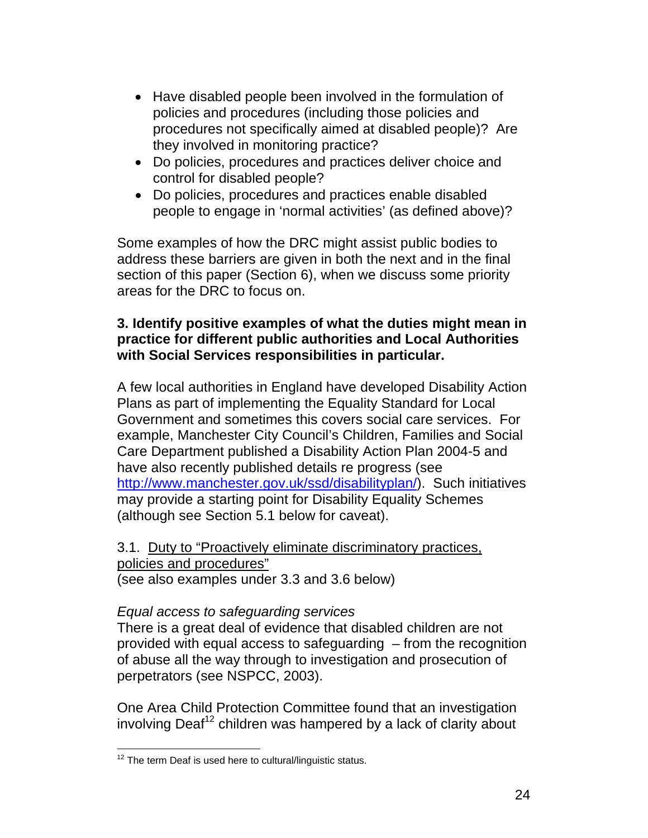- Have disabled people been involved in the formulation of policies and procedures (including those policies and procedures not specifically aimed at disabled people)? Are they involved in monitoring practice?
- Do policies, procedures and practices deliver choice and control for disabled people?
- Do policies, procedures and practices enable disabled people to engage in 'normal activities' (as defined above)?

Some examples of how the DRC might assist public bodies to address these barriers are given in both the next and in the final section of this paper (Section 6), when we discuss some priority areas for the DRC to focus on.

### **3. Identify positive examples of what the duties might mean in practice for different public authorities and Local Authorities with Social Services responsibilities in particular.**

A few local authorities in England have developed Disability Action Plans as part of implementing the Equality Standard for Local Government and sometimes this covers social care services. For example, Manchester City Council's Children, Families and Social Care Department published a Disability Action Plan 2004-5 and have also recently published details re progress (see http://www.manchester.gov.uk/ssd/disabilityplan/). Such initiatives may provide a starting point for Disability Equality Schemes (although see Section 5.1 below for caveat).

## 3.1. Duty to "Proactively eliminate discriminatory practices, policies and procedures"

(see also examples under 3.3 and 3.6 below)

### *Equal access to safeguarding services*

There is a great deal of evidence that disabled children are not provided with equal access to safeguarding – from the recognition of abuse all the way through to investigation and prosecution of perpetrators (see NSPCC, 2003).

One Area Child Protection Committee found that an investigation involving Deaf<sup>12</sup> children was hampered by a lack of clarity about

  $12$  The term Deaf is used here to cultural/linguistic status.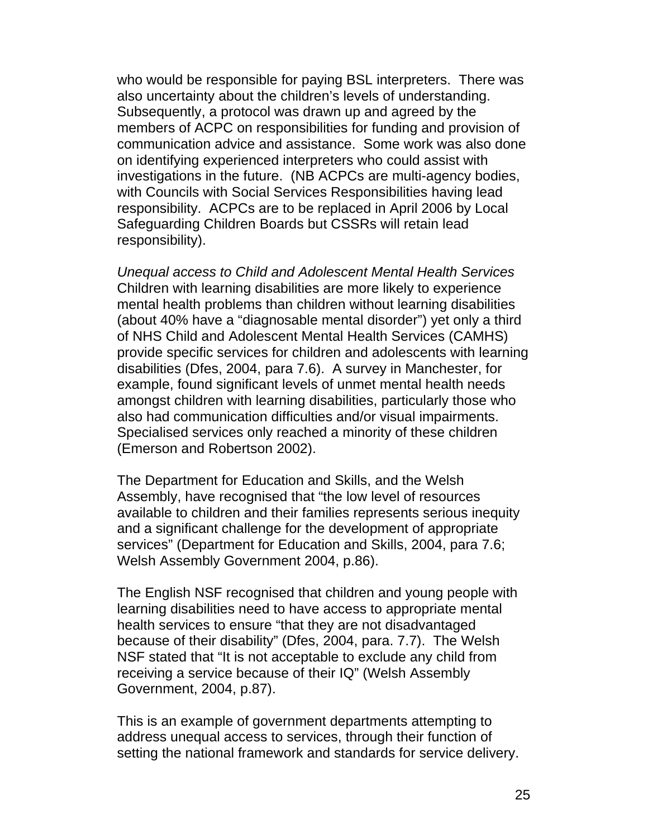who would be responsible for paying BSL interpreters. There was also uncertainty about the children's levels of understanding. Subsequently, a protocol was drawn up and agreed by the members of ACPC on responsibilities for funding and provision of communication advice and assistance. Some work was also done on identifying experienced interpreters who could assist with investigations in the future. (NB ACPCs are multi-agency bodies, with Councils with Social Services Responsibilities having lead responsibility. ACPCs are to be replaced in April 2006 by Local Safeguarding Children Boards but CSSRs will retain lead responsibility).

*Unequal access to Child and Adolescent Mental Health Services*  Children with learning disabilities are more likely to experience mental health problems than children without learning disabilities (about 40% have a "diagnosable mental disorder") yet only a third of NHS Child and Adolescent Mental Health Services (CAMHS) provide specific services for children and adolescents with learning disabilities (Dfes, 2004, para 7.6). A survey in Manchester, for example, found significant levels of unmet mental health needs amongst children with learning disabilities, particularly those who also had communication difficulties and/or visual impairments. Specialised services only reached a minority of these children (Emerson and Robertson 2002).

The Department for Education and Skills, and the Welsh Assembly, have recognised that "the low level of resources available to children and their families represents serious inequity and a significant challenge for the development of appropriate services" (Department for Education and Skills, 2004, para 7.6; Welsh Assembly Government 2004, p.86).

The English NSF recognised that children and young people with learning disabilities need to have access to appropriate mental health services to ensure "that they are not disadvantaged because of their disability" (Dfes, 2004, para. 7.7). The Welsh NSF stated that "It is not acceptable to exclude any child from receiving a service because of their IQ" (Welsh Assembly Government, 2004, p.87).

This is an example of government departments attempting to address unequal access to services, through their function of setting the national framework and standards for service delivery.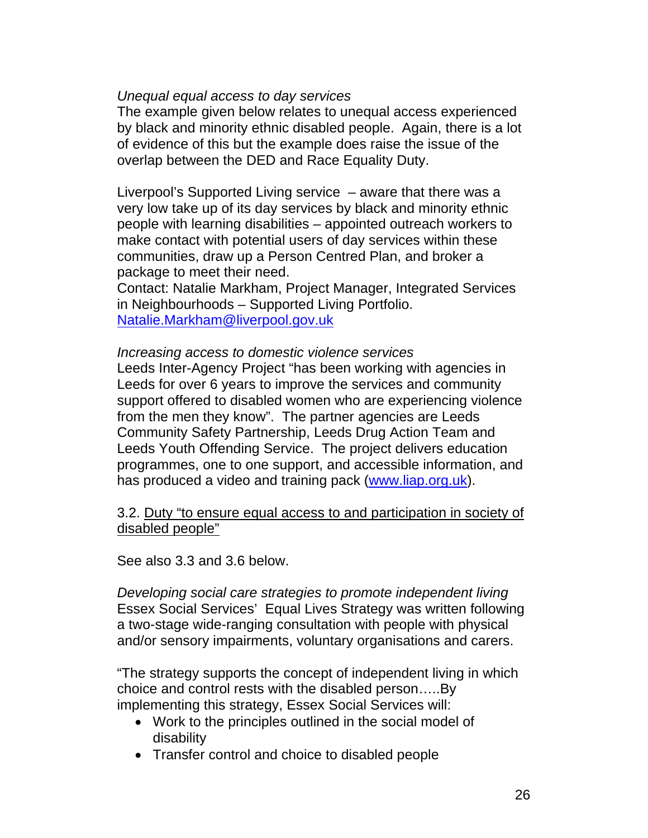#### *Unequal equal access to day services*

The example given below relates to unequal access experienced by black and minority ethnic disabled people. Again, there is a lot of evidence of this but the example does raise the issue of the overlap between the DED and Race Equality Duty.

Liverpool's Supported Living service – aware that there was a very low take up of its day services by black and minority ethnic people with learning disabilities – appointed outreach workers to make contact with potential users of day services within these communities, draw up a Person Centred Plan, and broker a package to meet their need.

Contact: Natalie Markham, Project Manager, Integrated Services in Neighbourhoods – Supported Living Portfolio. Natalie.Markham@liverpool.gov.uk

#### *Increasing access to domestic violence services*

Leeds Inter-Agency Project "has been working with agencies in Leeds for over 6 years to improve the services and community support offered to disabled women who are experiencing violence from the men they know". The partner agencies are Leeds Community Safety Partnership, Leeds Drug Action Team and Leeds Youth Offending Service. The project delivers education programmes, one to one support, and accessible information, and has produced a video and training pack (www.liap.org.uk).

#### 3.2. Duty "to ensure equal access to and participation in society of disabled people"

See also 3.3 and 3.6 below.

*Developing social care strategies to promote independent living*  Essex Social Services' Equal Lives Strategy was written following a two-stage wide-ranging consultation with people with physical and/or sensory impairments, voluntary organisations and carers.

"The strategy supports the concept of independent living in which choice and control rests with the disabled person…..By implementing this strategy, Essex Social Services will:

- Work to the principles outlined in the social model of disability
- Transfer control and choice to disabled people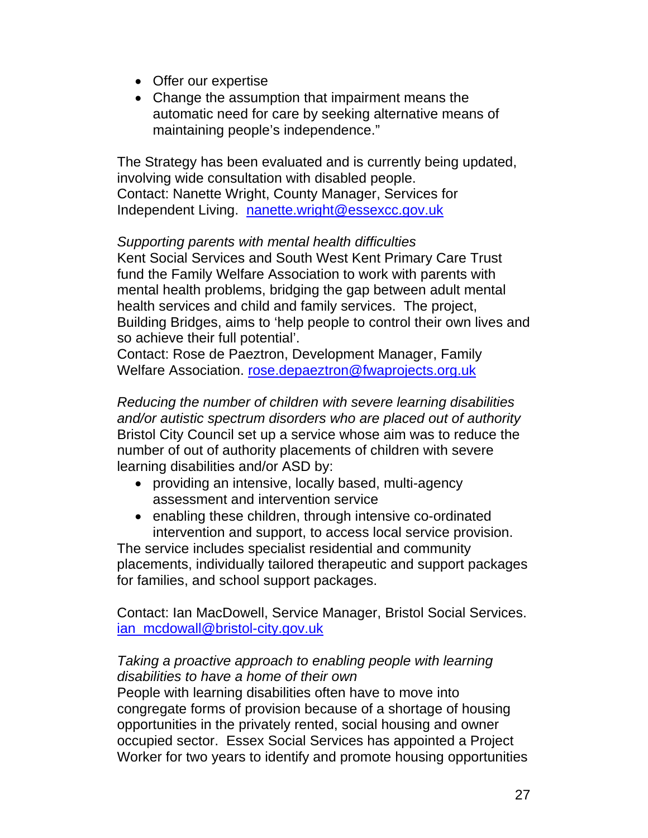- Offer our expertise
- Change the assumption that impairment means the automatic need for care by seeking alternative means of maintaining people's independence."

The Strategy has been evaluated and is currently being updated, involving wide consultation with disabled people. Contact: Nanette Wright, County Manager, Services for Independent Living. nanette.wright@essexcc.gov.uk

*Supporting parents with mental health difficulties*  Kent Social Services and South West Kent Primary Care Trust fund the Family Welfare Association to work with parents with mental health problems, bridging the gap between adult mental health services and child and family services. The project, Building Bridges, aims to 'help people to control their own lives and so achieve their full potential'.

Contact: Rose de Paeztron, Development Manager, Family Welfare Association. rose.depaeztron@fwaprojects.org.uk

*Reducing the number of children with severe learning disabilities and/or autistic spectrum disorders who are placed out of authority*  Bristol City Council set up a service whose aim was to reduce the number of out of authority placements of children with severe learning disabilities and/or ASD by:

- providing an intensive, locally based, multi-agency assessment and intervention service
- enabling these children, through intensive co-ordinated intervention and support, to access local service provision.

The service includes specialist residential and community placements, individually tailored therapeutic and support packages for families, and school support packages.

Contact: Ian MacDowell, Service Manager, Bristol Social Services. ian\_mcdowall@bristol-city.gov.uk

### *Taking a proactive approach to enabling people with learning disabilities to have a home of their own*

People with learning disabilities often have to move into congregate forms of provision because of a shortage of housing opportunities in the privately rented, social housing and owner occupied sector. Essex Social Services has appointed a Project Worker for two years to identify and promote housing opportunities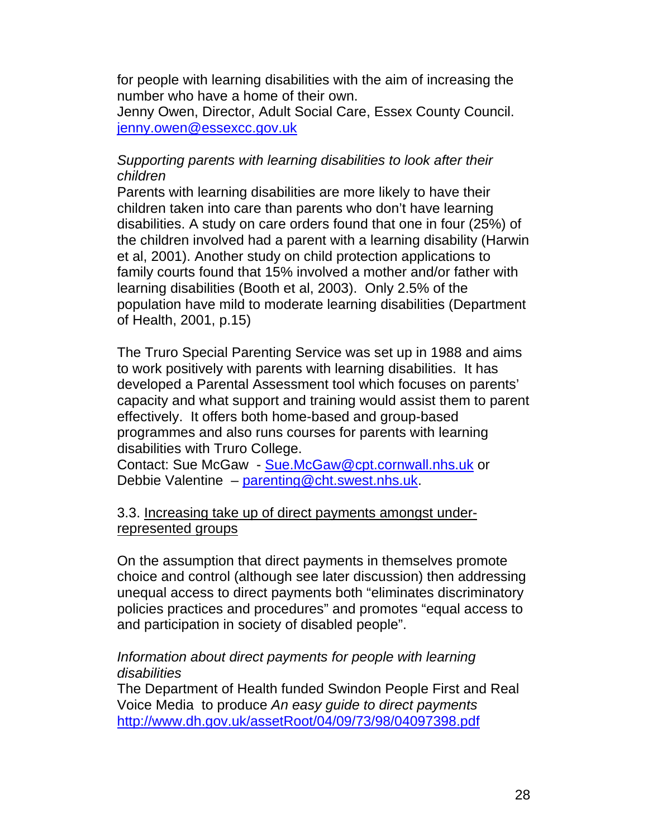for people with learning disabilities with the aim of increasing the number who have a home of their own.

Jenny Owen, Director, Adult Social Care, Essex County Council. jenny.owen@essexcc.gov.uk

### *Supporting parents with learning disabilities to look after their children*

Parents with learning disabilities are more likely to have their children taken into care than parents who don't have learning disabilities. A study on care orders found that one in four (25%) of the children involved had a parent with a learning disability (Harwin et al, 2001). Another study on child protection applications to family courts found that 15% involved a mother and/or father with learning disabilities (Booth et al, 2003). Only 2.5% of the population have mild to moderate learning disabilities (Department of Health, 2001, p.15)

The Truro Special Parenting Service was set up in 1988 and aims to work positively with parents with learning disabilities. It has developed a Parental Assessment tool which focuses on parents' capacity and what support and training would assist them to parent effectively. It offers both home-based and group-based programmes and also runs courses for parents with learning disabilities with Truro College.

Contact: Sue McGaw - Sue.McGaw@cpt.cornwall.nhs.uk or Debbie Valentine – parenting@cht.swest.nhs.uk.

### 3.3. Increasing take up of direct payments amongst underrepresented groups

On the assumption that direct payments in themselves promote choice and control (although see later discussion) then addressing unequal access to direct payments both "eliminates discriminatory policies practices and procedures" and promotes "equal access to and participation in society of disabled people".

### *Information about direct payments for people with learning disabilities*

The Department of Health funded Swindon People First and Real Voice Media to produce *An easy guide to direct payments*  http://www.dh.gov.uk/assetRoot/04/09/73/98/04097398.pdf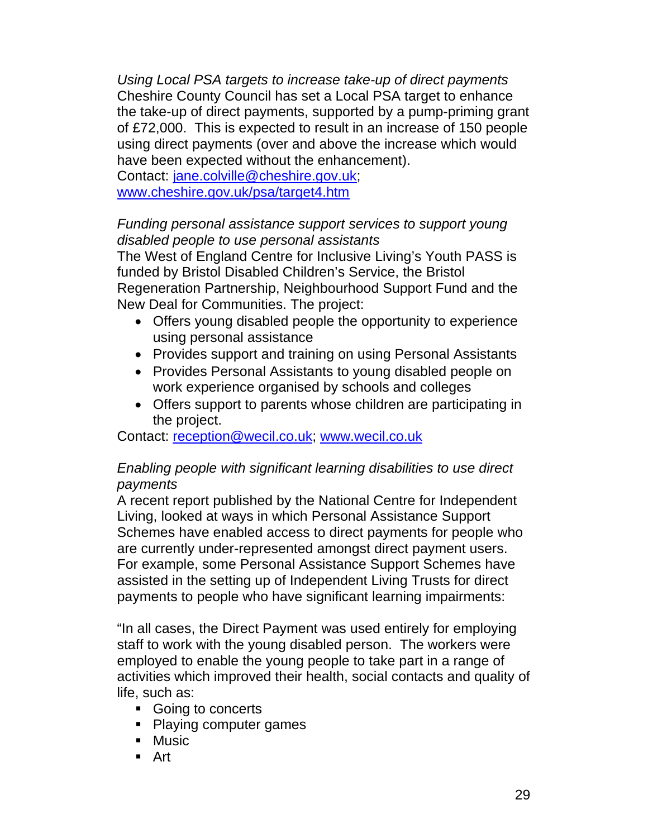*Using Local PSA targets to increase take-up of direct payments*  Cheshire County Council has set a Local PSA target to enhance the take-up of direct payments, supported by a pump-priming grant of £72,000. This is expected to result in an increase of 150 people using direct payments (over and above the increase which would have been expected without the enhancement).

Contact: jane.colville@cheshire.gov.uk; www.cheshire.gov.uk/psa/target4.htm

### *Funding personal assistance support services to support young disabled people to use personal assistants*

The West of England Centre for Inclusive Living's Youth PASS is funded by Bristol Disabled Children's Service, the Bristol Regeneration Partnership, Neighbourhood Support Fund and the New Deal for Communities. The project:

- Offers young disabled people the opportunity to experience using personal assistance
- Provides support and training on using Personal Assistants
- Provides Personal Assistants to young disabled people on work experience organised by schools and colleges
- Offers support to parents whose children are participating in the project.

Contact: reception@wecil.co.uk; www.wecil.co.uk

### *Enabling people with significant learning disabilities to use direct payments*

A recent report published by the National Centre for Independent Living, looked at ways in which Personal Assistance Support Schemes have enabled access to direct payments for people who are currently under-represented amongst direct payment users. For example, some Personal Assistance Support Schemes have assisted in the setting up of Independent Living Trusts for direct payments to people who have significant learning impairments:

"In all cases, the Direct Payment was used entirely for employing staff to work with the young disabled person. The workers were employed to enable the young people to take part in a range of activities which improved their health, social contacts and quality of life, such as:

- Going to concerts
- Playing computer games
- Music
- Art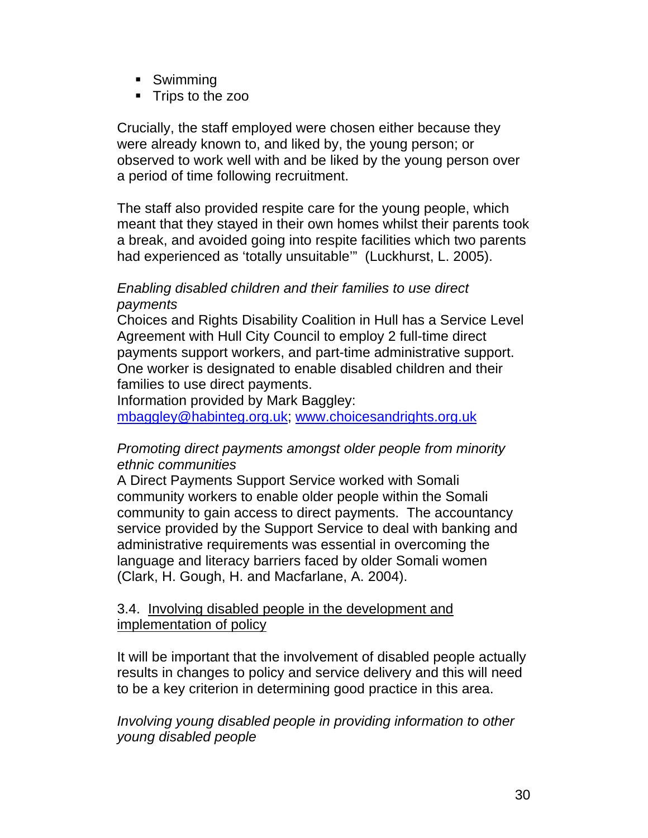- Swimming
- Trips to the zoo

Crucially, the staff employed were chosen either because they were already known to, and liked by, the young person; or observed to work well with and be liked by the young person over a period of time following recruitment.

The staff also provided respite care for the young people, which meant that they stayed in their own homes whilst their parents took a break, and avoided going into respite facilities which two parents had experienced as 'totally unsuitable'" (Luckhurst, L. 2005).

### *Enabling disabled children and their families to use direct payments*

Choices and Rights Disability Coalition in Hull has a Service Level Agreement with Hull City Council to employ 2 full-time direct payments support workers, and part-time administrative support. One worker is designated to enable disabled children and their families to use direct payments.

Information provided by Mark Baggley:

mbaggley@habinteg.org.uk; www.choicesandrights.org.uk

### *Promoting direct payments amongst older people from minority ethnic communities*

A Direct Payments Support Service worked with Somali community workers to enable older people within the Somali community to gain access to direct payments. The accountancy service provided by the Support Service to deal with banking and administrative requirements was essential in overcoming the language and literacy barriers faced by older Somali women (Clark, H. Gough, H. and Macfarlane, A. 2004).

### 3.4. Involving disabled people in the development and implementation of policy

It will be important that the involvement of disabled people actually results in changes to policy and service delivery and this will need to be a key criterion in determining good practice in this area.

*Involving young disabled people in providing information to other young disabled people*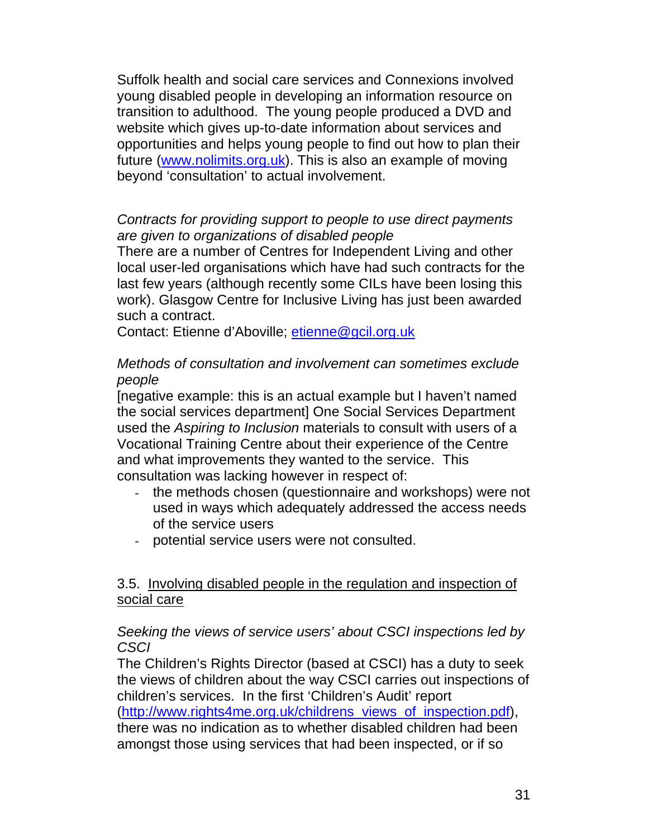Suffolk health and social care services and Connexions involved young disabled people in developing an information resource on transition to adulthood. The young people produced a DVD and website which gives up-to-date information about services and opportunities and helps young people to find out how to plan their future (www.nolimits.org.uk). This is also an example of moving beyond 'consultation' to actual involvement.

### *Contracts for providing support to people to use direct payments are given to organizations of disabled people*

There are a number of Centres for Independent Living and other local user-led organisations which have had such contracts for the last few years (although recently some CILs have been losing this work). Glasgow Centre for Inclusive Living has just been awarded such a contract.

Contact: Etienne d'Aboville; etienne@gcil.org.uk

### *Methods of consultation and involvement can sometimes exclude people*

[negative example: this is an actual example but I haven't named the social services department] One Social Services Department used the *Aspiring to Inclusion* materials to consult with users of a Vocational Training Centre about their experience of the Centre and what improvements they wanted to the service. This consultation was lacking however in respect of:

- the methods chosen (questionnaire and workshops) were not used in ways which adequately addressed the access needs of the service users
- potential service users were not consulted.

### 3.5. Involving disabled people in the regulation and inspection of social care

### *Seeking the views of service users' about CSCI inspections led by CSCI*

The Children's Rights Director (based at CSCI) has a duty to seek the views of children about the way CSCI carries out inspections of children's services. In the first 'Children's Audit' report

(http://www.rights4me.org.uk/childrens\_views\_of\_inspection.pdf), there was no indication as to whether disabled children had been amongst those using services that had been inspected, or if so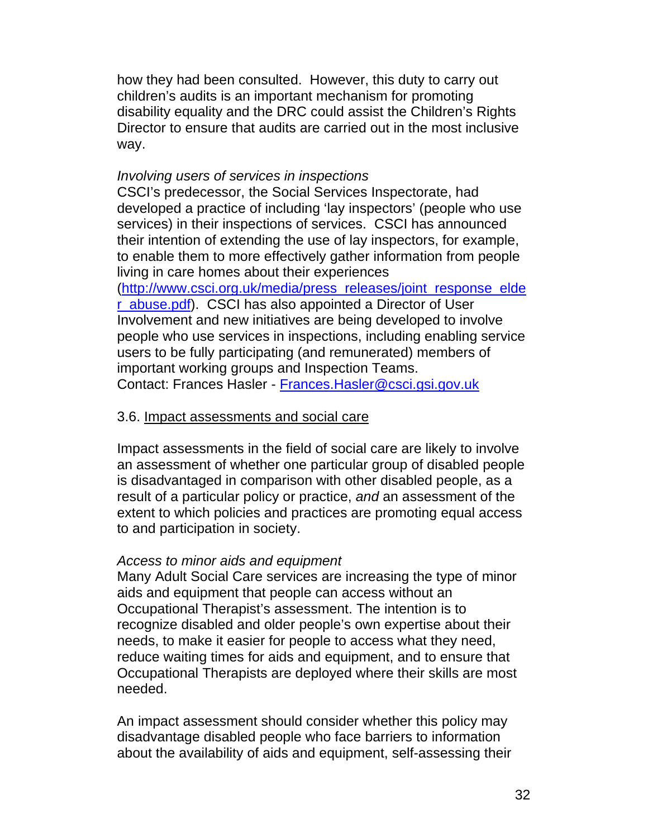how they had been consulted. However, this duty to carry out children's audits is an important mechanism for promoting disability equality and the DRC could assist the Children's Rights Director to ensure that audits are carried out in the most inclusive way.

#### *Involving users of services in inspections*

CSCI's predecessor, the Social Services Inspectorate, had developed a practice of including 'lay inspectors' (people who use services) in their inspections of services. CSCI has announced their intention of extending the use of lay inspectors, for example, to enable them to more effectively gather information from people living in care homes about their experiences (http://www.csci.org.uk/media/press\_releases/joint\_response\_elde r\_abuse.pdf). CSCI has also appointed a Director of User Involvement and new initiatives are being developed to involve people who use services in inspections, including enabling service users to be fully participating (and remunerated) members of important working groups and Inspection Teams. Contact: Frances Hasler - Frances.Hasler@csci.gsi.gov.uk

#### 3.6. Impact assessments and social care

Impact assessments in the field of social care are likely to involve an assessment of whether one particular group of disabled people is disadvantaged in comparison with other disabled people, as a result of a particular policy or practice, *and* an assessment of the extent to which policies and practices are promoting equal access to and participation in society.

#### *Access to minor aids and equipment*

Many Adult Social Care services are increasing the type of minor aids and equipment that people can access without an Occupational Therapist's assessment. The intention is to recognize disabled and older people's own expertise about their needs, to make it easier for people to access what they need, reduce waiting times for aids and equipment, and to ensure that Occupational Therapists are deployed where their skills are most needed.

An impact assessment should consider whether this policy may disadvantage disabled people who face barriers to information about the availability of aids and equipment, self-assessing their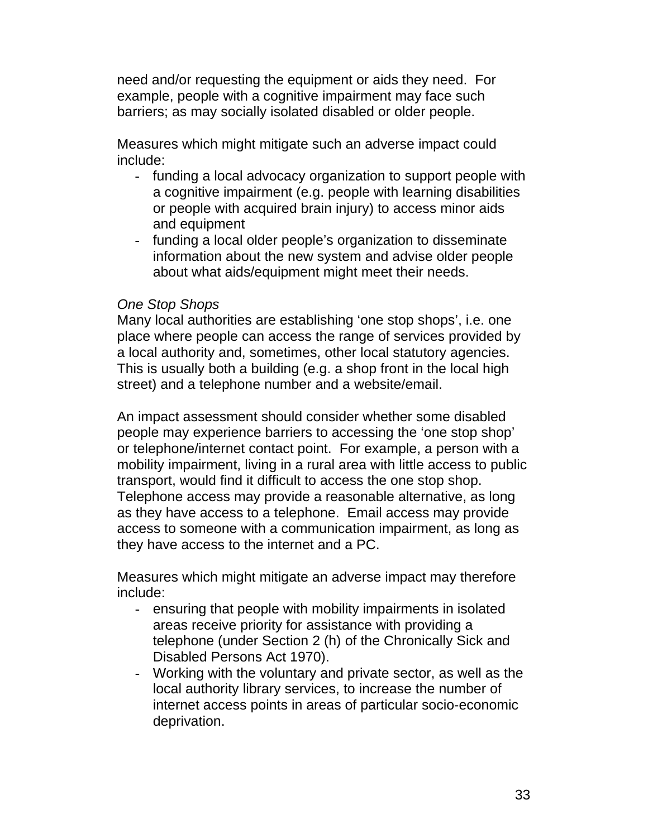need and/or requesting the equipment or aids they need. For example, people with a cognitive impairment may face such barriers; as may socially isolated disabled or older people.

Measures which might mitigate such an adverse impact could include:

- funding a local advocacy organization to support people with a cognitive impairment (e.g. people with learning disabilities or people with acquired brain injury) to access minor aids and equipment
- funding a local older people's organization to disseminate information about the new system and advise older people about what aids/equipment might meet their needs.

#### *One Stop Shops*

Many local authorities are establishing 'one stop shops', i.e. one place where people can access the range of services provided by a local authority and, sometimes, other local statutory agencies. This is usually both a building (e.g. a shop front in the local high street) and a telephone number and a website/email.

An impact assessment should consider whether some disabled people may experience barriers to accessing the 'one stop shop' or telephone/internet contact point. For example, a person with a mobility impairment, living in a rural area with little access to public transport, would find it difficult to access the one stop shop. Telephone access may provide a reasonable alternative, as long as they have access to a telephone. Email access may provide access to someone with a communication impairment, as long as they have access to the internet and a PC.

Measures which might mitigate an adverse impact may therefore include:

- ensuring that people with mobility impairments in isolated areas receive priority for assistance with providing a telephone (under Section 2 (h) of the Chronically Sick and Disabled Persons Act 1970).
- Working with the voluntary and private sector, as well as the local authority library services, to increase the number of internet access points in areas of particular socio-economic deprivation.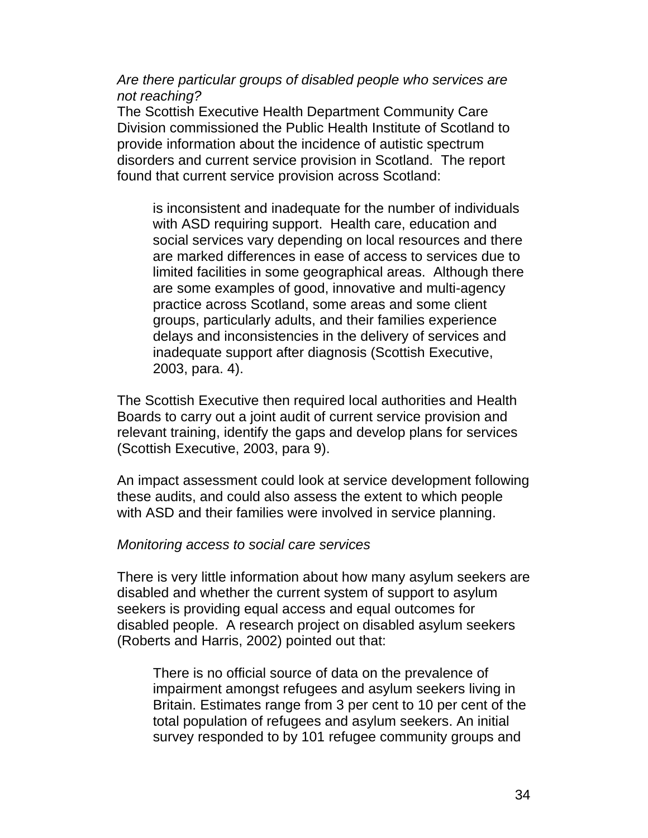*Are there particular groups of disabled people who services are not reaching?* 

The Scottish Executive Health Department Community Care Division commissioned the Public Health Institute of Scotland to provide information about the incidence of autistic spectrum disorders and current service provision in Scotland. The report found that current service provision across Scotland:

is inconsistent and inadequate for the number of individuals with ASD requiring support. Health care, education and social services vary depending on local resources and there are marked differences in ease of access to services due to limited facilities in some geographical areas. Although there are some examples of good, innovative and multi-agency practice across Scotland, some areas and some client groups, particularly adults, and their families experience delays and inconsistencies in the delivery of services and inadequate support after diagnosis (Scottish Executive, 2003, para. 4).

The Scottish Executive then required local authorities and Health Boards to carry out a joint audit of current service provision and relevant training, identify the gaps and develop plans for services (Scottish Executive, 2003, para 9).

An impact assessment could look at service development following these audits, and could also assess the extent to which people with ASD and their families were involved in service planning.

#### *Monitoring access to social care services*

There is very little information about how many asylum seekers are disabled and whether the current system of support to asylum seekers is providing equal access and equal outcomes for disabled people. A research project on disabled asylum seekers (Roberts and Harris, 2002) pointed out that:

There is no official source of data on the prevalence of impairment amongst refugees and asylum seekers living in Britain. Estimates range from 3 per cent to 10 per cent of the total population of refugees and asylum seekers. An initial survey responded to by 101 refugee community groups and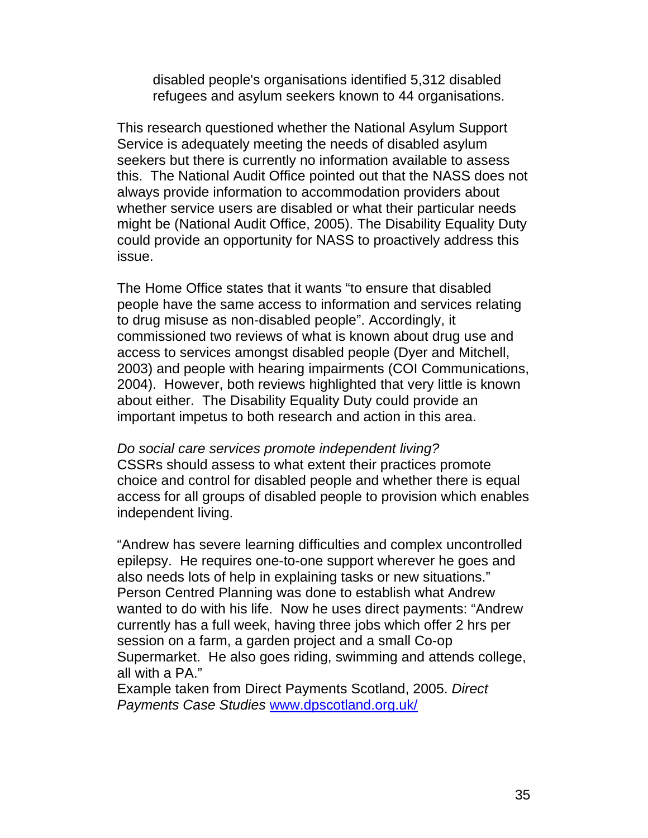disabled people's organisations identified 5,312 disabled refugees and asylum seekers known to 44 organisations.

This research questioned whether the National Asylum Support Service is adequately meeting the needs of disabled asylum seekers but there is currently no information available to assess this. The National Audit Office pointed out that the NASS does not always provide information to accommodation providers about whether service users are disabled or what their particular needs might be (National Audit Office, 2005). The Disability Equality Duty could provide an opportunity for NASS to proactively address this issue.

The Home Office states that it wants "to ensure that disabled people have the same access to information and services relating to drug misuse as non-disabled people". Accordingly, it commissioned two reviews of what is known about drug use and access to services amongst disabled people (Dyer and Mitchell, 2003) and people with hearing impairments (COI Communications, 2004). However, both reviews highlighted that very little is known about either. The Disability Equality Duty could provide an important impetus to both research and action in this area.

*Do social care services promote independent living?*  CSSRs should assess to what extent their practices promote choice and control for disabled people and whether there is equal access for all groups of disabled people to provision which enables independent living.

"Andrew has severe learning difficulties and complex uncontrolled epilepsy. He requires one-to-one support wherever he goes and also needs lots of help in explaining tasks or new situations." Person Centred Planning was done to establish what Andrew wanted to do with his life. Now he uses direct payments: "Andrew currently has a full week, having three jobs which offer 2 hrs per session on a farm, a garden project and a small Co-op Supermarket. He also goes riding, swimming and attends college, all with a PA."

Example taken from Direct Payments Scotland, 2005. *Direct Payments Case Studies* www.dpscotland.org.uk/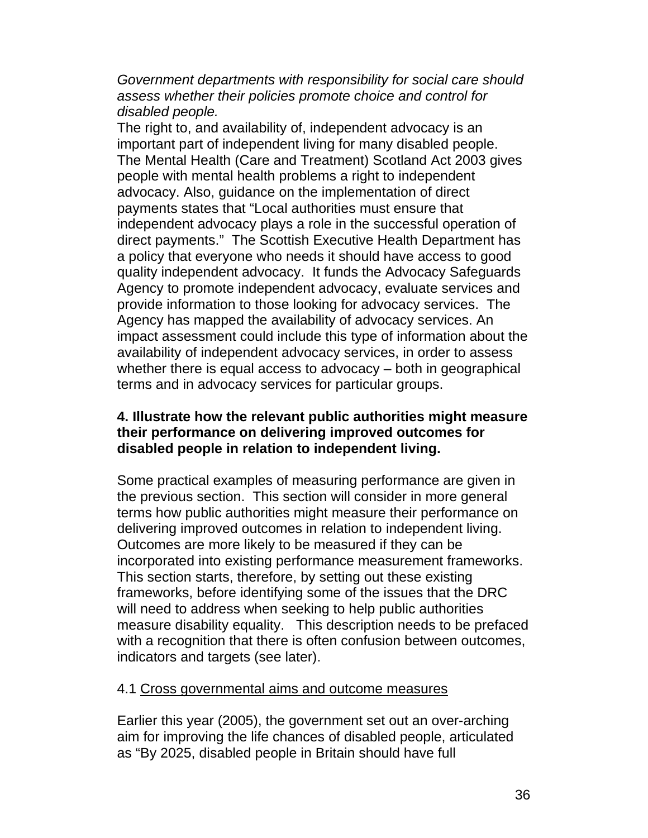*Government departments with responsibility for social care should assess whether their policies promote choice and control for disabled people.* 

The right to, and availability of, independent advocacy is an important part of independent living for many disabled people. The Mental Health (Care and Treatment) Scotland Act 2003 gives people with mental health problems a right to independent advocacy. Also, guidance on the implementation of direct payments states that "Local authorities must ensure that independent advocacy plays a role in the successful operation of direct payments." The Scottish Executive Health Department has a policy that everyone who needs it should have access to good quality independent advocacy. It funds the Advocacy Safeguards Agency to promote independent advocacy, evaluate services and provide information to those looking for advocacy services. The Agency has mapped the availability of advocacy services. An impact assessment could include this type of information about the availability of independent advocacy services, in order to assess whether there is equal access to advocacy – both in geographical terms and in advocacy services for particular groups.

#### **4. Illustrate how the relevant public authorities might measure their performance on delivering improved outcomes for disabled people in relation to independent living.**

Some practical examples of measuring performance are given in the previous section. This section will consider in more general terms how public authorities might measure their performance on delivering improved outcomes in relation to independent living. Outcomes are more likely to be measured if they can be incorporated into existing performance measurement frameworks. This section starts, therefore, by setting out these existing frameworks, before identifying some of the issues that the DRC will need to address when seeking to help public authorities measure disability equality. This description needs to be prefaced with a recognition that there is often confusion between outcomes, indicators and targets (see later).

#### 4.1 Cross governmental aims and outcome measures

Earlier this year (2005), the government set out an over-arching aim for improving the life chances of disabled people, articulated as "By 2025, disabled people in Britain should have full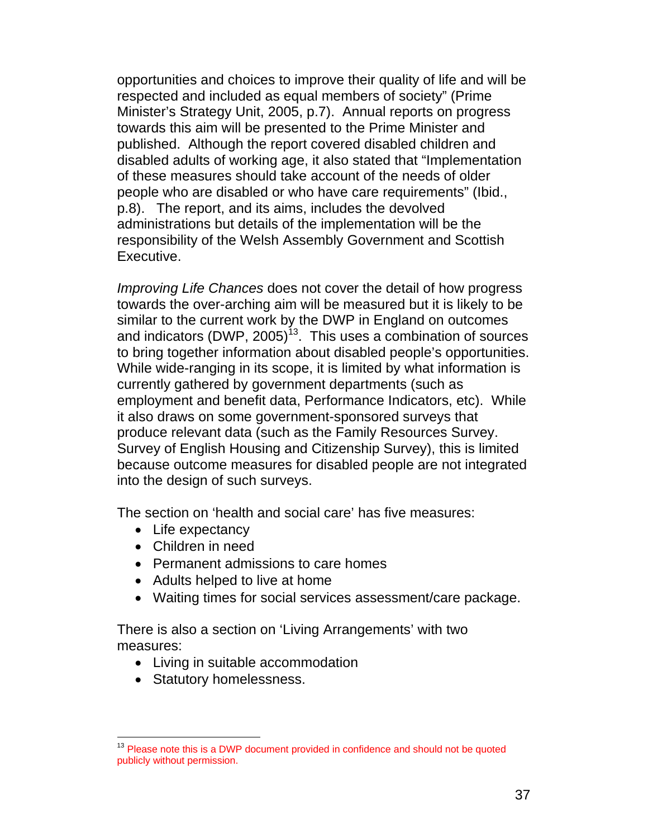opportunities and choices to improve their quality of life and will be respected and included as equal members of society" (Prime Minister's Strategy Unit, 2005, p.7). Annual reports on progress towards this aim will be presented to the Prime Minister and published. Although the report covered disabled children and disabled adults of working age, it also stated that "Implementation of these measures should take account of the needs of older people who are disabled or who have care requirements" (Ibid., p.8). The report, and its aims, includes the devolved administrations but details of the implementation will be the responsibility of the Welsh Assembly Government and Scottish Executive.

*Improving Life Chances* does not cover the detail of how progress towards the over-arching aim will be measured but it is likely to be similar to the current work by the DWP in England on outcomes and indicators (DWP, 2005)<sup>13</sup>. This uses a combination of sources to bring together information about disabled people's opportunities. While wide-ranging in its scope, it is limited by what information is currently gathered by government departments (such as employment and benefit data, Performance Indicators, etc). While it also draws on some government-sponsored surveys that produce relevant data (such as the Family Resources Survey. Survey of English Housing and Citizenship Survey), this is limited because outcome measures for disabled people are not integrated into the design of such surveys.

The section on 'health and social care' has five measures:

- Life expectancy
- Children in need
- Permanent admissions to care homes
- Adults helped to live at home
- Waiting times for social services assessment/care package.

There is also a section on 'Living Arrangements' with two measures:

- Living in suitable accommodation
- Statutory homelessness.

 $\overline{a}$ <sup>13</sup> Please note this is a DWP document provided in confidence and should not be quoted publicly without permission.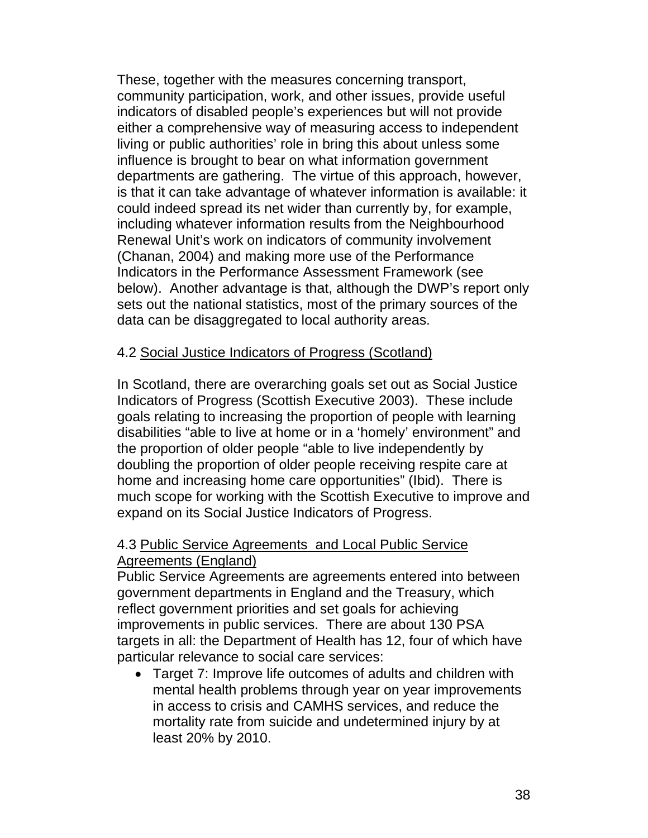These, together with the measures concerning transport, community participation, work, and other issues, provide useful indicators of disabled people's experiences but will not provide either a comprehensive way of measuring access to independent living or public authorities' role in bring this about unless some influence is brought to bear on what information government departments are gathering. The virtue of this approach, however, is that it can take advantage of whatever information is available: it could indeed spread its net wider than currently by, for example, including whatever information results from the Neighbourhood Renewal Unit's work on indicators of community involvement (Chanan, 2004) and making more use of the Performance Indicators in the Performance Assessment Framework (see below). Another advantage is that, although the DWP's report only sets out the national statistics, most of the primary sources of the data can be disaggregated to local authority areas.

# 4.2 Social Justice Indicators of Progress (Scotland)

In Scotland, there are overarching goals set out as Social Justice Indicators of Progress (Scottish Executive 2003). These include goals relating to increasing the proportion of people with learning disabilities "able to live at home or in a 'homely' environment" and the proportion of older people "able to live independently by doubling the proportion of older people receiving respite care at home and increasing home care opportunities" (Ibid). There is much scope for working with the Scottish Executive to improve and expand on its Social Justice Indicators of Progress.

# 4.3 Public Service Agreements and Local Public Service Agreements (England)

Public Service Agreements are agreements entered into between government departments in England and the Treasury, which reflect government priorities and set goals for achieving improvements in public services. There are about 130 PSA targets in all: the Department of Health has 12, four of which have particular relevance to social care services:

• Target 7: Improve life outcomes of adults and children with mental health problems through year on year improvements in access to crisis and CAMHS services, and reduce the mortality rate from suicide and undetermined injury by at least 20% by 2010.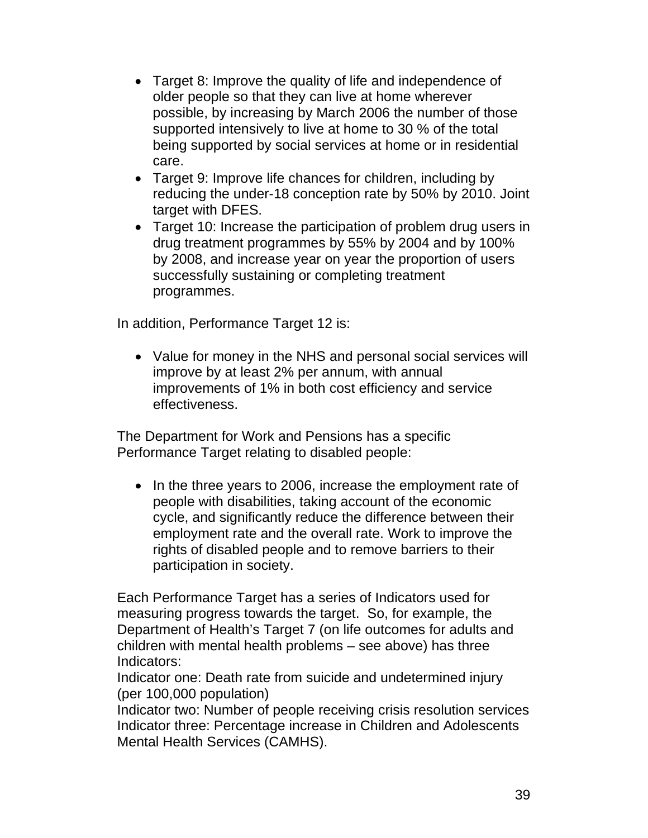- Target 8: Improve the quality of life and independence of older people so that they can live at home wherever possible, by increasing by March 2006 the number of those supported intensively to live at home to 30 % of the total being supported by social services at home or in residential care.
- Target 9: Improve life chances for children, including by reducing the under-18 conception rate by 50% by 2010. Joint target with DFES.
- Target 10: Increase the participation of problem drug users in drug treatment programmes by 55% by 2004 and by 100% by 2008, and increase year on year the proportion of users successfully sustaining or completing treatment programmes.

In addition, Performance Target 12 is:

• Value for money in the NHS and personal social services will improve by at least 2% per annum, with annual improvements of 1% in both cost efficiency and service effectiveness.

The Department for Work and Pensions has a specific Performance Target relating to disabled people:

• In the three years to 2006, increase the employment rate of people with disabilities, taking account of the economic cycle, and significantly reduce the difference between their employment rate and the overall rate. Work to improve the rights of disabled people and to remove barriers to their participation in society.

Each Performance Target has a series of Indicators used for measuring progress towards the target. So, for example, the Department of Health's Target 7 (on life outcomes for adults and children with mental health problems – see above) has three Indicators:

Indicator one: Death rate from suicide and undetermined injury (per 100,000 population)

Indicator two: Number of people receiving crisis resolution services Indicator three: Percentage increase in Children and Adolescents Mental Health Services (CAMHS).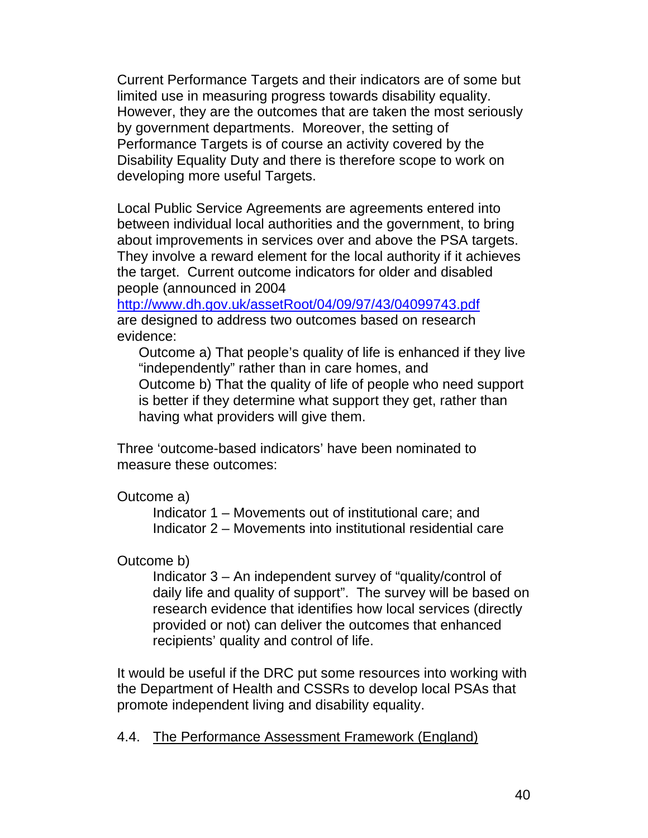Current Performance Targets and their indicators are of some but limited use in measuring progress towards disability equality. However, they are the outcomes that are taken the most seriously by government departments. Moreover, the setting of Performance Targets is of course an activity covered by the Disability Equality Duty and there is therefore scope to work on developing more useful Targets.

Local Public Service Agreements are agreements entered into between individual local authorities and the government, to bring about improvements in services over and above the PSA targets. They involve a reward element for the local authority if it achieves the target. Current outcome indicators for older and disabled people (announced in 2004

http://www.dh.gov.uk/assetRoot/04/09/97/43/04099743.pdf are designed to address two outcomes based on research evidence:

Outcome a) That people's quality of life is enhanced if they live "independently" rather than in care homes, and Outcome b) That the quality of life of people who need support is better if they determine what support they get, rather than having what providers will give them.

Three 'outcome-based indicators' have been nominated to measure these outcomes:

Outcome a)

 Indicator 1 – Movements out of institutional care; and Indicator 2 – Movements into institutional residential care

Outcome b)

Indicator 3 – An independent survey of "quality/control of daily life and quality of support". The survey will be based on research evidence that identifies how local services (directly provided or not) can deliver the outcomes that enhanced recipients' quality and control of life.

It would be useful if the DRC put some resources into working with the Department of Health and CSSRs to develop local PSAs that promote independent living and disability equality.

4.4. The Performance Assessment Framework (England)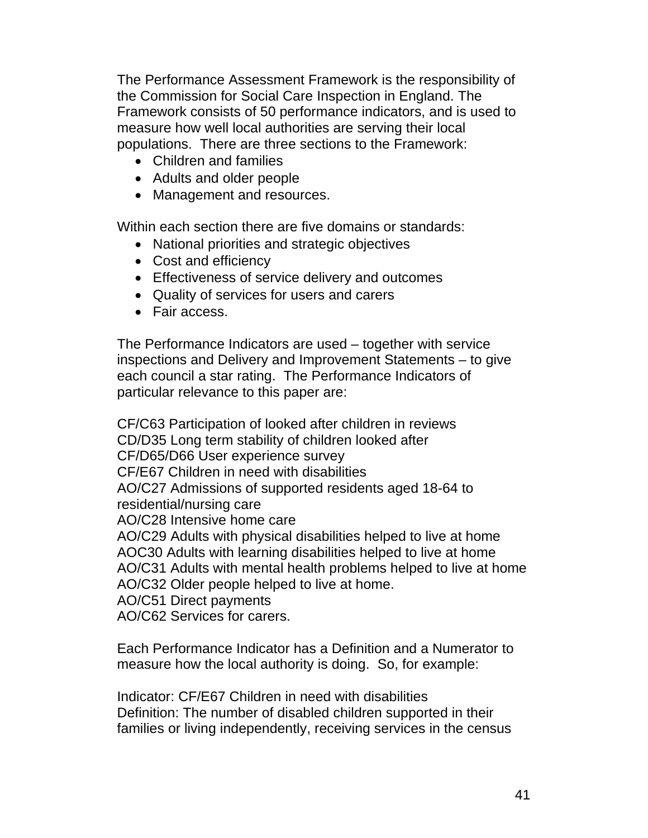The Performance Assessment Framework is the responsibility of the Commission for Social Care Inspection in England. The Framework consists of 50 performance indicators, and is used to measure how well local authorities are serving their local populations. There are three sections to the Framework:

- Children and families
- Adults and older people
- Management and resources.

Within each section there are five domains or standards:

- National priorities and strategic objectives
- Cost and efficiency
- Effectiveness of service delivery and outcomes
- Quality of services for users and carers
- Fair access.

The Performance Indicators are used – together with service inspections and Delivery and Improvement Statements – to give each council a star rating. The Performance Indicators of particular relevance to this paper are:

CF/C63 Participation of looked after children in reviews CD/D35 Long term stability of children looked after CF/D65/D66 User experience survey CF/E67 Children in need with disabilities AO/C27 Admissions of supported residents aged 18-64 to residential/nursing care AO/C28 Intensive home care AO/C29 Adults with physical disabilities helped to live at home AOC30 Adults with learning disabilities helped to live at home AO/C31 Adults with mental health problems helped to live at home AO/C32 Older people helped to live at home.

AO/C51 Direct payments

AO/C62 Services for carers.

Each Performance Indicator has a Definition and a Numerator to measure how the local authority is doing. So, for example:

Indicator: CF/E67 Children in need with disabilities Definition: The number of disabled children supported in their families or living independently, receiving services in the census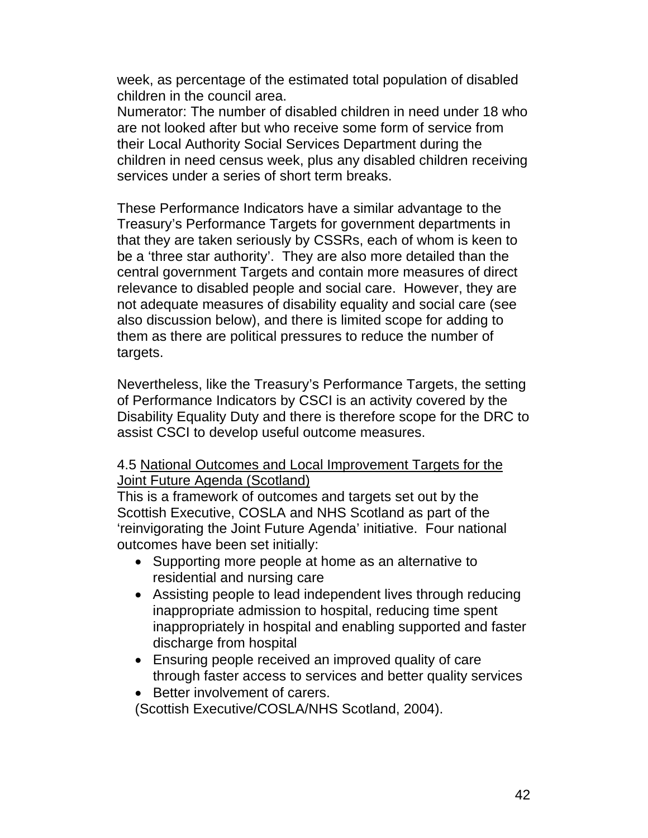week, as percentage of the estimated total population of disabled children in the council area.

Numerator: The number of disabled children in need under 18 who are not looked after but who receive some form of service from their Local Authority Social Services Department during the children in need census week, plus any disabled children receiving services under a series of short term breaks.

These Performance Indicators have a similar advantage to the Treasury's Performance Targets for government departments in that they are taken seriously by CSSRs, each of whom is keen to be a 'three star authority'. They are also more detailed than the central government Targets and contain more measures of direct relevance to disabled people and social care. However, they are not adequate measures of disability equality and social care (see also discussion below), and there is limited scope for adding to them as there are political pressures to reduce the number of targets.

Nevertheless, like the Treasury's Performance Targets, the setting of Performance Indicators by CSCI is an activity covered by the Disability Equality Duty and there is therefore scope for the DRC to assist CSCI to develop useful outcome measures.

# 4.5 National Outcomes and Local Improvement Targets for the Joint Future Agenda (Scotland)

This is a framework of outcomes and targets set out by the Scottish Executive, COSLA and NHS Scotland as part of the 'reinvigorating the Joint Future Agenda' initiative. Four national outcomes have been set initially:

- Supporting more people at home as an alternative to residential and nursing care
- Assisting people to lead independent lives through reducing inappropriate admission to hospital, reducing time spent inappropriately in hospital and enabling supported and faster discharge from hospital
- Ensuring people received an improved quality of care through faster access to services and better quality services
- Better involvement of carers.

(Scottish Executive/COSLA/NHS Scotland, 2004).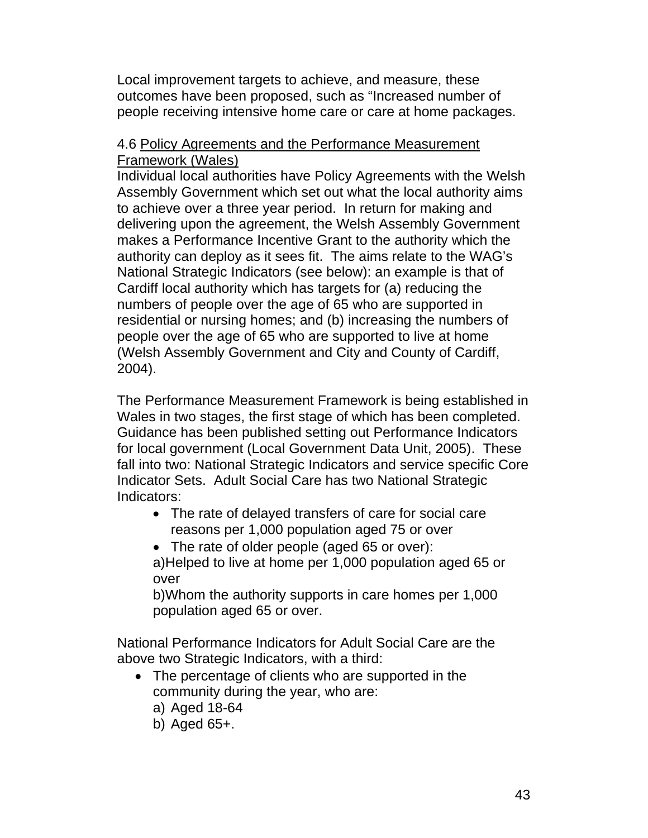Local improvement targets to achieve, and measure, these outcomes have been proposed, such as "Increased number of people receiving intensive home care or care at home packages.

### 4.6 Policy Agreements and the Performance Measurement Framework (Wales)

Individual local authorities have Policy Agreements with the Welsh Assembly Government which set out what the local authority aims to achieve over a three year period. In return for making and delivering upon the agreement, the Welsh Assembly Government makes a Performance Incentive Grant to the authority which the authority can deploy as it sees fit. The aims relate to the WAG's National Strategic Indicators (see below): an example is that of Cardiff local authority which has targets for (a) reducing the numbers of people over the age of 65 who are supported in residential or nursing homes; and (b) increasing the numbers of people over the age of 65 who are supported to live at home (Welsh Assembly Government and City and County of Cardiff, 2004).

The Performance Measurement Framework is being established in Wales in two stages, the first stage of which has been completed. Guidance has been published setting out Performance Indicators for local government (Local Government Data Unit, 2005). These fall into two: National Strategic Indicators and service specific Core Indicator Sets. Adult Social Care has two National Strategic Indicators:

- The rate of delayed transfers of care for social care reasons per 1,000 population aged 75 or over
- The rate of older people (aged 65 or over): a)Helped to live at home per 1,000 population aged 65 or over

b)Whom the authority supports in care homes per 1,000 population aged 65 or over.

National Performance Indicators for Adult Social Care are the above two Strategic Indicators, with a third:

- The percentage of clients who are supported in the community during the year, who are:
	- a) Aged 18-64
	- b) Aged 65+.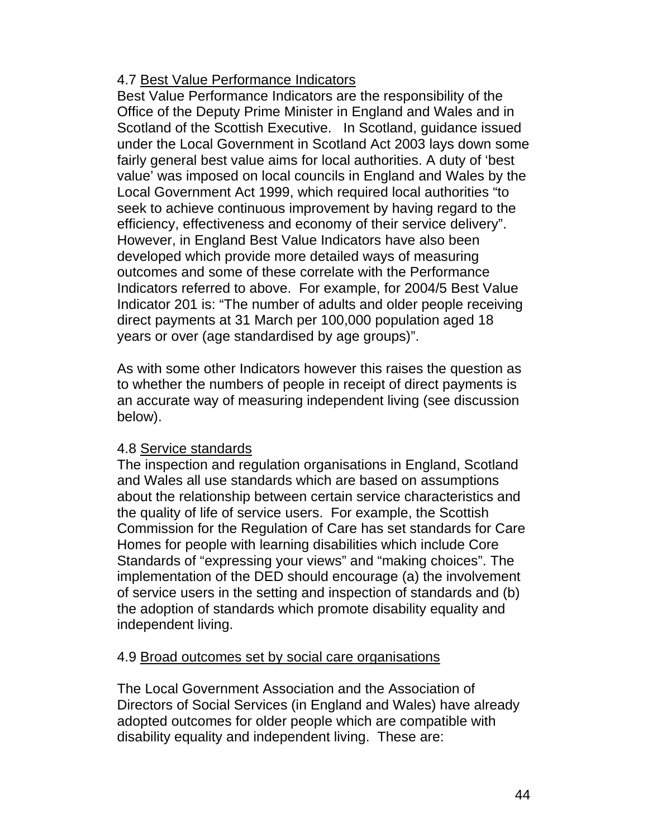# 4.7 Best Value Performance Indicators

Best Value Performance Indicators are the responsibility of the Office of the Deputy Prime Minister in England and Wales and in Scotland of the Scottish Executive. In Scotland, guidance issued under the Local Government in Scotland Act 2003 lays down some fairly general best value aims for local authorities. A duty of 'best value' was imposed on local councils in England and Wales by the Local Government Act 1999, which required local authorities "to seek to achieve continuous improvement by having regard to the efficiency, effectiveness and economy of their service delivery". However, in England Best Value Indicators have also been developed which provide more detailed ways of measuring outcomes and some of these correlate with the Performance Indicators referred to above. For example, for 2004/5 Best Value Indicator 201 is: "The number of adults and older people receiving direct payments at 31 March per 100,000 population aged 18 years or over (age standardised by age groups)".

As with some other Indicators however this raises the question as to whether the numbers of people in receipt of direct payments is an accurate way of measuring independent living (see discussion below).

# 4.8 Service standards

The inspection and regulation organisations in England, Scotland and Wales all use standards which are based on assumptions about the relationship between certain service characteristics and the quality of life of service users. For example, the Scottish Commission for the Regulation of Care has set standards for Care Homes for people with learning disabilities which include Core Standards of "expressing your views" and "making choices". The implementation of the DED should encourage (a) the involvement of service users in the setting and inspection of standards and (b) the adoption of standards which promote disability equality and independent living.

# 4.9 Broad outcomes set by social care organisations

The Local Government Association and the Association of Directors of Social Services (in England and Wales) have already adopted outcomes for older people which are compatible with disability equality and independent living. These are: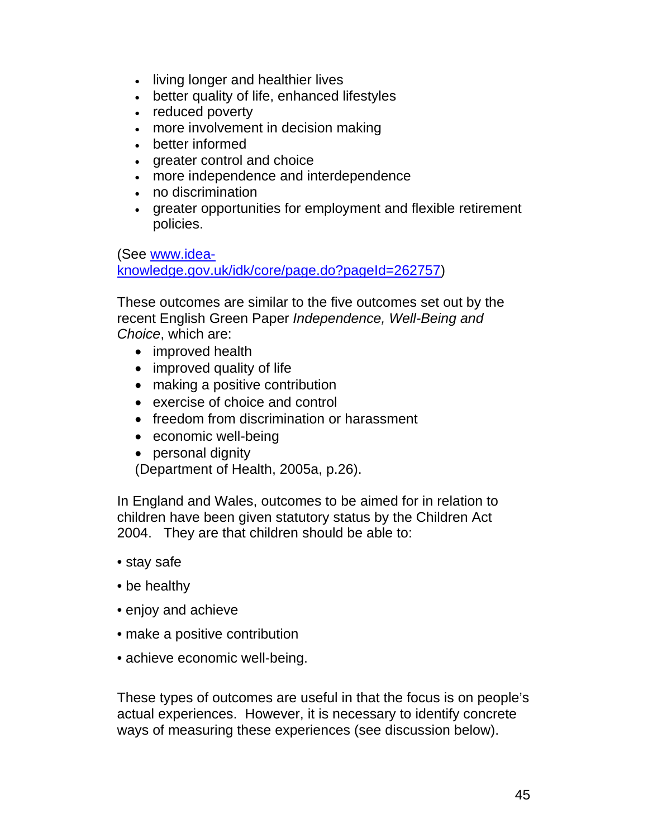- living longer and healthier lives
- better quality of life, enhanced lifestyles
- reduced poverty
- more involvement in decision making
- better informed
- greater control and choice
- more independence and interdependence
- no discrimination
- greater opportunities for employment and flexible retirement policies.

(See www.idea-

knowledge.gov.uk/idk/core/page.do?pageId=262757)

These outcomes are similar to the five outcomes set out by the recent English Green Paper *Independence, Well-Being and Choice*, which are:

- improved health
- improved quality of life
- making a positive contribution
- exercise of choice and control
- freedom from discrimination or harassment
- economic well-being
- personal dignity

(Department of Health, 2005a, p.26).

In England and Wales, outcomes to be aimed for in relation to children have been given statutory status by the Children Act 2004. They are that children should be able to:

- stay safe
- be healthy
- enjoy and achieve
- make a positive contribution
- achieve economic well-being.

These types of outcomes are useful in that the focus is on people's actual experiences. However, it is necessary to identify concrete ways of measuring these experiences (see discussion below).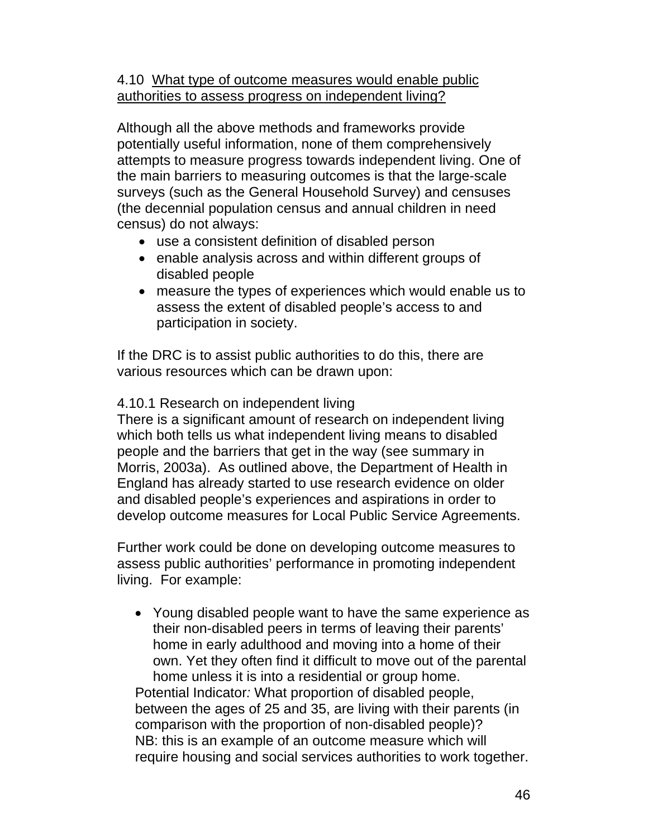# 4.10 What type of outcome measures would enable public authorities to assess progress on independent living?

Although all the above methods and frameworks provide potentially useful information, none of them comprehensively attempts to measure progress towards independent living. One of the main barriers to measuring outcomes is that the large-scale surveys (such as the General Household Survey) and censuses (the decennial population census and annual children in need census) do not always:

- use a consistent definition of disabled person
- enable analysis across and within different groups of disabled people
- measure the types of experiences which would enable us to assess the extent of disabled people's access to and participation in society.

If the DRC is to assist public authorities to do this, there are various resources which can be drawn upon:

# 4.10.1 Research on independent living

There is a significant amount of research on independent living which both tells us what independent living means to disabled people and the barriers that get in the way (see summary in Morris, 2003a). As outlined above, the Department of Health in England has already started to use research evidence on older and disabled people's experiences and aspirations in order to develop outcome measures for Local Public Service Agreements.

Further work could be done on developing outcome measures to assess public authorities' performance in promoting independent living. For example:

• Young disabled people want to have the same experience as their non-disabled peers in terms of leaving their parents' home in early adulthood and moving into a home of their own. Yet they often find it difficult to move out of the parental home unless it is into a residential or group home. Potential Indicator*:* What proportion of disabled people, between the ages of 25 and 35, are living with their parents (in comparison with the proportion of non-disabled people)? NB: this is an example of an outcome measure which will require housing and social services authorities to work together.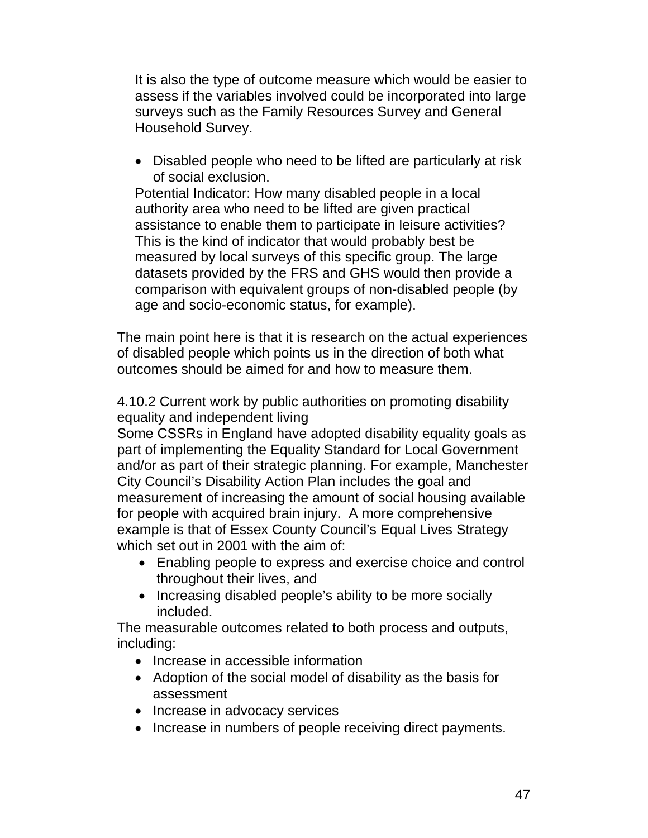It is also the type of outcome measure which would be easier to assess if the variables involved could be incorporated into large surveys such as the Family Resources Survey and General Household Survey.

• Disabled people who need to be lifted are particularly at risk of social exclusion.

Potential Indicator: How many disabled people in a local authority area who need to be lifted are given practical assistance to enable them to participate in leisure activities? This is the kind of indicator that would probably best be measured by local surveys of this specific group. The large datasets provided by the FRS and GHS would then provide a comparison with equivalent groups of non-disabled people (by age and socio-economic status, for example).

The main point here is that it is research on the actual experiences of disabled people which points us in the direction of both what outcomes should be aimed for and how to measure them.

4.10.2 Current work by public authorities on promoting disability equality and independent living

Some CSSRs in England have adopted disability equality goals as part of implementing the Equality Standard for Local Government and/or as part of their strategic planning. For example, Manchester City Council's Disability Action Plan includes the goal and measurement of increasing the amount of social housing available for people with acquired brain injury. A more comprehensive example is that of Essex County Council's Equal Lives Strategy which set out in 2001 with the aim of:

- Enabling people to express and exercise choice and control throughout their lives, and
- Increasing disabled people's ability to be more socially included.

The measurable outcomes related to both process and outputs, including:

- Increase in accessible information
- Adoption of the social model of disability as the basis for assessment
- Increase in advocacy services
- Increase in numbers of people receiving direct payments.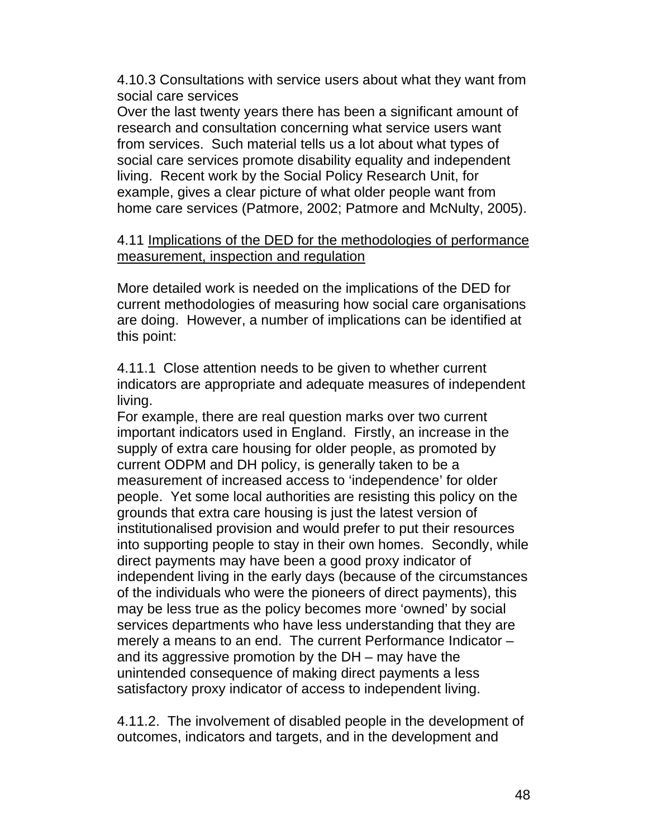4.10.3 Consultations with service users about what they want from social care services

Over the last twenty years there has been a significant amount of research and consultation concerning what service users want from services. Such material tells us a lot about what types of social care services promote disability equality and independent living. Recent work by the Social Policy Research Unit, for example, gives a clear picture of what older people want from home care services (Patmore, 2002; Patmore and McNulty, 2005).

# 4.11 Implications of the DED for the methodologies of performance measurement, inspection and regulation

More detailed work is needed on the implications of the DED for current methodologies of measuring how social care organisations are doing. However, a number of implications can be identified at this point:

4.11.1 Close attention needs to be given to whether current indicators are appropriate and adequate measures of independent living.

For example, there are real question marks over two current important indicators used in England. Firstly, an increase in the supply of extra care housing for older people, as promoted by current ODPM and DH policy, is generally taken to be a measurement of increased access to 'independence' for older people. Yet some local authorities are resisting this policy on the grounds that extra care housing is just the latest version of institutionalised provision and would prefer to put their resources into supporting people to stay in their own homes. Secondly, while direct payments may have been a good proxy indicator of independent living in the early days (because of the circumstances of the individuals who were the pioneers of direct payments), this may be less true as the policy becomes more 'owned' by social services departments who have less understanding that they are merely a means to an end. The current Performance Indicator – and its aggressive promotion by the DH – may have the unintended consequence of making direct payments a less satisfactory proxy indicator of access to independent living.

4.11.2. The involvement of disabled people in the development of outcomes, indicators and targets, and in the development and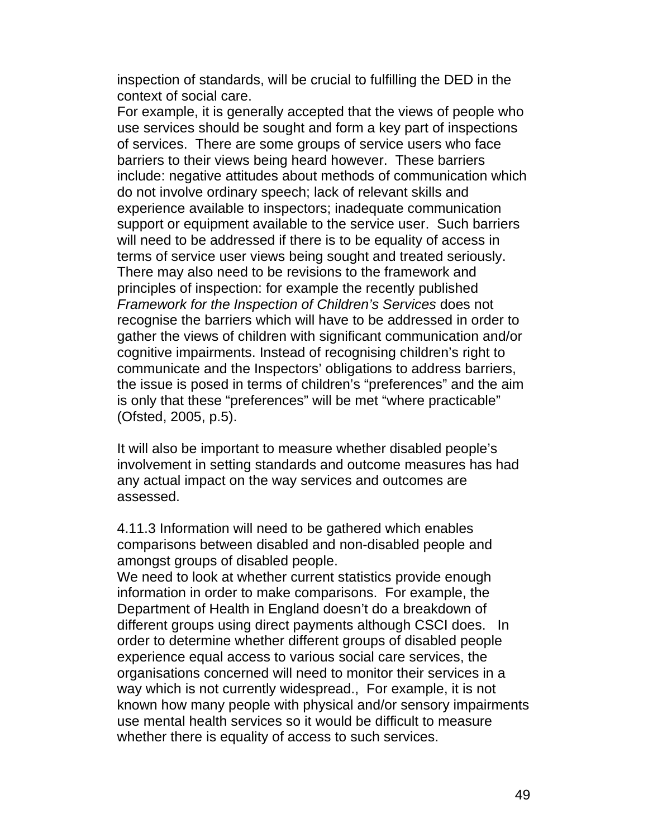inspection of standards, will be crucial to fulfilling the DED in the context of social care.

For example, it is generally accepted that the views of people who use services should be sought and form a key part of inspections of services. There are some groups of service users who face barriers to their views being heard however. These barriers include: negative attitudes about methods of communication which do not involve ordinary speech; lack of relevant skills and experience available to inspectors; inadequate communication support or equipment available to the service user. Such barriers will need to be addressed if there is to be equality of access in terms of service user views being sought and treated seriously. There may also need to be revisions to the framework and principles of inspection: for example the recently published *Framework for the Inspection of Children's Services* does not recognise the barriers which will have to be addressed in order to gather the views of children with significant communication and/or cognitive impairments. Instead of recognising children's right to communicate and the Inspectors' obligations to address barriers, the issue is posed in terms of children's "preferences" and the aim is only that these "preferences" will be met "where practicable" (Ofsted, 2005, p.5).

It will also be important to measure whether disabled people's involvement in setting standards and outcome measures has had any actual impact on the way services and outcomes are assessed.

4.11.3 Information will need to be gathered which enables comparisons between disabled and non-disabled people and amongst groups of disabled people.

We need to look at whether current statistics provide enough information in order to make comparisons. For example, the Department of Health in England doesn't do a breakdown of different groups using direct payments although CSCI does. In order to determine whether different groups of disabled people experience equal access to various social care services, the organisations concerned will need to monitor their services in a way which is not currently widespread., For example, it is not known how many people with physical and/or sensory impairments use mental health services so it would be difficult to measure whether there is equality of access to such services.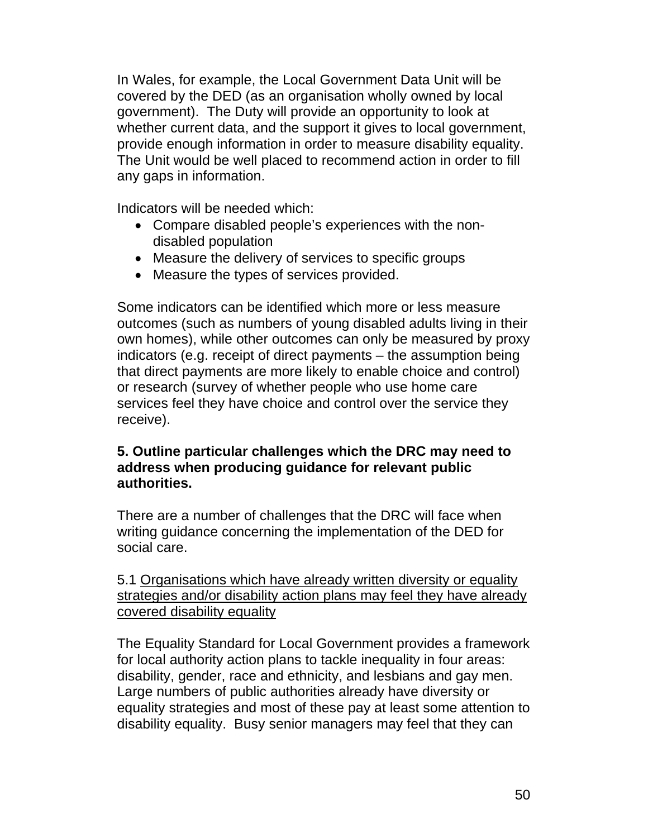In Wales, for example, the Local Government Data Unit will be covered by the DED (as an organisation wholly owned by local government). The Duty will provide an opportunity to look at whether current data, and the support it gives to local government, provide enough information in order to measure disability equality. The Unit would be well placed to recommend action in order to fill any gaps in information.

Indicators will be needed which:

- Compare disabled people's experiences with the nondisabled population
- Measure the delivery of services to specific groups
- Measure the types of services provided.

Some indicators can be identified which more or less measure outcomes (such as numbers of young disabled adults living in their own homes), while other outcomes can only be measured by proxy indicators (e.g. receipt of direct payments – the assumption being that direct payments are more likely to enable choice and control) or research (survey of whether people who use home care services feel they have choice and control over the service they receive).

# **5. Outline particular challenges which the DRC may need to address when producing guidance for relevant public authorities.**

There are a number of challenges that the DRC will face when writing guidance concerning the implementation of the DED for social care.

5.1 Organisations which have already written diversity or equality strategies and/or disability action plans may feel they have already covered disability equality

The Equality Standard for Local Government provides a framework for local authority action plans to tackle inequality in four areas: disability, gender, race and ethnicity, and lesbians and gay men. Large numbers of public authorities already have diversity or equality strategies and most of these pay at least some attention to disability equality. Busy senior managers may feel that they can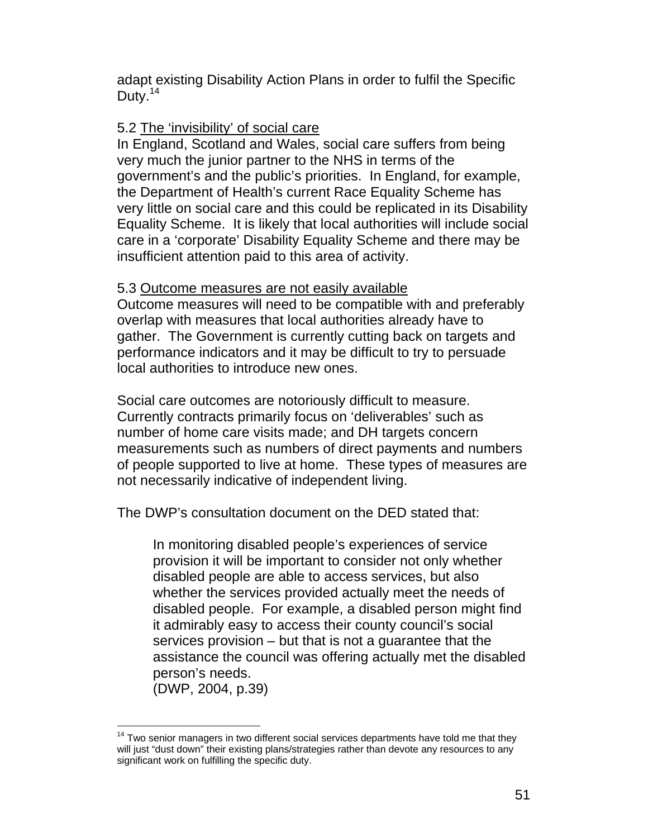adapt existing Disability Action Plans in order to fulfil the Specific Duty.<sup>14</sup>

# 5.2 The 'invisibility' of social care

In England, Scotland and Wales, social care suffers from being very much the junior partner to the NHS in terms of the government's and the public's priorities. In England, for example, the Department of Health's current Race Equality Scheme has very little on social care and this could be replicated in its Disability Equality Scheme. It is likely that local authorities will include social care in a 'corporate' Disability Equality Scheme and there may be insufficient attention paid to this area of activity.

#### 5.3 Outcome measures are not easily available

Outcome measures will need to be compatible with and preferably overlap with measures that local authorities already have to gather. The Government is currently cutting back on targets and performance indicators and it may be difficult to try to persuade local authorities to introduce new ones.

Social care outcomes are notoriously difficult to measure. Currently contracts primarily focus on 'deliverables' such as number of home care visits made; and DH targets concern measurements such as numbers of direct payments and numbers of people supported to live at home. These types of measures are not necessarily indicative of independent living.

The DWP's consultation document on the DED stated that:

In monitoring disabled people's experiences of service provision it will be important to consider not only whether disabled people are able to access services, but also whether the services provided actually meet the needs of disabled people. For example, a disabled person might find it admirably easy to access their county council's social services provision – but that is not a guarantee that the assistance the council was offering actually met the disabled person's needs.

(DWP, 2004, p.39)

 $\overline{a}$  $14$  Two senior managers in two different social services departments have told me that they will just "dust down" their existing plans/strategies rather than devote any resources to any significant work on fulfilling the specific duty.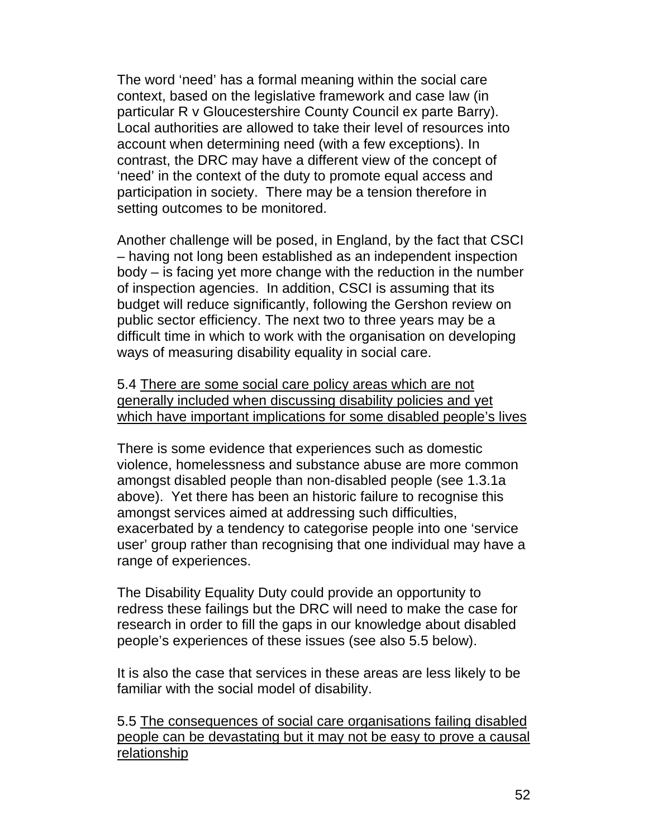The word 'need' has a formal meaning within the social care context, based on the legislative framework and case law (in particular R v Gloucestershire County Council ex parte Barry). Local authorities are allowed to take their level of resources into account when determining need (with a few exceptions). In contrast, the DRC may have a different view of the concept of 'need' in the context of the duty to promote equal access and participation in society. There may be a tension therefore in setting outcomes to be monitored.

Another challenge will be posed, in England, by the fact that CSCI – having not long been established as an independent inspection body – is facing yet more change with the reduction in the number of inspection agencies. In addition, CSCI is assuming that its budget will reduce significantly, following the Gershon review on public sector efficiency. The next two to three years may be a difficult time in which to work with the organisation on developing ways of measuring disability equality in social care.

5.4 There are some social care policy areas which are not generally included when discussing disability policies and yet which have important implications for some disabled people's lives

There is some evidence that experiences such as domestic violence, homelessness and substance abuse are more common amongst disabled people than non-disabled people (see 1.3.1a above). Yet there has been an historic failure to recognise this amongst services aimed at addressing such difficulties, exacerbated by a tendency to categorise people into one 'service user' group rather than recognising that one individual may have a range of experiences.

The Disability Equality Duty could provide an opportunity to redress these failings but the DRC will need to make the case for research in order to fill the gaps in our knowledge about disabled people's experiences of these issues (see also 5.5 below).

It is also the case that services in these areas are less likely to be familiar with the social model of disability.

5.5 The consequences of social care organisations failing disabled people can be devastating but it may not be easy to prove a causal relationship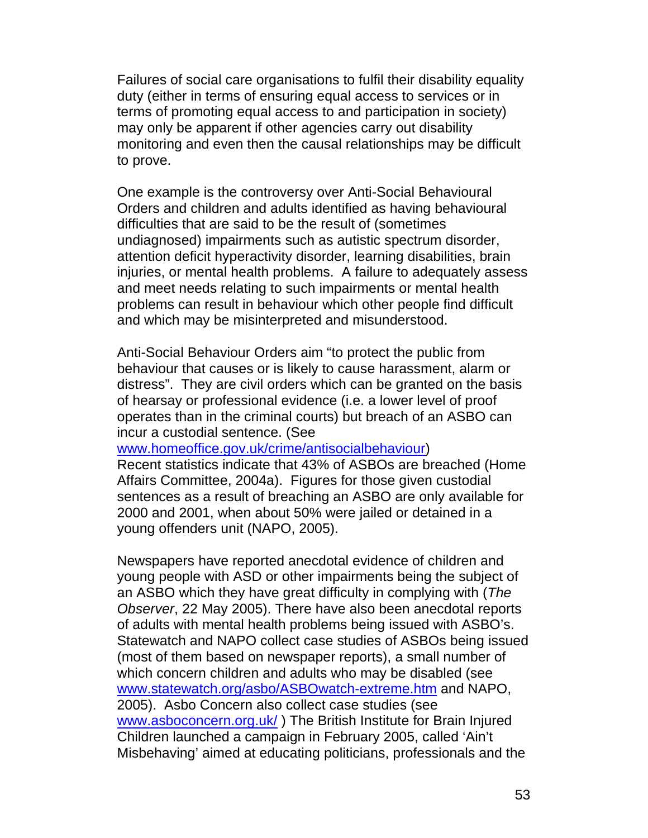Failures of social care organisations to fulfil their disability equality duty (either in terms of ensuring equal access to services or in terms of promoting equal access to and participation in society) may only be apparent if other agencies carry out disability monitoring and even then the causal relationships may be difficult to prove.

One example is the controversy over Anti-Social Behavioural Orders and children and adults identified as having behavioural difficulties that are said to be the result of (sometimes undiagnosed) impairments such as autistic spectrum disorder, attention deficit hyperactivity disorder, learning disabilities, brain injuries, or mental health problems. A failure to adequately assess and meet needs relating to such impairments or mental health problems can result in behaviour which other people find difficult and which may be misinterpreted and misunderstood.

Anti-Social Behaviour Orders aim "to protect the public from behaviour that causes or is likely to cause harassment, alarm or distress". They are civil orders which can be granted on the basis of hearsay or professional evidence (i.e. a lower level of proof operates than in the criminal courts) but breach of an ASBO can incur a custodial sentence. (See

www.homeoffice.gov.uk/crime/antisocialbehaviour)

Recent statistics indicate that 43% of ASBOs are breached (Home Affairs Committee, 2004a). Figures for those given custodial sentences as a result of breaching an ASBO are only available for 2000 and 2001, when about 50% were jailed or detained in a young offenders unit (NAPO, 2005).

Newspapers have reported anecdotal evidence of children and young people with ASD or other impairments being the subject of an ASBO which they have great difficulty in complying with (*The Observer*, 22 May 2005). There have also been anecdotal reports of adults with mental health problems being issued with ASBO's. Statewatch and NAPO collect case studies of ASBOs being issued (most of them based on newspaper reports), a small number of which concern children and adults who may be disabled (see www.statewatch.org/asbo/ASBOwatch-extreme.htm and NAPO, 2005). Asbo Concern also collect case studies (see www.asboconcern.org.uk/ ) The British Institute for Brain Injured Children launched a campaign in February 2005, called 'Ain't Misbehaving' aimed at educating politicians, professionals and the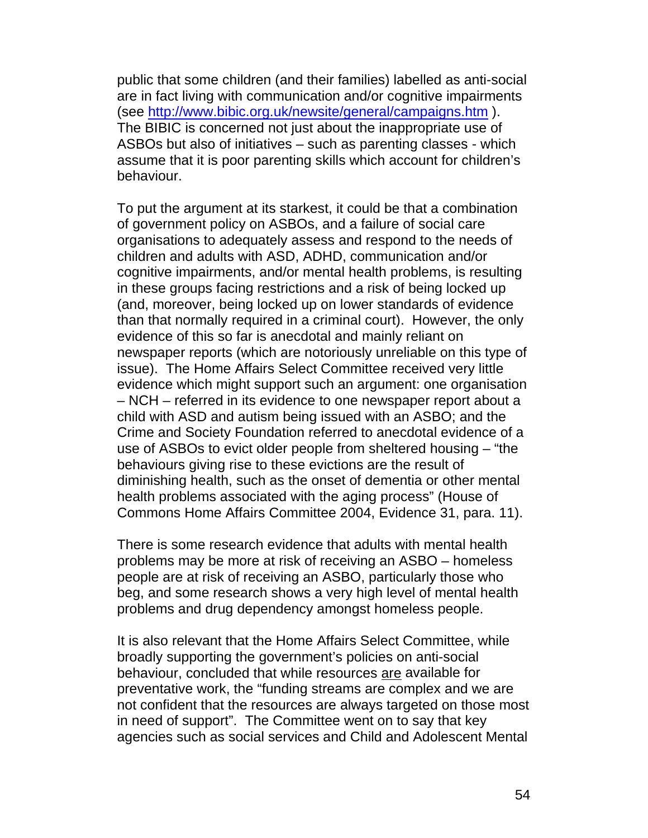public that some children (and their families) labelled as anti-social are in fact living with communication and/or cognitive impairments (see http://www.bibic.org.uk/newsite/general/campaigns.htm ). The BIBIC is concerned not just about the inappropriate use of ASBOs but also of initiatives – such as parenting classes - which assume that it is poor parenting skills which account for children's behaviour.

To put the argument at its starkest, it could be that a combination of government policy on ASBOs, and a failure of social care organisations to adequately assess and respond to the needs of children and adults with ASD, ADHD, communication and/or cognitive impairments, and/or mental health problems, is resulting in these groups facing restrictions and a risk of being locked up (and, moreover, being locked up on lower standards of evidence than that normally required in a criminal court). However, the only evidence of this so far is anecdotal and mainly reliant on newspaper reports (which are notoriously unreliable on this type of issue). The Home Affairs Select Committee received very little evidence which might support such an argument: one organisation – NCH – referred in its evidence to one newspaper report about a child with ASD and autism being issued with an ASBO; and the Crime and Society Foundation referred to anecdotal evidence of a use of ASBOs to evict older people from sheltered housing – "the behaviours giving rise to these evictions are the result of diminishing health, such as the onset of dementia or other mental health problems associated with the aging process" (House of Commons Home Affairs Committee 2004, Evidence 31, para. 11).

There is some research evidence that adults with mental health problems may be more at risk of receiving an ASBO – homeless people are at risk of receiving an ASBO, particularly those who beg, and some research shows a very high level of mental health problems and drug dependency amongst homeless people.

It is also relevant that the Home Affairs Select Committee, while broadly supporting the government's policies on anti-social behaviour, concluded that while resources are available for preventative work, the "funding streams are complex and we are not confident that the resources are always targeted on those most in need of support". The Committee went on to say that key agencies such as social services and Child and Adolescent Mental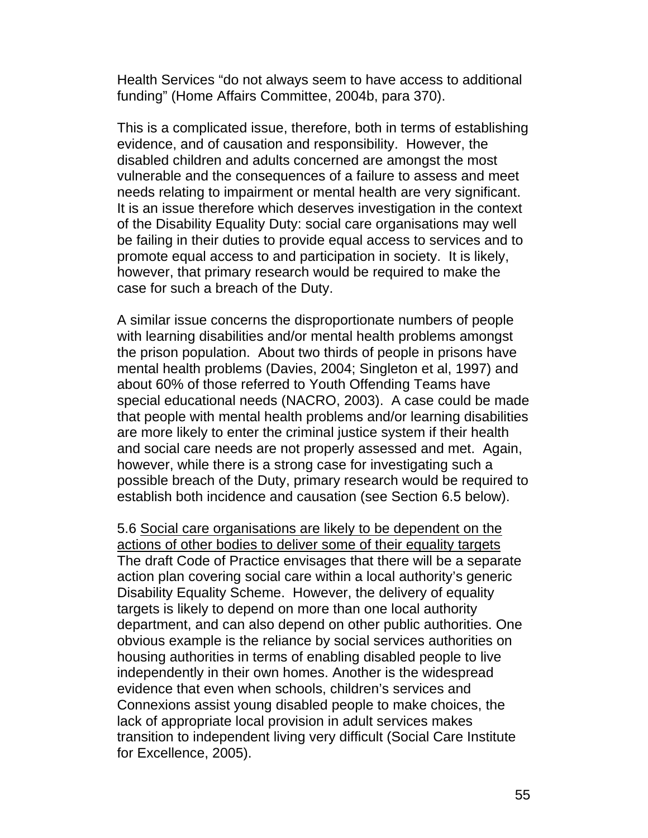Health Services "do not always seem to have access to additional funding" (Home Affairs Committee, 2004b, para 370).

This is a complicated issue, therefore, both in terms of establishing evidence, and of causation and responsibility. However, the disabled children and adults concerned are amongst the most vulnerable and the consequences of a failure to assess and meet needs relating to impairment or mental health are very significant. It is an issue therefore which deserves investigation in the context of the Disability Equality Duty: social care organisations may well be failing in their duties to provide equal access to services and to promote equal access to and participation in society. It is likely, however, that primary research would be required to make the case for such a breach of the Duty.

A similar issue concerns the disproportionate numbers of people with learning disabilities and/or mental health problems amongst the prison population. About two thirds of people in prisons have mental health problems (Davies, 2004; Singleton et al, 1997) and about 60% of those referred to Youth Offending Teams have special educational needs (NACRO, 2003). A case could be made that people with mental health problems and/or learning disabilities are more likely to enter the criminal justice system if their health and social care needs are not properly assessed and met. Again, however, while there is a strong case for investigating such a possible breach of the Duty, primary research would be required to establish both incidence and causation (see Section 6.5 below).

5.6 Social care organisations are likely to be dependent on the actions of other bodies to deliver some of their equality targets The draft Code of Practice envisages that there will be a separate action plan covering social care within a local authority's generic Disability Equality Scheme. However, the delivery of equality targets is likely to depend on more than one local authority department, and can also depend on other public authorities. One obvious example is the reliance by social services authorities on housing authorities in terms of enabling disabled people to live independently in their own homes. Another is the widespread evidence that even when schools, children's services and Connexions assist young disabled people to make choices, the lack of appropriate local provision in adult services makes transition to independent living very difficult (Social Care Institute for Excellence, 2005).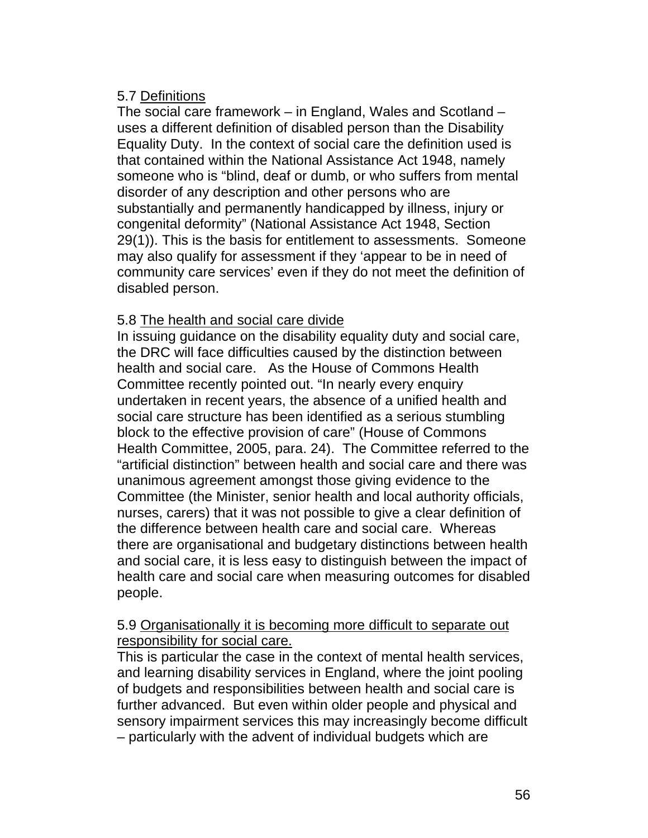# 5.7 Definitions

The social care framework – in England, Wales and Scotland – uses a different definition of disabled person than the Disability Equality Duty. In the context of social care the definition used is that contained within the National Assistance Act 1948, namely someone who is "blind, deaf or dumb, or who suffers from mental disorder of any description and other persons who are substantially and permanently handicapped by illness, injury or congenital deformity" (National Assistance Act 1948, Section 29(1)). This is the basis for entitlement to assessments. Someone may also qualify for assessment if they 'appear to be in need of community care services' even if they do not meet the definition of disabled person.

# 5.8 The health and social care divide

In issuing guidance on the disability equality duty and social care, the DRC will face difficulties caused by the distinction between health and social care. As the House of Commons Health Committee recently pointed out. "In nearly every enquiry undertaken in recent years, the absence of a unified health and social care structure has been identified as a serious stumbling block to the effective provision of care" (House of Commons Health Committee, 2005, para. 24). The Committee referred to the "artificial distinction" between health and social care and there was unanimous agreement amongst those giving evidence to the Committee (the Minister, senior health and local authority officials, nurses, carers) that it was not possible to give a clear definition of the difference between health care and social care. Whereas there are organisational and budgetary distinctions between health and social care, it is less easy to distinguish between the impact of health care and social care when measuring outcomes for disabled people.

# 5.9 Organisationally it is becoming more difficult to separate out responsibility for social care.

This is particular the case in the context of mental health services, and learning disability services in England, where the joint pooling of budgets and responsibilities between health and social care is further advanced. But even within older people and physical and sensory impairment services this may increasingly become difficult – particularly with the advent of individual budgets which are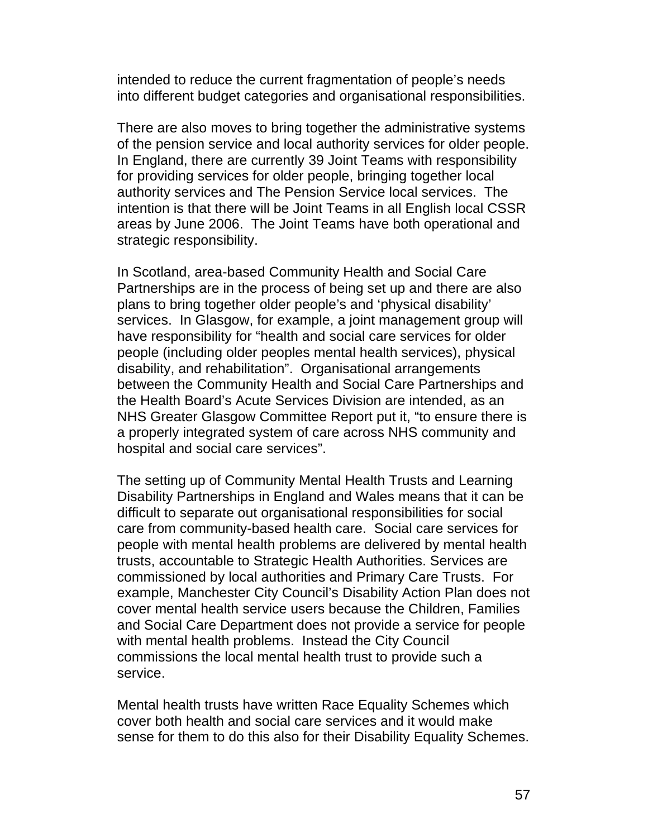intended to reduce the current fragmentation of people's needs into different budget categories and organisational responsibilities.

There are also moves to bring together the administrative systems of the pension service and local authority services for older people. In England, there are currently 39 Joint Teams with responsibility for providing services for older people, bringing together local authority services and The Pension Service local services. The intention is that there will be Joint Teams in all English local CSSR areas by June 2006. The Joint Teams have both operational and strategic responsibility.

In Scotland, area-based Community Health and Social Care Partnerships are in the process of being set up and there are also plans to bring together older people's and 'physical disability' services. In Glasgow, for example, a joint management group will have responsibility for "health and social care services for older people (including older peoples mental health services), physical disability, and rehabilitation". Organisational arrangements between the Community Health and Social Care Partnerships and the Health Board's Acute Services Division are intended, as an NHS Greater Glasgow Committee Report put it, "to ensure there is a properly integrated system of care across NHS community and hospital and social care services".

The setting up of Community Mental Health Trusts and Learning Disability Partnerships in England and Wales means that it can be difficult to separate out organisational responsibilities for social care from community-based health care. Social care services for people with mental health problems are delivered by mental health trusts, accountable to Strategic Health Authorities. Services are commissioned by local authorities and Primary Care Trusts. For example, Manchester City Council's Disability Action Plan does not cover mental health service users because the Children, Families and Social Care Department does not provide a service for people with mental health problems. Instead the City Council commissions the local mental health trust to provide such a service.

Mental health trusts have written Race Equality Schemes which cover both health and social care services and it would make sense for them to do this also for their Disability Equality Schemes.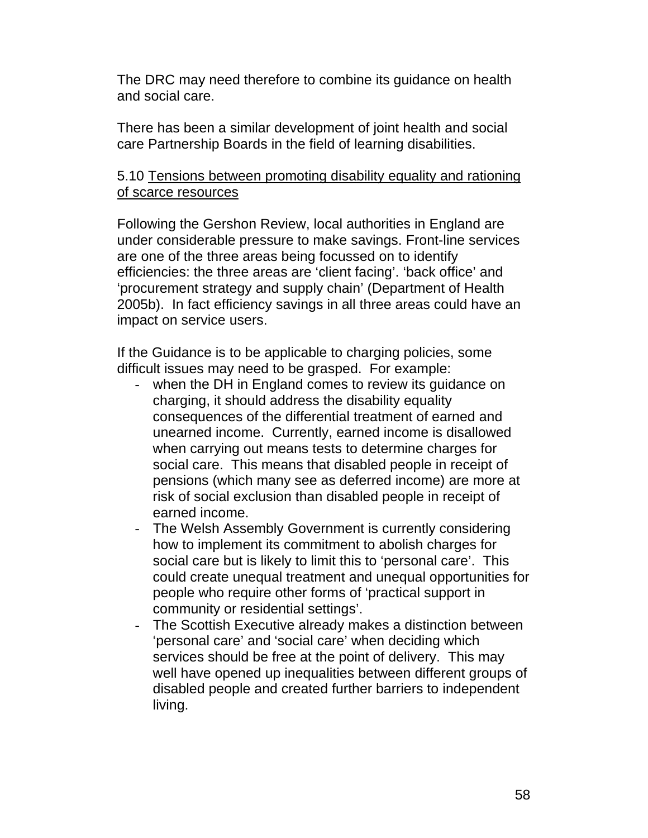The DRC may need therefore to combine its guidance on health and social care.

There has been a similar development of joint health and social care Partnership Boards in the field of learning disabilities.

## 5.10 Tensions between promoting disability equality and rationing of scarce resources

Following the Gershon Review, local authorities in England are under considerable pressure to make savings. Front-line services are one of the three areas being focussed on to identify efficiencies: the three areas are 'client facing'. 'back office' and 'procurement strategy and supply chain' (Department of Health 2005b). In fact efficiency savings in all three areas could have an impact on service users.

If the Guidance is to be applicable to charging policies, some difficult issues may need to be grasped. For example:

- when the DH in England comes to review its guidance on charging, it should address the disability equality consequences of the differential treatment of earned and unearned income. Currently, earned income is disallowed when carrying out means tests to determine charges for social care. This means that disabled people in receipt of pensions (which many see as deferred income) are more at risk of social exclusion than disabled people in receipt of earned income.
- The Welsh Assembly Government is currently considering how to implement its commitment to abolish charges for social care but is likely to limit this to 'personal care'. This could create unequal treatment and unequal opportunities for people who require other forms of 'practical support in community or residential settings'.
- The Scottish Executive already makes a distinction between 'personal care' and 'social care' when deciding which services should be free at the point of delivery. This may well have opened up inequalities between different groups of disabled people and created further barriers to independent living.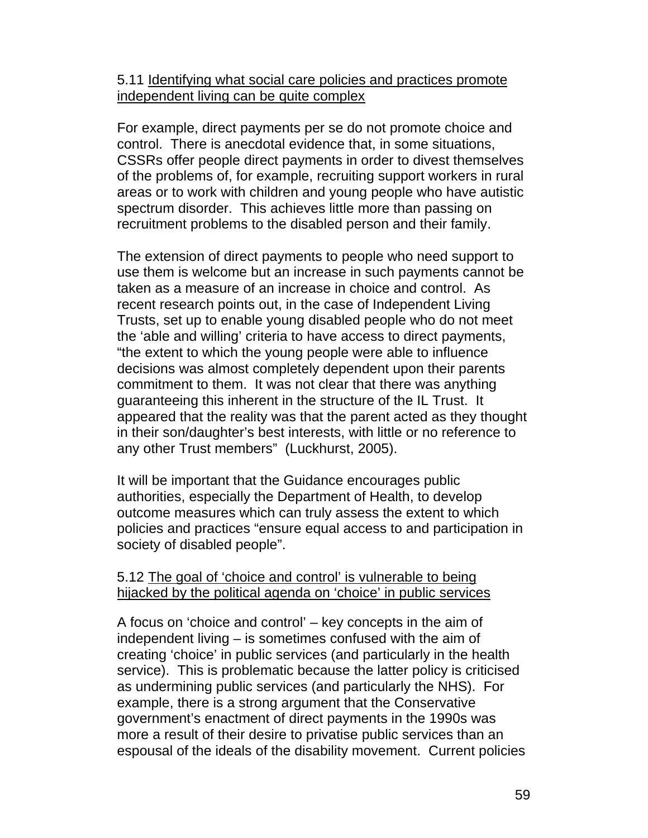### 5.11 Identifying what social care policies and practices promote independent living can be quite complex

For example, direct payments per se do not promote choice and control. There is anecdotal evidence that, in some situations, CSSRs offer people direct payments in order to divest themselves of the problems of, for example, recruiting support workers in rural areas or to work with children and young people who have autistic spectrum disorder. This achieves little more than passing on recruitment problems to the disabled person and their family.

The extension of direct payments to people who need support to use them is welcome but an increase in such payments cannot be taken as a measure of an increase in choice and control. As recent research points out, in the case of Independent Living Trusts, set up to enable young disabled people who do not meet the 'able and willing' criteria to have access to direct payments, "the extent to which the young people were able to influence decisions was almost completely dependent upon their parents commitment to them. It was not clear that there was anything guaranteeing this inherent in the structure of the IL Trust. It appeared that the reality was that the parent acted as they thought in their son/daughter's best interests, with little or no reference to any other Trust members" (Luckhurst, 2005).

It will be important that the Guidance encourages public authorities, especially the Department of Health, to develop outcome measures which can truly assess the extent to which policies and practices "ensure equal access to and participation in society of disabled people".

#### 5.12 The goal of 'choice and control' is vulnerable to being hijacked by the political agenda on 'choice' in public services

A focus on 'choice and control' – key concepts in the aim of independent living – is sometimes confused with the aim of creating 'choice' in public services (and particularly in the health service). This is problematic because the latter policy is criticised as undermining public services (and particularly the NHS). For example, there is a strong argument that the Conservative government's enactment of direct payments in the 1990s was more a result of their desire to privatise public services than an espousal of the ideals of the disability movement. Current policies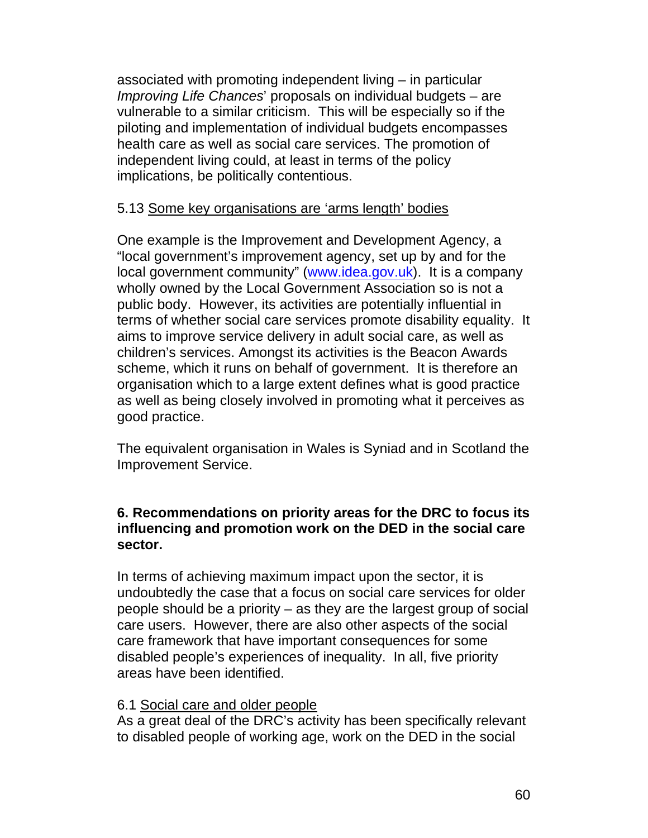associated with promoting independent living – in particular *Improving Life Chances*' proposals on individual budgets – are vulnerable to a similar criticism. This will be especially so if the piloting and implementation of individual budgets encompasses health care as well as social care services. The promotion of independent living could, at least in terms of the policy implications, be politically contentious.

# 5.13 Some key organisations are 'arms length' bodies

One example is the Improvement and Development Agency, a "local government's improvement agency, set up by and for the local government community" (www.idea.gov.uk). It is a company wholly owned by the Local Government Association so is not a public body. However, its activities are potentially influential in terms of whether social care services promote disability equality. It aims to improve service delivery in adult social care, as well as children's services. Amongst its activities is the Beacon Awards scheme, which it runs on behalf of government. It is therefore an organisation which to a large extent defines what is good practice as well as being closely involved in promoting what it perceives as good practice.

The equivalent organisation in Wales is Syniad and in Scotland the Improvement Service.

# **6. Recommendations on priority areas for the DRC to focus its influencing and promotion work on the DED in the social care sector.**

In terms of achieving maximum impact upon the sector, it is undoubtedly the case that a focus on social care services for older people should be a priority – as they are the largest group of social care users. However, there are also other aspects of the social care framework that have important consequences for some disabled people's experiences of inequality. In all, five priority areas have been identified.

#### 6.1 Social care and older people

As a great deal of the DRC's activity has been specifically relevant to disabled people of working age, work on the DED in the social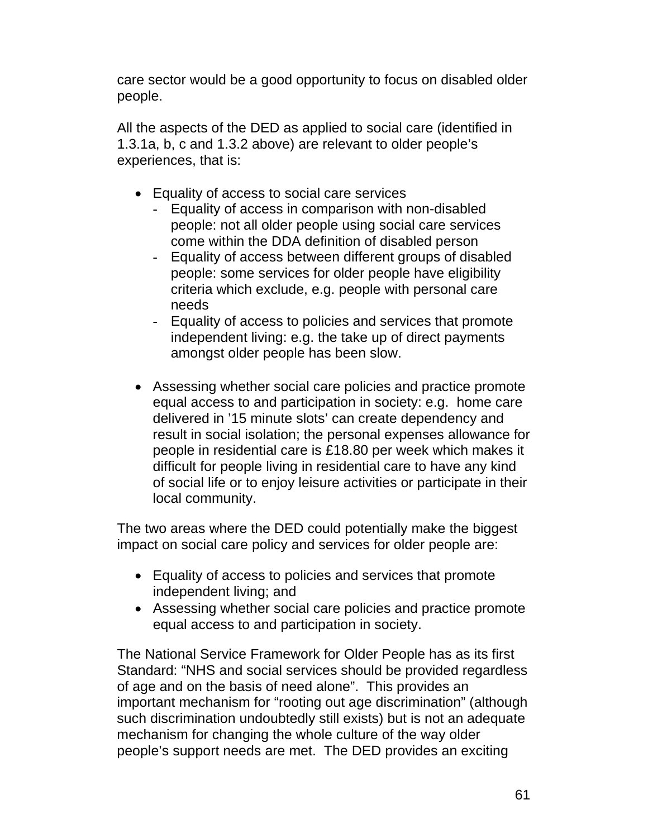care sector would be a good opportunity to focus on disabled older people.

All the aspects of the DED as applied to social care (identified in 1.3.1a, b, c and 1.3.2 above) are relevant to older people's experiences, that is:

- Equality of access to social care services
	- Equality of access in comparison with non-disabled people: not all older people using social care services come within the DDA definition of disabled person
	- Equality of access between different groups of disabled people: some services for older people have eligibility criteria which exclude, e.g. people with personal care needs
	- Equality of access to policies and services that promote independent living: e.g. the take up of direct payments amongst older people has been slow.
- Assessing whether social care policies and practice promote equal access to and participation in society: e.g. home care delivered in '15 minute slots' can create dependency and result in social isolation; the personal expenses allowance for people in residential care is £18.80 per week which makes it difficult for people living in residential care to have any kind of social life or to enjoy leisure activities or participate in their local community.

The two areas where the DED could potentially make the biggest impact on social care policy and services for older people are:

- Equality of access to policies and services that promote independent living; and
- Assessing whether social care policies and practice promote equal access to and participation in society.

The National Service Framework for Older People has as its first Standard: "NHS and social services should be provided regardless of age and on the basis of need alone". This provides an important mechanism for "rooting out age discrimination" (although such discrimination undoubtedly still exists) but is not an adequate mechanism for changing the whole culture of the way older people's support needs are met. The DED provides an exciting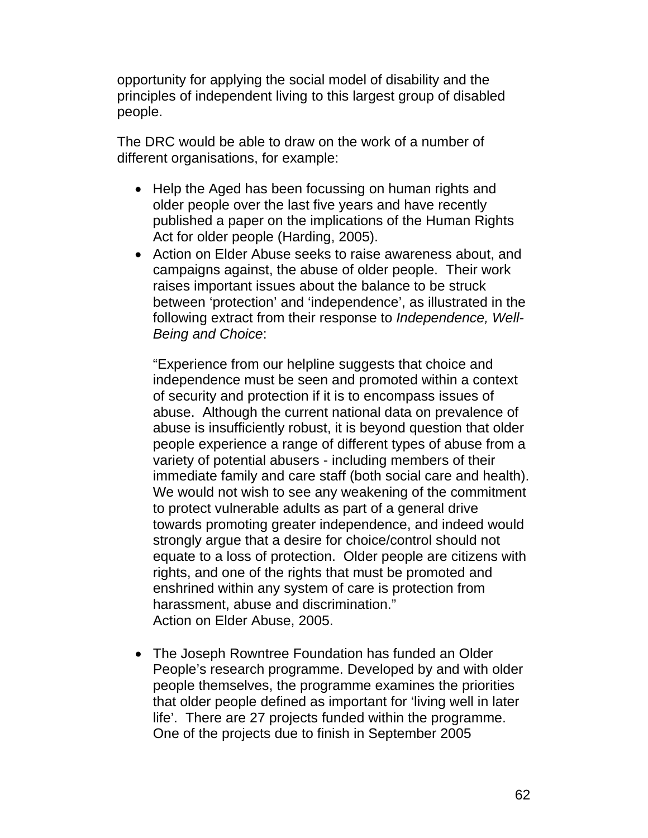opportunity for applying the social model of disability and the principles of independent living to this largest group of disabled people.

The DRC would be able to draw on the work of a number of different organisations, for example:

- Help the Aged has been focussing on human rights and older people over the last five years and have recently published a paper on the implications of the Human Rights Act for older people (Harding, 2005).
- Action on Elder Abuse seeks to raise awareness about, and campaigns against, the abuse of older people. Their work raises important issues about the balance to be struck between 'protection' and 'independence', as illustrated in the following extract from their response to *Independence, Well-Being and Choice*:

"Experience from our helpline suggests that choice and independence must be seen and promoted within a context of security and protection if it is to encompass issues of abuse. Although the current national data on prevalence of abuse is insufficiently robust, it is beyond question that older people experience a range of different types of abuse from a variety of potential abusers - including members of their immediate family and care staff (both social care and health). We would not wish to see any weakening of the commitment to protect vulnerable adults as part of a general drive towards promoting greater independence, and indeed would strongly argue that a desire for choice/control should not equate to a loss of protection. Older people are citizens with rights, and one of the rights that must be promoted and enshrined within any system of care is protection from harassment, abuse and discrimination." Action on Elder Abuse, 2005.

• The Joseph Rowntree Foundation has funded an Older People's research programme. Developed by and with older people themselves, the programme examines the priorities that older people defined as important for 'living well in later life'. There are 27 projects funded within the programme. One of the projects due to finish in September 2005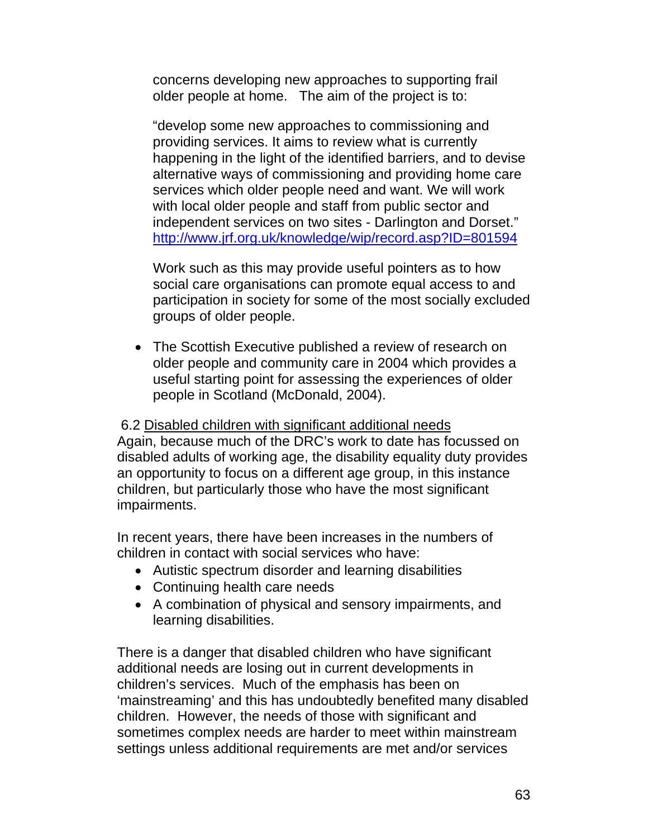concerns developing new approaches to supporting frail older people at home. The aim of the project is to:

"develop some new approaches to commissioning and providing services. It aims to review what is currently happening in the light of the identified barriers, and to devise alternative ways of commissioning and providing home care services which older people need and want. We will work with local older people and staff from public sector and independent services on two sites - Darlington and Dorset." http://www.jrf.org.uk/knowledge/wip/record.asp?ID=801594

Work such as this may provide useful pointers as to how social care organisations can promote equal access to and participation in society for some of the most socially excluded groups of older people.

• The Scottish Executive published a review of research on older people and community care in 2004 which provides a useful starting point for assessing the experiences of older people in Scotland (McDonald, 2004).

# 6.2 Disabled children with significant additional needs

Again, because much of the DRC's work to date has focussed on disabled adults of working age, the disability equality duty provides an opportunity to focus on a different age group, in this instance children, but particularly those who have the most significant impairments.

In recent years, there have been increases in the numbers of children in contact with social services who have:

- Autistic spectrum disorder and learning disabilities
- Continuing health care needs
- A combination of physical and sensory impairments, and learning disabilities.

There is a danger that disabled children who have significant additional needs are losing out in current developments in children's services. Much of the emphasis has been on 'mainstreaming' and this has undoubtedly benefited many disabled children. However, the needs of those with significant and sometimes complex needs are harder to meet within mainstream settings unless additional requirements are met and/or services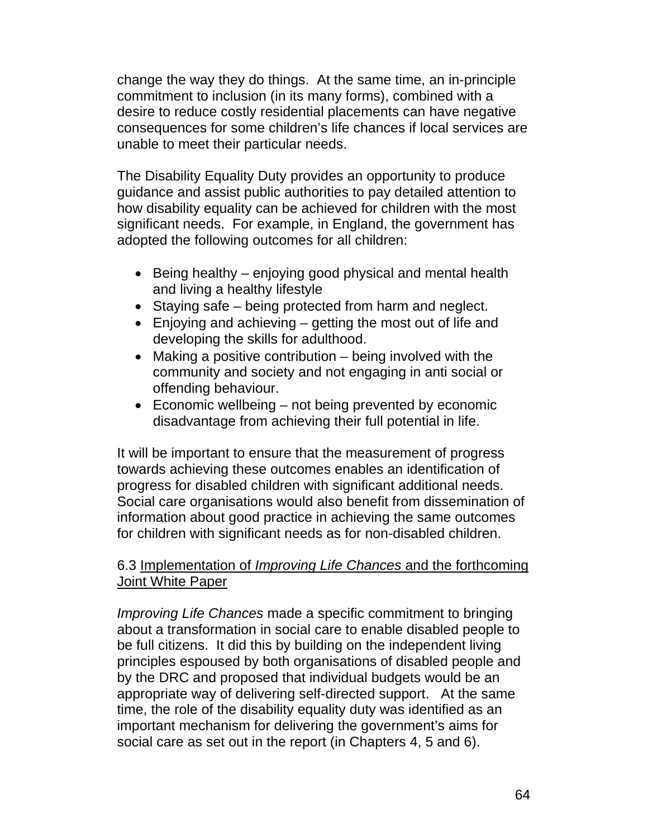change the way they do things. At the same time, an in-principle commitment to inclusion (in its many forms), combined with a desire to reduce costly residential placements can have negative consequences for some children's life chances if local services are unable to meet their particular needs.

The Disability Equality Duty provides an opportunity to produce guidance and assist public authorities to pay detailed attention to how disability equality can be achieved for children with the most significant needs. For example, in England, the government has adopted the following outcomes for all children:

- Being healthy enjoying good physical and mental health and living a healthy lifestyle
- Staying safe being protected from harm and neglect.
- Enjoying and achieving getting the most out of life and developing the skills for adulthood.
- Making a positive contribution being involved with the community and society and not engaging in anti social or offending behaviour.
- Economic wellbeing not being prevented by economic disadvantage from achieving their full potential in life.

It will be important to ensure that the measurement of progress towards achieving these outcomes enables an identification of progress for disabled children with significant additional needs. Social care organisations would also benefit from dissemination of information about good practice in achieving the same outcomes for children with significant needs as for non-disabled children.

# 6.3 Implementation of *Improving Life Chances* and the forthcoming Joint White Paper

*Improving Life Chances* made a specific commitment to bringing about a transformation in social care to enable disabled people to be full citizens. It did this by building on the independent living principles espoused by both organisations of disabled people and by the DRC and proposed that individual budgets would be an appropriate way of delivering self-directed support. At the same time, the role of the disability equality duty was identified as an important mechanism for delivering the government's aims for social care as set out in the report (in Chapters 4, 5 and 6).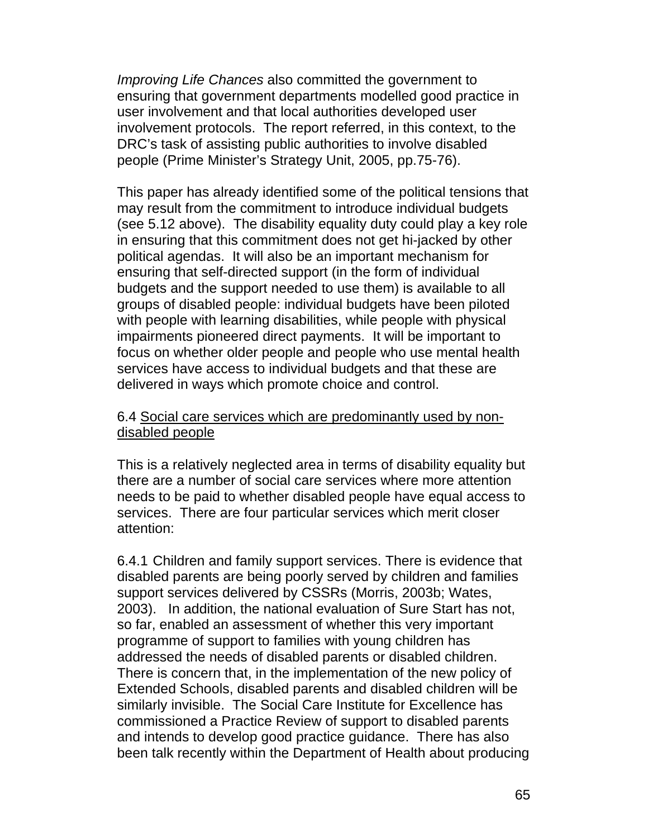*Improving Life Chances* also committed the government to ensuring that government departments modelled good practice in user involvement and that local authorities developed user involvement protocols. The report referred, in this context, to the DRC's task of assisting public authorities to involve disabled people (Prime Minister's Strategy Unit, 2005, pp.75-76).

This paper has already identified some of the political tensions that may result from the commitment to introduce individual budgets (see 5.12 above). The disability equality duty could play a key role in ensuring that this commitment does not get hi-jacked by other political agendas. It will also be an important mechanism for ensuring that self-directed support (in the form of individual budgets and the support needed to use them) is available to all groups of disabled people: individual budgets have been piloted with people with learning disabilities, while people with physical impairments pioneered direct payments. It will be important to focus on whether older people and people who use mental health services have access to individual budgets and that these are delivered in ways which promote choice and control.

# 6.4 Social care services which are predominantly used by nondisabled people

This is a relatively neglected area in terms of disability equality but there are a number of social care services where more attention needs to be paid to whether disabled people have equal access to services. There are four particular services which merit closer attention:

6.4.1 Children and family support services. There is evidence that disabled parents are being poorly served by children and families support services delivered by CSSRs (Morris, 2003b; Wates, 2003). In addition, the national evaluation of Sure Start has not, so far, enabled an assessment of whether this very important programme of support to families with young children has addressed the needs of disabled parents or disabled children. There is concern that, in the implementation of the new policy of Extended Schools, disabled parents and disabled children will be similarly invisible. The Social Care Institute for Excellence has commissioned a Practice Review of support to disabled parents and intends to develop good practice guidance. There has also been talk recently within the Department of Health about producing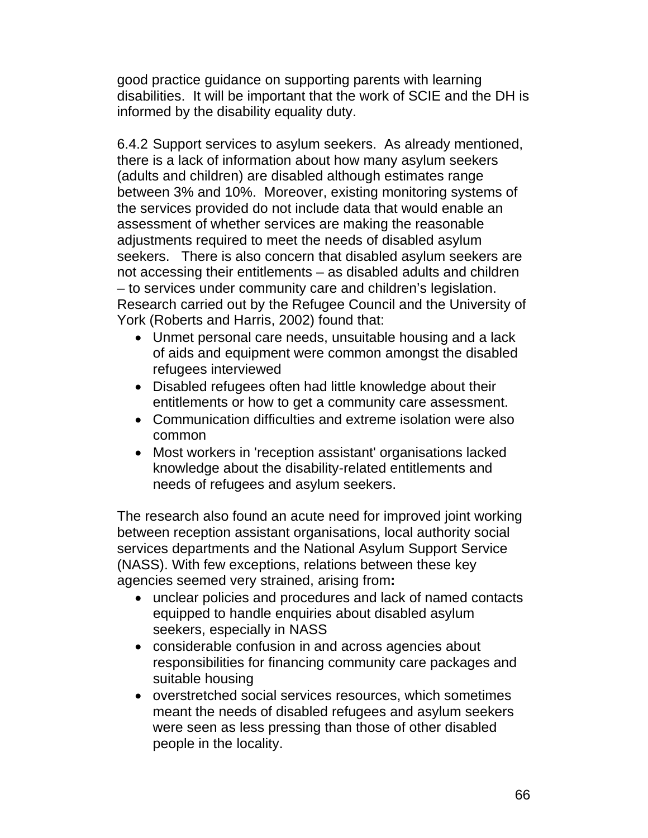good practice guidance on supporting parents with learning disabilities. It will be important that the work of SCIE and the DH is informed by the disability equality duty.

6.4.2 Support services to asylum seekers. As already mentioned, there is a lack of information about how many asylum seekers (adults and children) are disabled although estimates range between 3% and 10%. Moreover, existing monitoring systems of the services provided do not include data that would enable an assessment of whether services are making the reasonable adjustments required to meet the needs of disabled asylum seekers. There is also concern that disabled asylum seekers are not accessing their entitlements – as disabled adults and children – to services under community care and children's legislation. Research carried out by the Refugee Council and the University of York (Roberts and Harris, 2002) found that:

- Unmet personal care needs, unsuitable housing and a lack of aids and equipment were common amongst the disabled refugees interviewed
- Disabled refugees often had little knowledge about their entitlements or how to get a community care assessment.
- Communication difficulties and extreme isolation were also common
- Most workers in 'reception assistant' organisations lacked knowledge about the disability-related entitlements and needs of refugees and asylum seekers.

The research also found an acute need for improved joint working between reception assistant organisations, local authority social services departments and the National Asylum Support Service (NASS). With few exceptions, relations between these key agencies seemed very strained, arising from**:** 

- unclear policies and procedures and lack of named contacts equipped to handle enquiries about disabled asylum seekers, especially in NASS
- considerable confusion in and across agencies about responsibilities for financing community care packages and suitable housing
- overstretched social services resources, which sometimes meant the needs of disabled refugees and asylum seekers were seen as less pressing than those of other disabled people in the locality.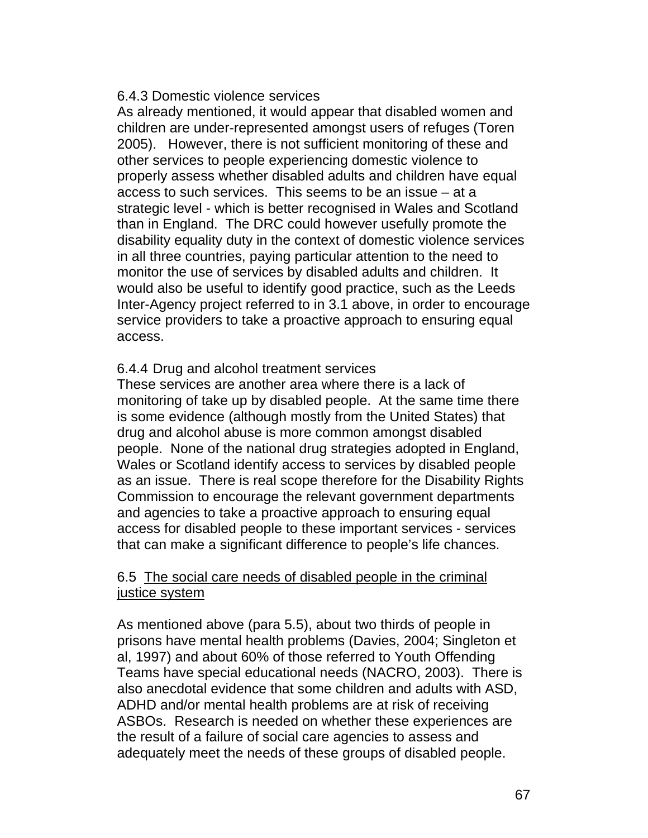#### 6.4.3 Domestic violence services

As already mentioned, it would appear that disabled women and children are under-represented amongst users of refuges (Toren 2005). However, there is not sufficient monitoring of these and other services to people experiencing domestic violence to properly assess whether disabled adults and children have equal access to such services. This seems to be an issue – at a strategic level - which is better recognised in Wales and Scotland than in England. The DRC could however usefully promote the disability equality duty in the context of domestic violence services in all three countries, paying particular attention to the need to monitor the use of services by disabled adults and children. It would also be useful to identify good practice, such as the Leeds Inter-Agency project referred to in 3.1 above, in order to encourage service providers to take a proactive approach to ensuring equal access.

# 6.4.4 Drug and alcohol treatment services

These services are another area where there is a lack of monitoring of take up by disabled people. At the same time there is some evidence (although mostly from the United States) that drug and alcohol abuse is more common amongst disabled people. None of the national drug strategies adopted in England, Wales or Scotland identify access to services by disabled people as an issue. There is real scope therefore for the Disability Rights Commission to encourage the relevant government departments and agencies to take a proactive approach to ensuring equal access for disabled people to these important services - services that can make a significant difference to people's life chances.

# 6.5 The social care needs of disabled people in the criminal justice system

As mentioned above (para 5.5), about two thirds of people in prisons have mental health problems (Davies, 2004; Singleton et al, 1997) and about 60% of those referred to Youth Offending Teams have special educational needs (NACRO, 2003). There is also anecdotal evidence that some children and adults with ASD, ADHD and/or mental health problems are at risk of receiving ASBOs. Research is needed on whether these experiences are the result of a failure of social care agencies to assess and adequately meet the needs of these groups of disabled people.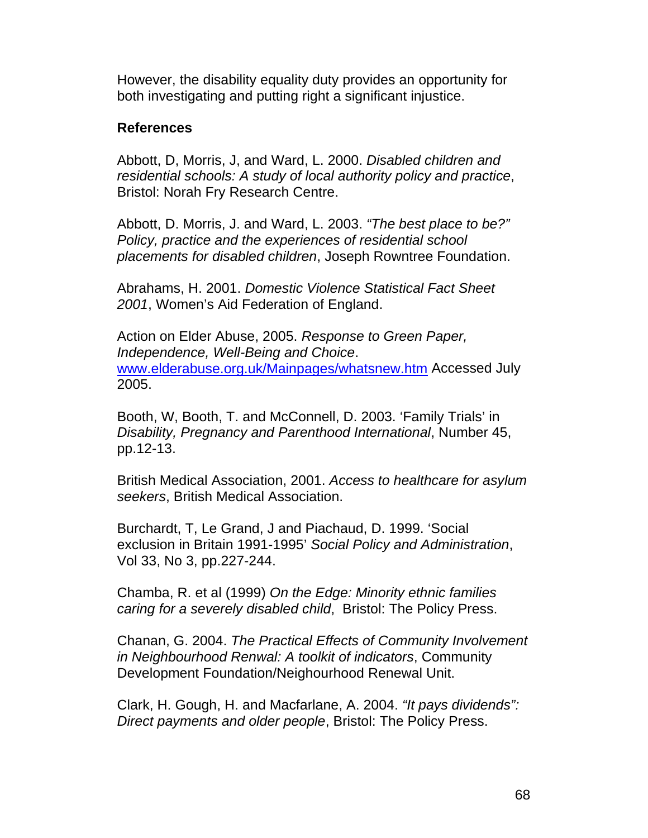However, the disability equality duty provides an opportunity for both investigating and putting right a significant injustice.

# **References**

Abbott, D, Morris, J, and Ward, L. 2000. *Disabled children and residential schools: A study of local authority policy and practice*, Bristol: Norah Fry Research Centre.

Abbott, D. Morris, J. and Ward, L. 2003. *"The best place to be?" Policy, practice and the experiences of residential school placements for disabled children*, Joseph Rowntree Foundation.

Abrahams, H. 2001. *Domestic Violence Statistical Fact Sheet 2001*, Women's Aid Federation of England.

Action on Elder Abuse, 2005. *Response to Green Paper, Independence, Well-Being and Choice*. www.elderabuse.org.uk/Mainpages/whatsnew.htm Accessed July 2005.

Booth, W, Booth, T. and McConnell, D. 2003. 'Family Trials' in *Disability, Pregnancy and Parenthood International*, Number 45, pp.12-13.

British Medical Association, 2001. *Access to healthcare for asylum seekers*, British Medical Association.

Burchardt, T, Le Grand, J and Piachaud, D. 1999. 'Social exclusion in Britain 1991-1995' *Social Policy and Administration*, Vol 33, No 3, pp.227-244.

Chamba, R. et al (1999) *On the Edge: Minority ethnic families caring for a severely disabled child*, Bristol: The Policy Press.

Chanan, G. 2004. *The Practical Effects of Community Involvement in Neighbourhood Renwal: A toolkit of indicators*, Community Development Foundation/Neighourhood Renewal Unit.

Clark, H. Gough, H. and Macfarlane, A. 2004. *"It pays dividends": Direct payments and older people*, Bristol: The Policy Press.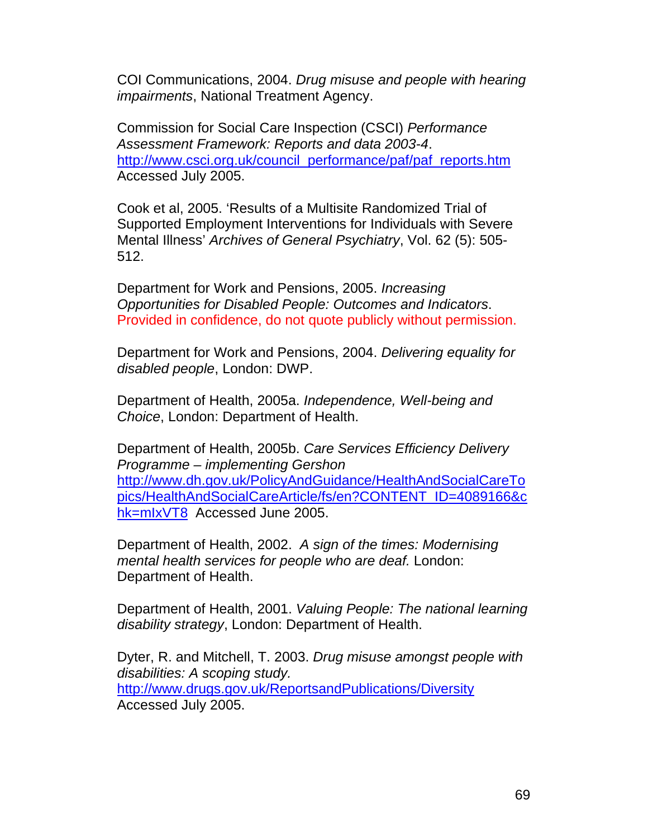COI Communications, 2004. *Drug misuse and people with hearing impairments*, National Treatment Agency.

Commission for Social Care Inspection (CSCI) *Performance Assessment Framework: Reports and data 2003-4*. http://www.csci.org.uk/council\_performance/paf/paf\_reports.htm Accessed July 2005.

Cook et al, 2005. 'Results of a Multisite Randomized Trial of Supported Employment Interventions for Individuals with Severe Mental Illness' *Archives of General Psychiatry*, Vol. 62 (5): 505- 512.

Department for Work and Pensions, 2005. *Increasing Opportunities for Disabled People: Outcomes and Indicators*. Provided in confidence, do not quote publicly without permission.

Department for Work and Pensions, 2004. *Delivering equality for disabled people*, London: DWP.

Department of Health, 2005a. *Independence, Well-being and Choice*, London: Department of Health.

Department of Health, 2005b. *Care Services Efficiency Delivery Programme – implementing Gershon*  http://www.dh.gov.uk/PolicyAndGuidance/HealthAndSocialCareTo pics/HealthAndSocialCareArticle/fs/en?CONTENT\_ID=4089166&c hk=mlxVT8 Accessed June 2005.

Department of Health, 2002. *A sign of the times: Modernising mental health services for people who are deaf.* London: Department of Health.

Department of Health, 2001. *Valuing People: The national learning disability strategy*, London: Department of Health.

Dyter, R. and Mitchell, T. 2003. *Drug misuse amongst people with disabilities: A scoping study.*  http://www.drugs.gov.uk/ReportsandPublications/Diversity Accessed July 2005.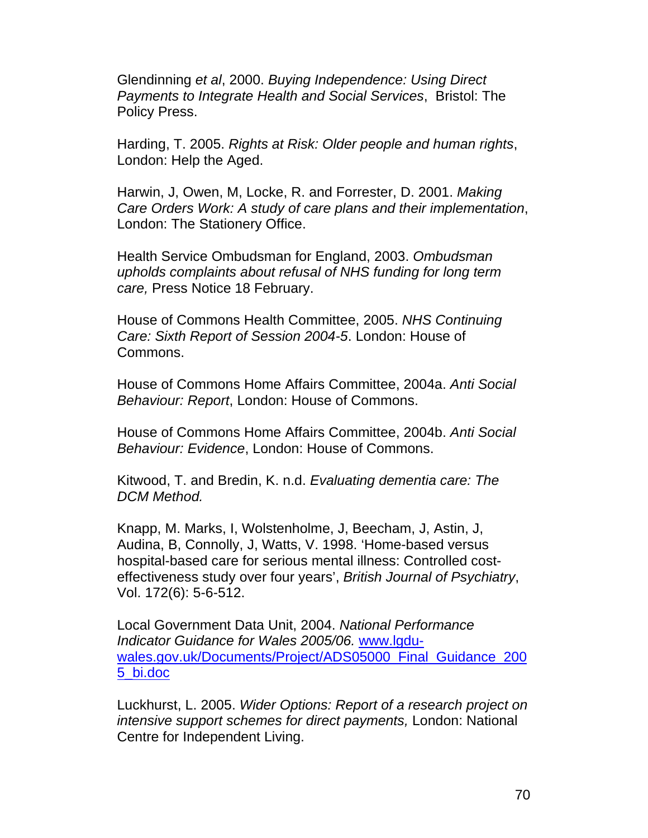Glendinning *et al*, 2000. *Buying Independence: Using Direct Payments to Integrate Health and Social Services*, Bristol: The Policy Press.

Harding, T. 2005. *Rights at Risk: Older people and human rights*, London: Help the Aged.

Harwin, J, Owen, M, Locke, R. and Forrester, D. 2001. *Making Care Orders Work: A study of care plans and their implementation*, London: The Stationery Office.

Health Service Ombudsman for England, 2003. *Ombudsman upholds complaints about refusal of NHS funding for long term care,* Press Notice 18 February.

House of Commons Health Committee, 2005. *NHS Continuing Care: Sixth Report of Session 2004-5*. London: House of Commons.

House of Commons Home Affairs Committee, 2004a. *Anti Social Behaviour: Report*, London: House of Commons.

House of Commons Home Affairs Committee, 2004b. *Anti Social Behaviour: Evidence*, London: House of Commons.

Kitwood, T. and Bredin, K. n.d. *Evaluating dementia care: The DCM Method.* 

Knapp, M. Marks, I, Wolstenholme, J, Beecham, J, Astin, J, Audina, B, Connolly, J, Watts, V. 1998. 'Home-based versus hospital-based care for serious mental illness: Controlled costeffectiveness study over four years', *British Journal of Psychiatry*, Vol. 172(6): 5-6-512.

Local Government Data Unit, 2004. *National Performance Indicator Guidance for Wales 2005/06.* www.lgduwales.gov.uk/Documents/Project/ADS05000 Final Guidance 200 5\_bi.doc

Luckhurst, L. 2005. *Wider Options: Report of a research project on intensive support schemes for direct payments,* London: National Centre for Independent Living.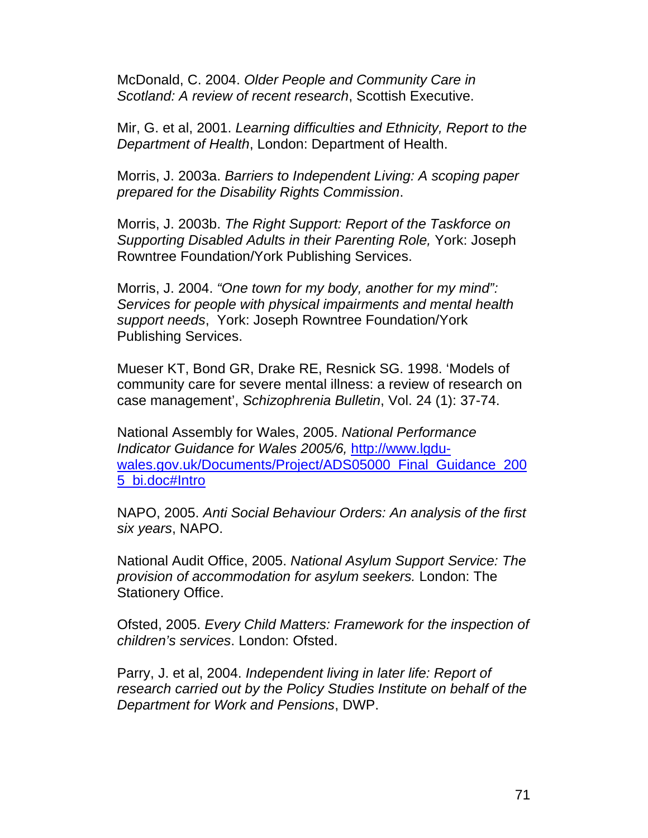McDonald, C. 2004. *Older People and Community Care in Scotland: A review of recent research*, Scottish Executive.

Mir, G. et al, 2001. *Learning difficulties and Ethnicity, Report to the Department of Health*, London: Department of Health.

Morris, J. 2003a. *Barriers to Independent Living: A scoping paper prepared for the Disability Rights Commission*.

Morris, J. 2003b. *The Right Support: Report of the Taskforce on Supporting Disabled Adults in their Parenting Role,* York: Joseph Rowntree Foundation/York Publishing Services.

Morris, J. 2004. *"One town for my body, another for my mind": Services for people with physical impairments and mental health support needs*, York: Joseph Rowntree Foundation/York Publishing Services.

Mueser KT, Bond GR, Drake RE, Resnick SG. 1998. 'Models of community care for severe mental illness: a review of research on case management', *Schizophrenia Bulletin*, Vol. 24 (1): 37-74.

National Assembly for Wales, 2005. *National Performance Indicator Guidance for Wales 2005/6,* http://www.lgduwales.gov.uk/Documents/Project/ADS05000\_Final\_Guidance\_200 5\_bi.doc#Intro

NAPO, 2005. *Anti Social Behaviour Orders: An analysis of the first six years*, NAPO.

National Audit Office, 2005. *National Asylum Support Service: The provision of accommodation for asylum seekers.* London: The Stationery Office.

Ofsted, 2005. *Every Child Matters: Framework for the inspection of children's services*. London: Ofsted.

Parry, J. et al, 2004. *Independent living in later life: Report of research carried out by the Policy Studies Institute on behalf of the Department for Work and Pensions*, DWP.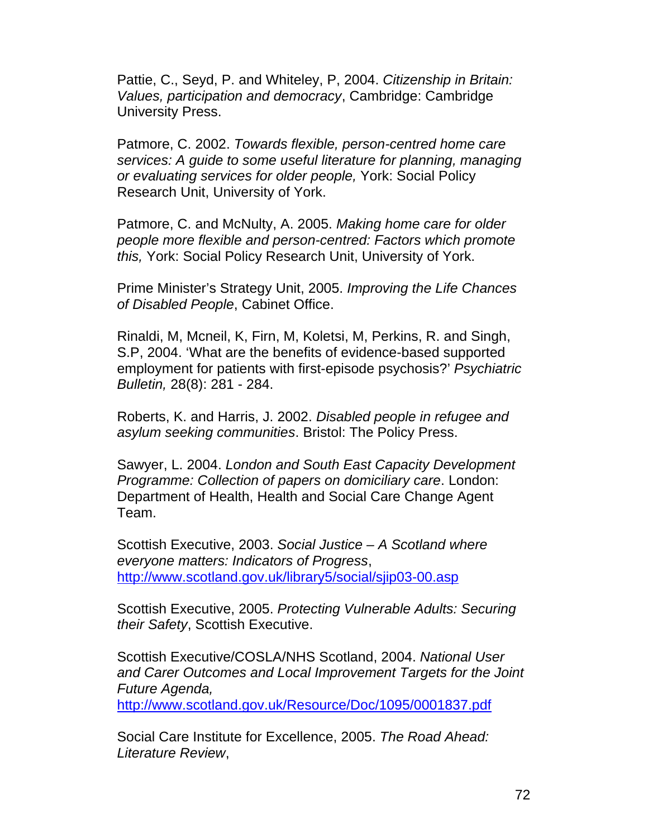Pattie, C., Seyd, P. and Whiteley, P, 2004. *Citizenship in Britain: Values, participation and democracy*, Cambridge: Cambridge University Press.

Patmore, C. 2002. *Towards flexible, person-centred home care services: A guide to some useful literature for planning, managing or evaluating services for older people,* York: Social Policy Research Unit, University of York.

Patmore, C. and McNulty, A. 2005. *Making home care for older people more flexible and person-centred: Factors which promote this,* York: Social Policy Research Unit, University of York.

Prime Minister's Strategy Unit, 2005. *Improving the Life Chances of Disabled People*, Cabinet Office.

Rinaldi, M, Mcneil, K, Firn, M, Koletsi, M, Perkins, R. and Singh, S.P, 2004. 'What are the benefits of evidence-based supported employment for patients with first-episode psychosis?' *Psychiatric Bulletin,* 28(8): 281 - 284.

Roberts, K. and Harris, J. 2002. *Disabled people in refugee and asylum seeking communities*. Bristol: The Policy Press.

Sawyer, L. 2004. *London and South East Capacity Development Programme: Collection of papers on domiciliary care*. London: Department of Health, Health and Social Care Change Agent Team.

Scottish Executive, 2003. *Social Justice – A Scotland where everyone matters: Indicators of Progress*, http://www.scotland.gov.uk/library5/social/sjip03-00.asp

Scottish Executive, 2005. *Protecting Vulnerable Adults: Securing their Safety*, Scottish Executive.

Scottish Executive/COSLA/NHS Scotland, 2004. *National User and Carer Outcomes and Local Improvement Targets for the Joint Future Agenda,* 

http://www.scotland.gov.uk/Resource/Doc/1095/0001837.pdf

Social Care Institute for Excellence, 2005. *The Road Ahead: Literature Review*,